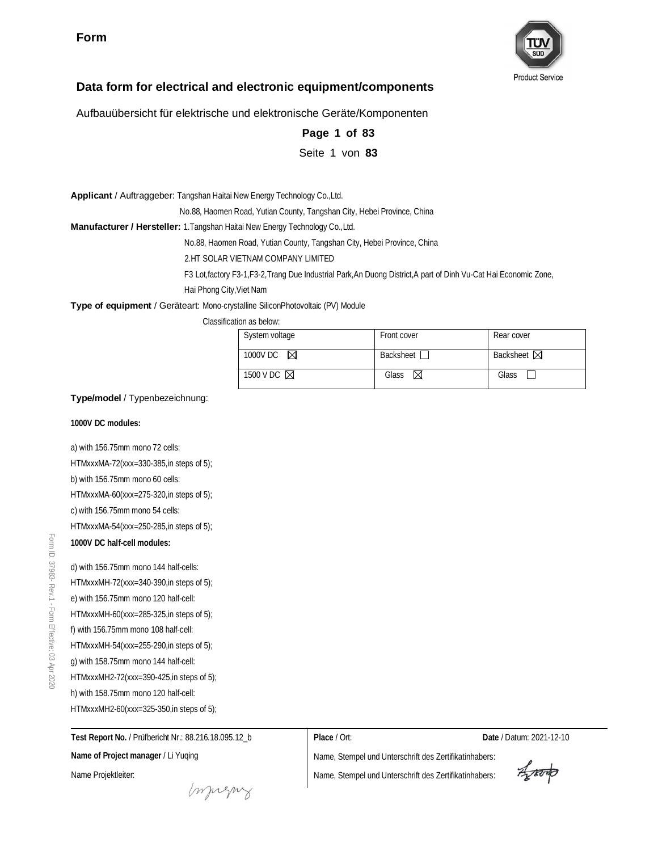

#### **Data form for electrical and electronic equipment/components**

Aufbauübersicht für elektrische und elektronische Geräte/Komponenten

| Page 1 of 83 |  |  |
|--------------|--|--|
|              |  |  |

Seite 1 von **83**

**Applicant** / Auftraggeber: Tangshan Haitai New Energy Technology Co.,Ltd.

No.88, Haomen Road, Yutian County, Tangshan City, Hebei Province, China

**Manufacturer / Hersteller:** 1.Tangshan Haitai New Energy Technology Co.,Ltd.

No.88, Haomen Road, Yutian County, Tangshan City, Hebei Province, China

2.HT SOLAR VIETNAM COMPANY LIMITED

F3 Lot,factory F3-1,F3-2,Trang Due Industrial Park,An Duong District,A part of Dinh Vu-Cat Hai Economic Zone,

Hai Phong City,Viet Nam

**Type of equipment** / Geräteart: Mono-crystalline SiliconPhotovoltaic (PV) Module

Classification as below:

| System voltage        | Front cover      | Rear cover            |
|-----------------------|------------------|-----------------------|
| 1000V DC $\boxtimes$  | <b>Backsheet</b> | Backsheet $\boxtimes$ |
| 1500 V DC $\boxtimes$ | Glass<br>- M     | Glass                 |

**Type/model** / Typenbezeichnung:

**1000V DC modules:**

a) with 156.75mm mono 72 cells: HTMxxxMA-72(xxx=330-385,in steps of 5); b) with 156.75mm mono 60 cells: HTMxxxMA-60(xxx=275-320,in steps of 5); c) with 156.75mm mono 54 cells: HTMxxxMA-54(xxx=250-285,in steps of 5); **1000V DC half-cell modules:**

d) with 156.75mm mono 144 half-cells: HTMxxxMH-72(xxx=340-390,in steps of 5); e) with 156.75mm mono 120 half-cell: HTMxxxMH-60(xxx=285-325,in steps of 5); f) with 156.75mm mono 108 half-cell: HTMxxxMH-54(xxx=255-290,in steps of 5); g) with 158.75mm mono 144 half-cell: HTMxxxMH2-72(xxx=390-425,in steps of 5); h) with 158.75mm mono 120 half-cell: HTMxxxMH2-60(xxx=325-350,in steps of 5);

**Test Report No.** / Prüfbericht Nr.: 88.216.18.095.12\_b **Name of Project manager** / Li Yuqing Name Projektleiter:

**Place** / Ort: **Date** / Datum: 2021-12-10

Aproto

monguy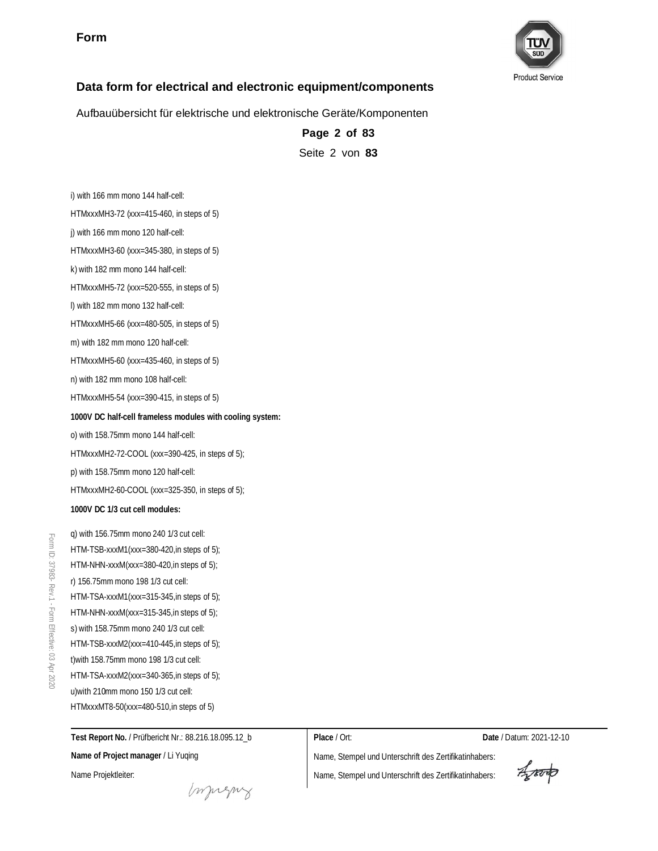

#### **Data form for electrical and electronic equipment/components**

Aufbauübersicht für elektrische und elektronische Geräte/Komponenten

**Page 2 of 83** Seite 2 von **83**

i) with 166 mm mono 144 half-cell: HTMxxxMH3-72 (xxx=415-460, in steps of 5) j) with 166 mm mono 120 half-cell: HTMxxxMH3-60 (xxx=345-380, in steps of 5) k) with 182 mm mono 144 half-cell: HTMxxxMH5-72 (xxx=520-555, in steps of 5) l) with 182 mm mono 132 half-cell: HTMxxxMH5-66 (xxx=480-505, in steps of 5) m) with 182 mm mono 120 half-cell: HTMxxxMH5-60 (xxx=435-460, in steps of 5) n) with 182 mm mono 108 half-cell: HTMxxxMH5-54 (xxx=390-415, in steps of 5) **1000V DC half-cell frameless modules with cooling system:** o) with 158.75mm mono 144 half-cell: HTMxxxMH2-72-COOL (xxx=390-425, in steps of 5); p) with 158.75mm mono 120 half-cell: HTMxxxMH2-60-COOL (xxx=325-350, in steps of 5); **1000V DC 1/3 cut cell modules:** q) with 156.75mm mono 240 1/3 cut cell: HTM-TSB-xxxM1(xxx=380-420,in steps of 5); HTM-NHN-xxxM(xxx=380-420,in steps of 5); r) 156.75mm mono 198 1/3 cut cell: HTM-TSA-xxxM1(xxx=315-345,in steps of 5); HTM-NHN-xxxM(xxx=315-345,in steps of 5); s) with 158.75mm mono 240 1/3 cut cell:

Form ID:

> **Test Report No.** / Prüfbericht Nr.: 88.216.18.095.12\_b **Name of Project manager** / Li Yuqing Name Projektleiter:

HTM-TSB-xxxM2(xxx=410-445,in steps of 5); t)with 158.75mm mono 198 1/3 cut cell: HTM-TSA-xxxM2(xxx=340-365, in steps of 5); u)with 210mm mono 150 1/3 cut cell: HTMxxxMT8-50(xxx=480-510,in steps of 5)

**Place** / Ort: **Date** / Datum: 2021-12-10

Aporto

monguy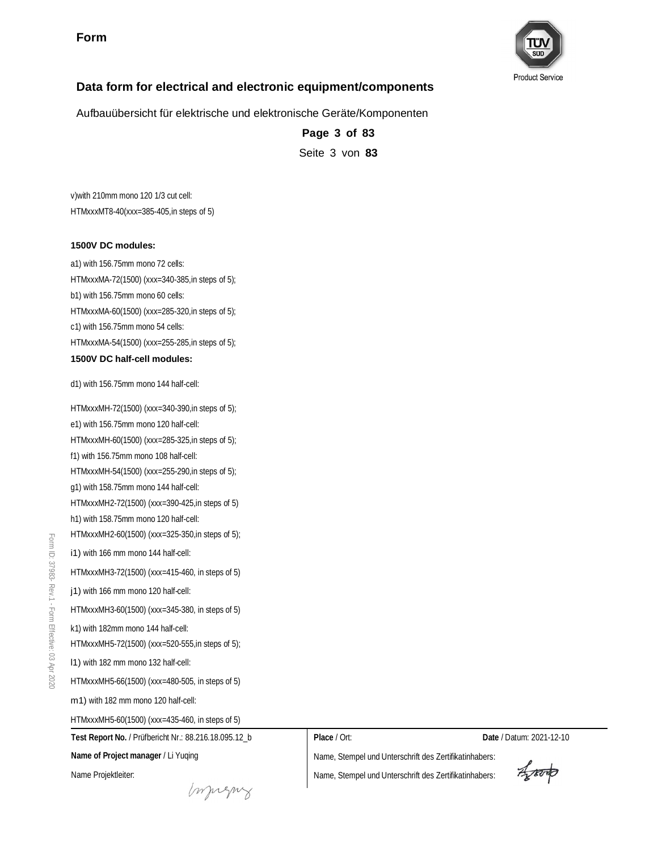

# **Data form for electrical and electronic equipment/components**

Aufbauübersicht für elektrische und elektronische Geräte/Komponenten

**Page 3 of 83** Seite 3 von **83**

v)with 210mm mono 120 1/3 cut cell: HTMxxxMT8-40(xxx=385-405,in steps of 5)

#### **1500V DC modules:**

a1) with 156.75mm mono 72 cells: HTMxxxMA-72(1500) (xxx=340-385,in steps of 5); b1) with 156.75mm mono 60 cells: HTMxxxMA-60(1500) (xxx=285-320,in steps of 5); c1) with 156.75mm mono 54 cells: HTMxxxMA-54(1500) (xxx=255-285,in steps of 5); **1500V DC half-cell modules:**

**Test Report No.** / Prüfbericht Nr.: 88.216.18.095.12\_b **Name of Project manager** / Li Yuqing d1) with 156.75mm mono 144 half-cell: HTMxxxMH-72(1500) (xxx=340-390,in steps of 5); e1) with 156.75mm mono 120 half-cell: HTMxxxMH-60(1500) (xxx=285-325,in steps of 5); f1) with 156.75mm mono 108 half-cell: HTMxxxMH-54(1500) (xxx=255-290,in steps of 5); g1) with 158.75mm mono 144 half-cell: HTMxxxMH2-72(1500) (xxx=390-425,in steps of 5) h1) with 158.75mm mono 120 half-cell: HTMxxxMH2-60(1500) (xxx=325-350,in steps of 5); i1) with 166 mm mono 144 half-cell: HTMxxxMH3-72(1500) (xxx=415-460, in steps of 5) j1) with 166 mm mono 120 half-cell: HTMxxxMH3-60(1500) (xxx=345-380, in steps of 5) k1) with 182mm mono 144 half-cell: HTMxxxMH5-72(1500) (xxx=520-555,in steps of 5); l1) with 182 mm mono 132 half-cell: HTMxxxMH5-66(1500) (xxx=480-505, in steps of 5) m1) with 182 mm mono 120 half-cell: HTMxxxMH5-60(1500) (xxx=435-460, in steps of 5)

**Place** / Ort: **Date** / Datum: 2021-12-10

Name, Stempel und Unterschrift des Zertifikatinhabers:

Name, Stempel und Unterschrift des Zertifikatinhabers:

Aporto

Form ID:

Name Projektleiter:

monguy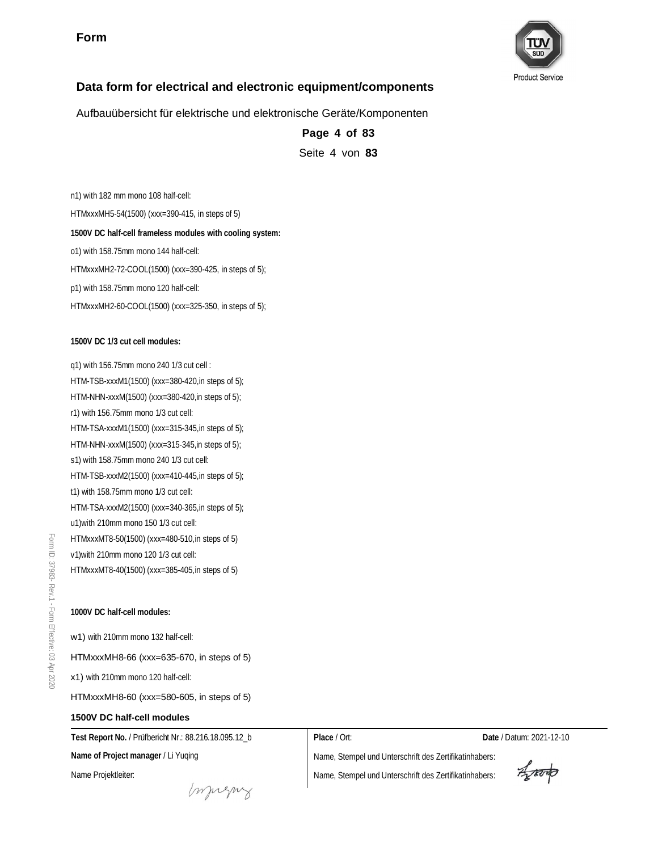

# **Data form for electrical and electronic equipment/components**

Aufbauübersicht für elektrische und elektronische Geräte/Komponenten

**Page 4 of 83** Seite 4 von **83**

n1) with 182 mm mono 108 half-cell: HTMxxxMH5-54(1500) (xxx=390-415, in steps of 5) **1500V DC half-cell frameless modules with cooling system:** o1) with 158.75mm mono 144 half-cell: HTMxxxMH2-72-COOL(1500) (xxx=390-425, in steps of 5); p1) with 158.75mm mono 120 half-cell: HTMxxxMH2-60-COOL(1500) (xxx=325-350, in steps of 5);

**1500V DC 1/3 cut cell modules:**

q1) with 156.75mm mono 240 1/3 cut cell : HTM-TSB-xxxM1(1500) (xxx=380-420,in steps of 5); HTM-NHN-xxxM(1500) (xxx=380-420,in steps of 5); r1) with 156.75mm mono 1/3 cut cell: HTM-TSA-xxxM1(1500) (xxx=315-345,in steps of 5); HTM-NHN-xxxM(1500) (xxx=315-345,in steps of 5); s1) with 158.75mm mono 240 1/3 cut cell: HTM-TSB-xxxM2(1500) (xxx=410-445,in steps of 5); t1) with 158.75mm mono 1/3 cut cell: HTM-TSA-xxxM2(1500) (xxx=340-365,in steps of 5); u1)with 210mm mono 150 1/3 cut cell: HTMxxxMT8-50(1500) (xxx=480-510,in steps of 5) v1)with 210mm mono 120 1/3 cut cell: HTMxxxMT8-40(1500) (xxx=385-405,in steps of 5)

**1000V DC half-cell modules:**

w1) with 210mm mono 132 half-cell:

HTMxxxMH8-66 (xxx=635-670, in steps of 5)

x1) with 210mm mono 120 half-cell:

HTMxxxMH8-60 (xxx=580-605, in steps of 5)

#### **1500V DC half-cell modules**

**Name of Project manager** / Li Yuqing

**Test Report No.** / Prüfbericht Nr.: 88.216.18.095.12\_b

**Place** / Ort: **Date** / Datum: 2021-12-10

Name, Stempel und Unterschrift des Zertifikatinhabers:

Name Projektleiter:

mugue

Aporto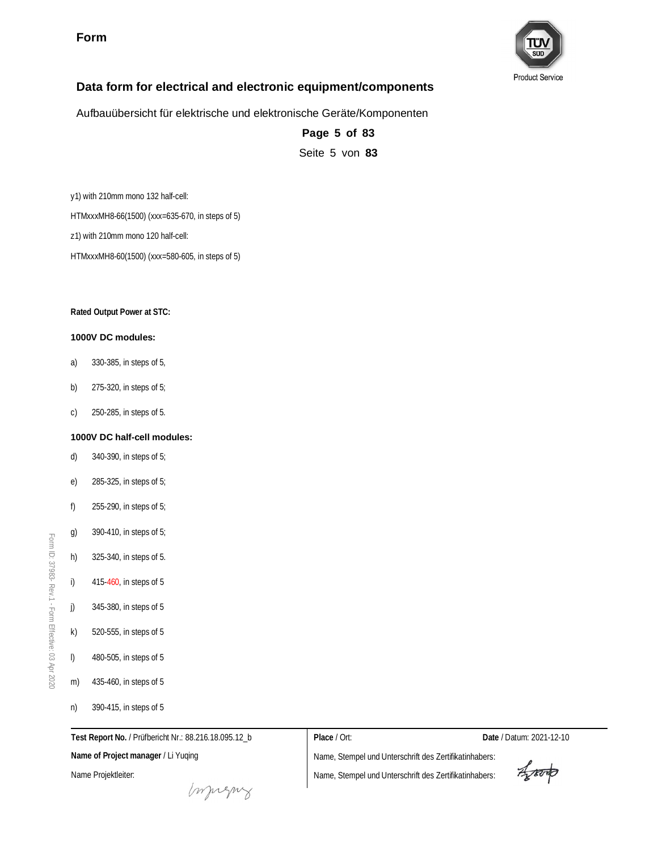

#### **Data form for electrical and electronic equipment/components**

Aufbauübersicht für elektrische und elektronische Geräte/Komponenten

**Page 5 of 83** Seite 5 von **83**

y1) with 210mm mono 132 half-cell: HTMxxxMH8-66(1500) (xxx=635-670, in steps of 5) z1) with 210mm mono 120 half-cell:

HTMxxxMH8-60(1500) (xxx=580-605, in steps of 5)

**Rated Output Power at STC:**

#### **1000V DC modules:**

- a) 330-385, in steps of 5,
- b) 275-320, in steps of 5;
- c) 250-285, in steps of 5.

#### **1000V DC half-cell modules:**

- d) 340-390, in steps of 5;
- e) 285-325, in steps of 5;
- f) 255-290, in steps of 5;
- g) 390-410, in steps of 5;
- h) 325-340, in steps of 5.
- i) 415-460, in steps of 5
- j) 345-380, in steps of 5
- k) 520-555, in steps of 5
- l) 480-505, in steps of 5
- m) 435-460, in steps of 5
- n) 390-415, in steps of 5

Name Projektleiter:

**Name of Project manager** / Li Yuqing

**Test Report No.** / Prüfbericht Nr.: 88.216.18.095.12\_b

**Place** / Ort: **Date** / Datum: 2021-12-10

Aproto

monguy

Name, Stempel und Unterschrift des Zertifikatinhabers:

Name, Stempel und Unterschrift des Zertifikatinhabers:

Form ID: 37983-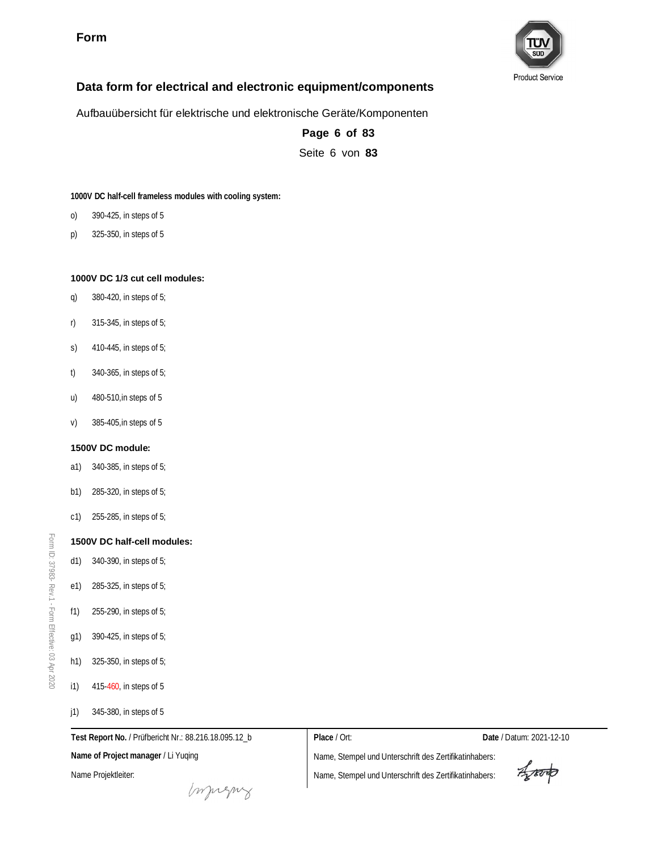

#### **Data form for electrical and electronic equipment/components**

Aufbauübersicht für elektrische und elektronische Geräte/Komponenten

**Page 6 of 83** Seite 6 von **83**

**1000V DC half-cell frameless modules with cooling system:**

- o) 390-425, in steps of 5
- p) 325-350, in steps of 5

#### **1000V DC 1/3 cut cell modules:**

- q) 380-420, in steps of 5;
- r) 315-345, in steps of 5;
- s) 410-445, in steps of 5;
- t) 340-365, in steps of 5;
- u) 480-510,in steps of 5
- v) 385-405,in steps of 5

#### **1500V DC module:**

- a1) 340-385, in steps of 5;
- b1) 285-320, in steps of 5;
- c1) 255-285, in steps of 5;

#### **1500V DC half-cell modules:**

d1) 340-390, in steps of 5;

Form ID: 37983-

Rev.1 - Form

Effective:  $\mathbb S$ Apr 2020

- e1) 285-325, in steps of 5;
- f1) 255-290, in steps of 5;
- g1) 390-425, in steps of 5;
- h1) 325-350, in steps of 5;
- i1) 415-460, in steps of 5
- j1) 345-380, in steps of 5

Name Projektleiter:

**Name of Project manager** / Li Yuqing

**Test Report No.** / Prüfbericht Nr.: 88.216.18.095.12\_b

**Place** / Ort: **Date** / Datum: 2021-12-10

Aproto

monguy

Name, Stempel und Unterschrift des Zertifikatinhabers: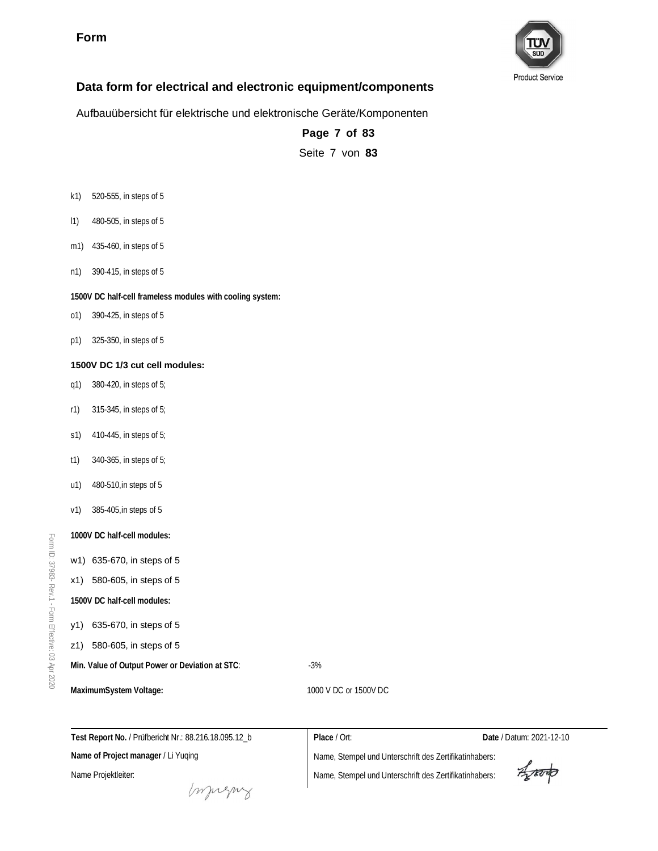

Aufbauübersicht für elektrische und elektronische Geräte/Komponenten

**Page 7 of 83** Seite 7 von **83**

- k1) 520-555, in steps of 5
- l1) 480-505, in steps of 5
- m1) 435-460, in steps of 5
- n1) 390-415, in steps of 5

**1500V DC half-cell frameless modules with cooling system:**

- o1) 390-425, in steps of 5
- p1) 325-350, in steps of 5

#### **1500V DC 1/3 cut cell modules:**

- q1) 380-420, in steps of 5;
- r1) 315-345, in steps of 5;
- s1) 410-445, in steps of 5;
- t1) 340-365, in steps of 5;
- u1) 480-510,in steps of 5
- v1) 385-405,in steps of 5
- **1000V DC half-cell modules:**
- w1) 635-670, in steps of 5
- x1) 580-605, in steps of 5
- **1500V DC half-cell modules:**
- y1) 635-670, in steps of 5
- z1) 580-605, in steps of 5
- Min. Value of Output Power or Deviation at STC: 43%

MaximumSystem Voltage:  $1000$  V DC or 1500V DC

| Test Report No. / Prüfbericht Nr.: 88.216.18.095.12 b | Place / Ort:                                           | Date / Datum: 2021-12-10 |
|-------------------------------------------------------|--------------------------------------------------------|--------------------------|
| Name of Project manager / Li Yuging                   | Name, Stempel und Unterschrift des Zertifikatinhabers: |                          |
| Name Projektleiter:                                   | Name, Stempel und Unterschrift des Zertifikatinhabers: | Aproto                   |
| mugus                                                 |                                                        |                          |

Form ID: 37983- Rev.1 - Form Effective:  $\mathbb S$ Apr 2020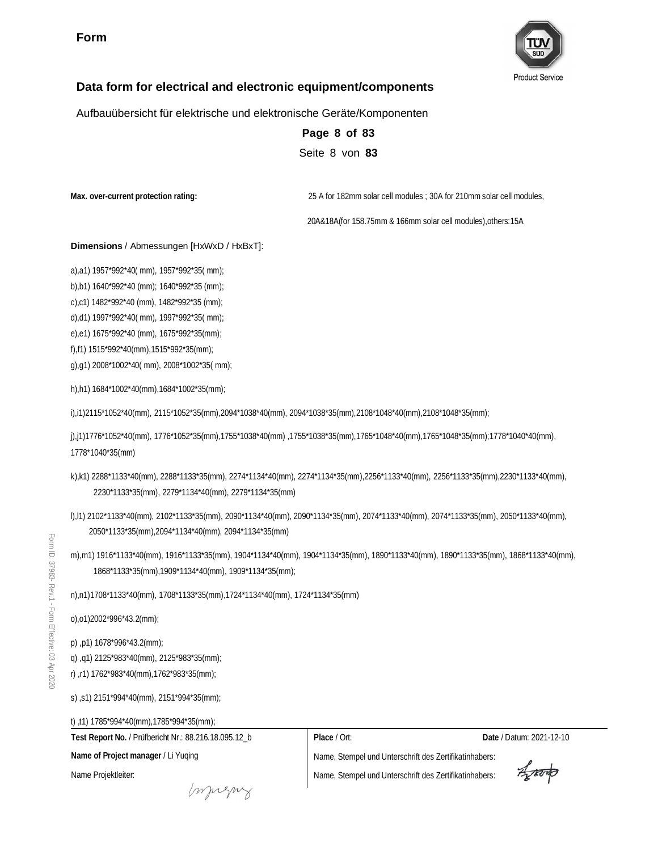

## **Data form for electrical and electronic equipment/components**

Aufbauübersicht für elektrische und elektronische Geräte/Komponenten

**Page 8 of 83** Seite 8 von **83**

**Max. over-current protection rating:** 25 A for 182mm solar cell modules ; 30A for 210mm solar cell modules,

20A&18A(for 158.75mm & 166mm solar cell modules),others:15A

#### **Dimensions** / Abmessungen [HxWxD / HxBxT]:

a),a1) 1957\*992\*40( mm), 1957\*992\*35( mm);

b),b1) 1640\*992\*40 (mm); 1640\*992\*35 (mm);

c),c1) 1482\*992\*40 (mm), 1482\*992\*35 (mm);

d),d1) 1997\*992\*40( mm), 1997\*992\*35( mm);

e),e1) 1675\*992\*40 (mm), 1675\*992\*35(mm);

f),f1) 1515\*992\*40(mm),1515\*992\*35(mm);

g),g1) 2008\*1002\*40( mm), 2008\*1002\*35( mm);

h),h1) 1684\*1002\*40(mm),1684\*1002\*35(mm);

i),i1)2115\*1052\*40(mm), 2115\*1052\*35(mm),2094\*1038\*40(mm), 2094\*1038\*35(mm),2108\*1048\*40(mm),2108\*1048\*35(mm);

j),j1)1776\*1052\*40(mm), 1776\*1052\*35(mm),1755\*1038\*40(mm) ,1755\*1038\*35(mm),1765\*1048\*40(mm),1765\*1048\*35(mm);1778\*1040\*40(mm), 1778\*1040\*35(mm)

- k),k1) 2288\*1133\*40(mm), 2288\*1133\*35(mm), 2274\*1134\*40(mm), 2274\*1134\*35(mm),2256\*1133\*40(mm), 2256\*1133\*35(mm),2230\*1133\*40(mm), 2230\*1133\*35(mm), 2279\*1134\*40(mm), 2279\*1134\*35(mm)
- l),l1) 2102\*1133\*40(mm), 2102\*1133\*35(mm), 2090\*1134\*40(mm), 2090\*1134\*35(mm), 2074\*1133\*40(mm), 2074\*1133\*35(mm), 2050\*1133\*40(mm), 2050\*1133\*35(mm),2094\*1134\*40(mm), 2094\*1134\*35(mm)
- m),m1) 1916\*1133\*40(mm), 1916\*1133\*35(mm), 1904\*1134\*40(mm), 1904\*1134\*35(mm), 1890\*1133\*40(mm), 1890\*1133\*35(mm), 1868\*1133\*40(mm), 1868\*1133\*35(mm),1909\*1134\*40(mm), 1909\*1134\*35(mm);

n),n1)1708\*1133\*40(mm), 1708\*1133\*35(mm),1724\*1134\*40(mm), 1724\*1134\*35(mm)

o),o1)2002\*996\*43.2(mm);

p) ,p1) 1678\*996\*43.2(mm);

q) ,q1) 2125\*983\*40(mm), 2125\*983\*35(mm);

r) ,r1) 1762\*983\*40(mm),1762\*983\*35(mm);

s) ,s1) 2151\*994\*40(mm), 2151\*994\*35(mm);

t) ,t1) 1785\*994\*40(mm),1785\*994\*35(mm);

**Test Report No.** / Prüfbericht Nr.: 88.216.18.095.12\_b **Place** / Ort: **Date** / Datum: 2021-12-10 **Name of Project manager** / Li Yuqing Name, Stempel und Unterschrift des Zertifikatinhabers: Arond Name Projektleiter: Name, Stempel und Unterschrift des Zertifikatinhabers: mugue

Form ID: 37983- Rev.1 - Form Effective:  $\mathbb S$ Apr 2020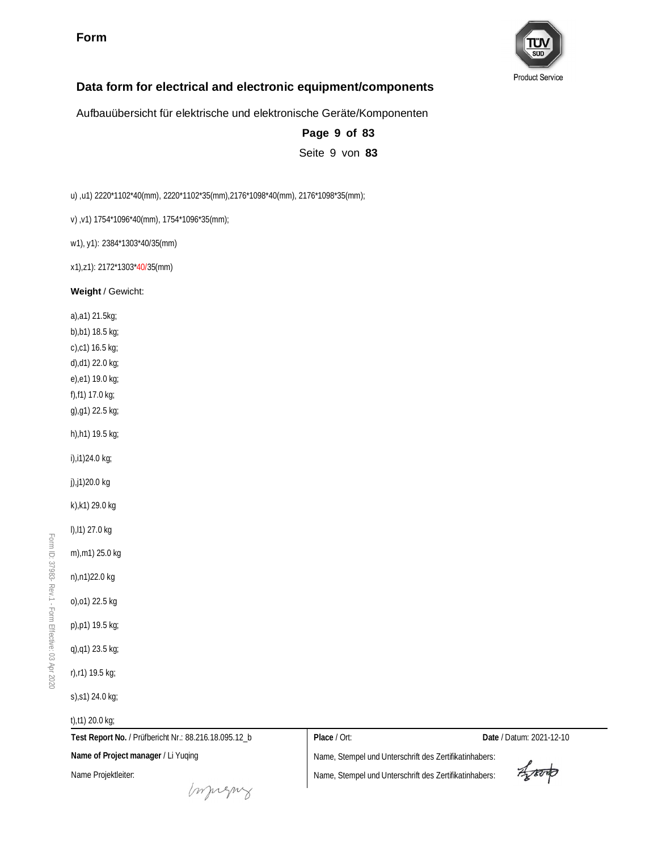

#### **Data form for electrical and electronic equipment/components**

Aufbauübersicht für elektrische und elektronische Geräte/Komponenten

**Page 9 of 83** Seite 9 von **83**

u) ,u1) 2220\*1102\*40(mm), 2220\*1102\*35(mm),2176\*1098\*40(mm), 2176\*1098\*35(mm);

v) ,v1) 1754\*1096\*40(mm), 1754\*1096\*35(mm);

w1), y1): 2384\*1303\*40/35(mm)

x1),z1): 2172\*1303\*40/35(mm)

**Weight** / Gewicht:

a),a1) 21.5kg; b),b1) 18.5 kg; c),c1) 16.5 kg; d),d1) 22.0 kg; e),e1) 19.0 kg; f),f1) 17.0 kg; g),g1) 22.5 kg; h),h1) 19.5 kg;

i),i1)24.0 kg;

j),j1)20.0 kg

k),k1) 29.0 kg

l),l1) 27.0 kg

m),m1) 25.0 kg

n),n1)22.0 kg

o),o1) 22.5 kg

p),p1) 19.5 kg;

q),q1) 23.5 kg;

r),r1) 19.5 kg;

s),s1) 24.0 kg;

t),t1) 20.0 kg;

**Test Report No.** / Prüfbericht Nr.: 88.216.18.095.12\_b **Name of Project manager** / Li Yuqing

**Place** / Ort: **Date** / Datum: 2021-12-10

Name Projektleiter:

murns

Name, Stempel und Unterschrift des Zertifikatinhabers:

Aproto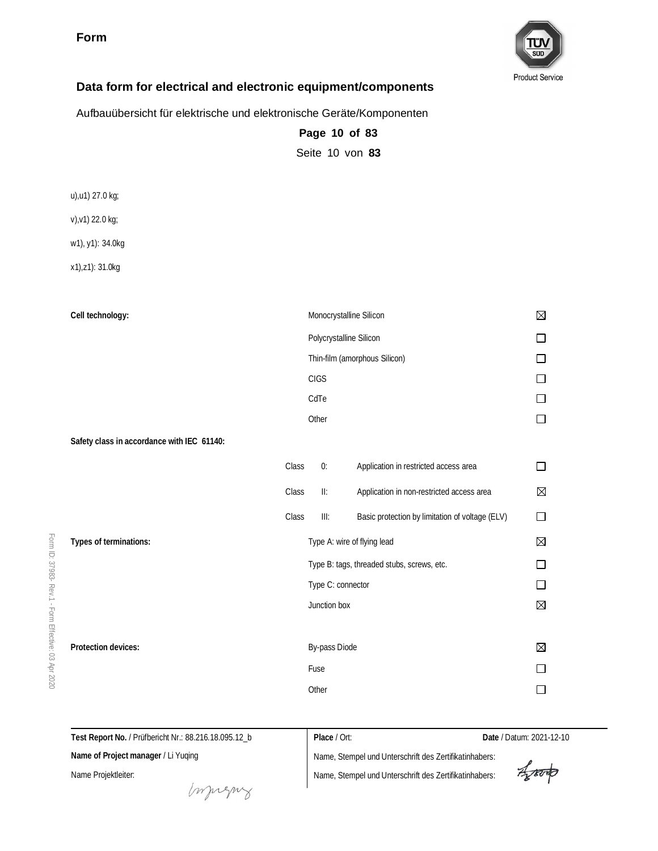

#### **Data form for electrical and electronic equipment/components**

Aufbauübersicht für elektrische und elektronische Geräte/Komponenten

**Page 10 of 83** Seite 10 von **83**

u),u1) 27.0 kg;

v),v1) 22.0 kg;

w1), y1): 34.0kg

x1),z1): 31.0kg

| Cell technology:                           |       |             | Monocrystalline Silicon |                                                 | $\boxtimes$ |
|--------------------------------------------|-------|-------------|-------------------------|-------------------------------------------------|-------------|
|                                            |       |             | Polycrystalline Silicon |                                                 |             |
|                                            |       |             |                         | Thin-film (amorphous Silicon)                   |             |
|                                            |       | <b>CIGS</b> |                         |                                                 |             |
|                                            |       | CdTe        |                         |                                                 |             |
|                                            |       | Other       |                         |                                                 |             |
| Safety class in accordance with IEC 61140: |       |             |                         |                                                 |             |
|                                            | Class |             | 0:                      | Application in restricted access area           | $\Box$      |
|                                            | Class |             | $\mathbf{II}$ :         | Application in non-restricted access area       | ⊠           |
|                                            | Class |             | III:                    | Basic protection by limitation of voltage (ELV) | $\Box$      |
| Types of terminations:                     |       |             |                         | Type A: wire of flying lead                     | $\boxtimes$ |
|                                            |       |             |                         | Type B: tags, threaded stubs, screws, etc.      |             |
|                                            |       |             | Type C: connector       |                                                 |             |
|                                            |       |             | Junction box            |                                                 | $\boxtimes$ |
|                                            |       |             |                         |                                                 |             |
| Protection devices:                        |       |             | By-pass Diode           |                                                 | $\boxtimes$ |
|                                            |       | Fuse        |                         |                                                 |             |
|                                            |       | Other       |                         |                                                 |             |

Form ID: 37983- Rev.1 - Form Effective:  $\mathbb S$ Apr 2020

> **Test Report No.** / Prüfbericht Nr.: 88.216.18.095.12\_b **Name of Project manager** / Li Yuqing **Place** / Ort: **Date** / Datum: 2021-12-10 Name, Stempel und Unterschrift des Zertifikatinhabers:

Name Projektleiter:

money

Aporto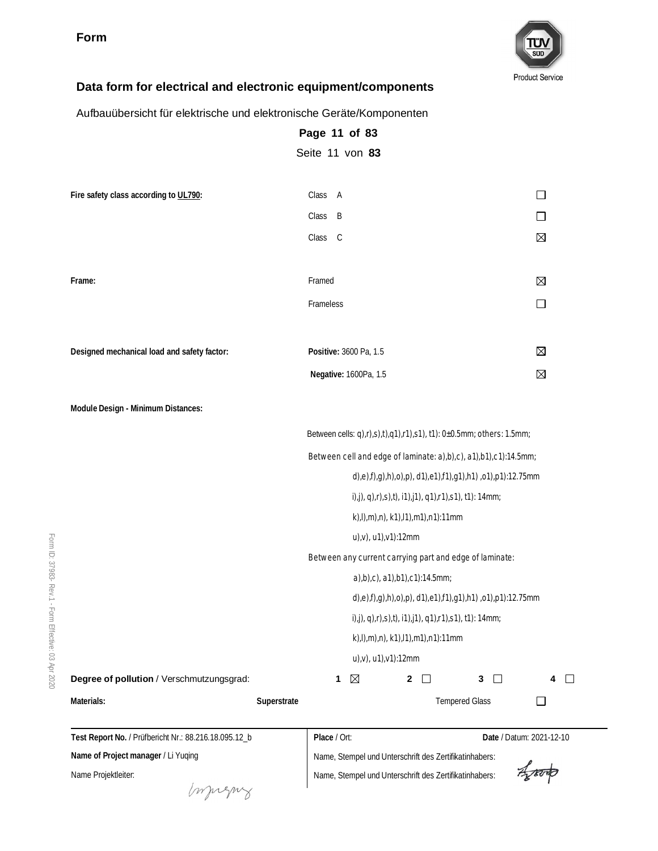

#### **Data form for electrical and electronic equipment/components**

Aufbauübersicht für elektrische und elektronische Geräte/Komponenten

|                                                       | Page 11 of 83                                                        |                               |
|-------------------------------------------------------|----------------------------------------------------------------------|-------------------------------|
|                                                       | Seite 11 von 83                                                      |                               |
| Fire safety class according to UL790:                 | Class A                                                              | $\Box$                        |
|                                                       | Class B                                                              | □                             |
|                                                       | Class C                                                              | $\boxtimes$                   |
| Frame:                                                | Framed                                                               | $\boxtimes$                   |
|                                                       | Frameless                                                            | $\Box$                        |
| Designed mechanical load and safety factor:           | Positive: 3600 Pa, 1.5                                               | $\boxtimes$                   |
|                                                       | Negative: 1600Pa, 1.5                                                | $\boxtimes$                   |
| Module Design - Minimum Distances:                    |                                                                      |                               |
|                                                       | Between cells: q),r),s),t),q1),r1),s1), t1): 0±0.5mm; others: 1.5mm; |                               |
|                                                       | Between cell and edge of laminate: a),b),c), a1),b1),c1):14.5mm;     |                               |
|                                                       | d),e),f),g),h),o),p), d1),e1),f1),g1),h1),o1),p1):12.75mm            |                               |
|                                                       | i),j), q),r),s),t), i1),j1), q1),r1),s1), t1): 14mm;                 |                               |
|                                                       | k),l),m),n), k1),l1),m1),n1):11mm                                    |                               |
|                                                       | u),v), u1),v1):12mm                                                  |                               |
|                                                       | Between any current carrying part and edge of laminate:              |                               |
|                                                       | a),b),c), a1),b1),c1):14.5mm;                                        |                               |
|                                                       | d),e),f),g),h),o),p), d1),e1),f1),g1),h1),o1),p1):12.75mm            |                               |
|                                                       | i),j), q),r),s),t), i1),j1), q1),r1),s1), t1): 14mm;                 |                               |
|                                                       | k),l),m),n), k1),l1),m1),n1):11mm                                    |                               |
|                                                       | u),v), u1),v1):12mm                                                  |                               |
| Degree of pollution / Verschmutzungsgrad:             | $\mathbf{1}$<br>$\boxtimes$<br>$\mathbf{2}$<br>$\perp$               | 3 <sup>1</sup><br>$\Box$<br>4 |
| Materials:                                            | Superstrate                                                          | <b>Tempered Glass</b>         |
| Test Report No. / Prüfbericht Nr.: 88.216.18.095.12_b | Place / Ort:                                                         | Date / Datum: 2021-12-10      |
| Name of Project manager / Li Yuqing                   | Name, Stempel und Unterschrift des Zertifikatinhabers:               |                               |

Form ID:

> Name Projektleiter: Impregnz

Agronds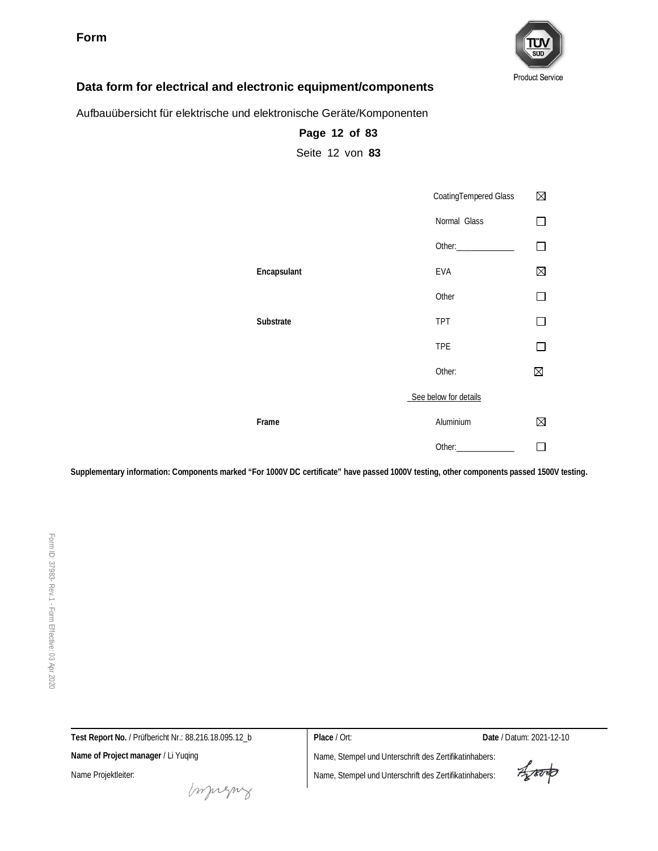

#### **Data form for electrical and electronic equipment/components**

Aufbauübersicht für elektrische und elektronische Geräte/Komponenten

|             | CoatingTempered Glass | ⊠ |
|-------------|-----------------------|---|
|             | Normal Glass          |   |
|             |                       | П |
| Encapsulant | <b>EVA</b>            | ⊠ |
|             | Other                 |   |
| Substrate   | <b>TPT</b>            |   |
|             | <b>TPE</b>            | П |
|             | Other:                | ⊠ |
|             | See below for details |   |
| Frame       | Aluminium             | ⊠ |
|             |                       |   |

**Supplementary information: Components marked "For 1000V DC certificate" have passed 1000V testing, other components passed 1500V testing.**

**Page 12 of 83** Seite 12 von **83**

**Test Report No.** / Prüfbericht Nr.: 88.216.18.095.12\_b **Place** / Ort: **Date** / Datum: 2021-12-10 **Name of Project manager** / Li Yuqing Name, Stempel und Unterschrift des Zertifikatinhabers: Aporto Name Projektleiter: Name, Stempel und Unterschrift des Zertifikatinhabers:

money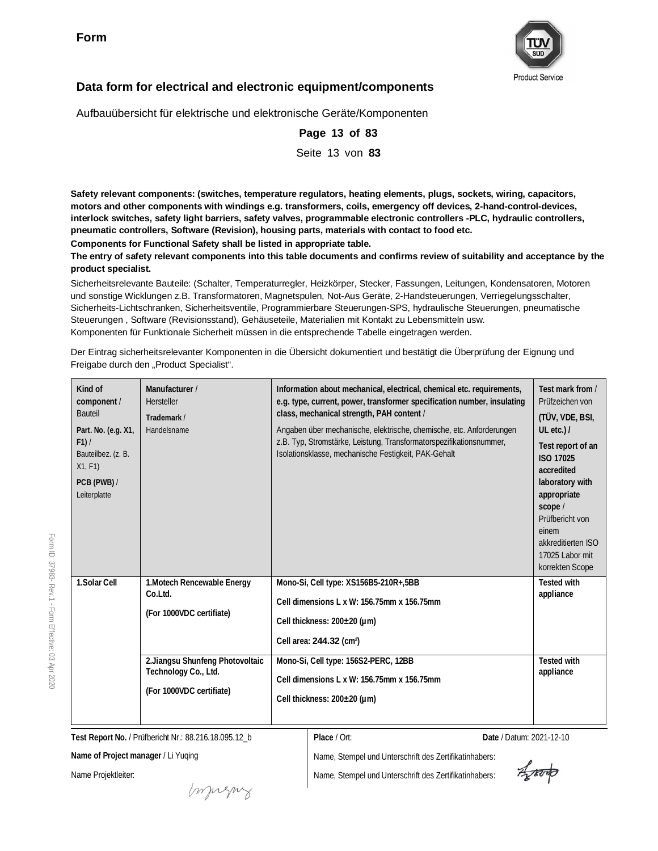

#### **Data form for electrical and electronic equipment/components**

Aufbauübersicht für elektrische und elektronische Geräte/Komponenten

**pneumatic controllers, Software (Revision), housing parts, materials with contact to food etc.**

**Components for Functional Safety shall be listed in appropriate table.**

**product specialist.** Sicherheitsrelevante Bauteile: (Schalter, Temperaturregler, Heizkörper, Stecker, Fassungen, Leitungen, Kondensatoren, Motoren und sonstige Wicklungen z.B. Transformatoren, Magnetspulen, Not-Aus Geräte, 2-Handsteuerungen, Verriegelungsschalter, Sicherheits-Lichtschranken, Sicherheitsventile, Programmierbare Steuerungen-SPS, hydraulische Steuerungen, pneumatische Steuerungen , Software (Revisionsstand), Gehäuseteile, Materialien mit Kontakt zu Lebensmitteln usw. Komponenten für Funktionale Sicherheit müssen in die entsprechende Tabelle eingetragen werden. Der Eintrag sicherheitsrelevanter Komponenten in die Übersicht dokumentiert und bestätigt die Überprüfung der Eignung und Freigabe durch den "Product Specialist". **Kind of component** / Bauteil **Part. No. (e.g. X1, F1)** / Bauteilbez. (z. B. X1, F1) **PCB (PWB)** / Leiterplatte **Manufacturer** / Hersteller **Trademark** / Handelsname **Information about mechanical, electrical, chemical etc. requirements, e.g. type, current, power, transformer specification number, insulating class, mechanical strength, PAH content** / Angaben über mechanische, elektrische, chemische, etc. Anforderungen z.B. Typ, Stromstärke, Leistung, Transformatorspezifikationsnummer, Isolationsklasse, mechanische Festigkeit, PAK-Gehalt **Test mark from** / Prüfzeichen von **(TÜV, VDE, BSI, UL etc.) / Test report of an ISO 17025 accredited laboratory with appropriate scope** / Prüfbericht von einem akkreditierten ISO 17025 Labor mit korrekten Scope **1.Solar Cell 1.Motech Rencewable Energy Co.Ltd. (For 1000VDC certifiate) Mono-Si, Cell type: XS156B5-210R+,5BB Cell dimensions L x W: 156.75mm x 156.75mm Cell thickness: 200±20 (µm) Cell area: 244.32 (cm²) Tested with appliance 2.Jiangsu Shunfeng Photovoltaic Technology Co., Ltd. (For 1000VDC certifiate) Mono-Si, Cell type: 156S2-PERC, 12BB Cell dimensions L x W: 156.75mm x 156.75mm Cell thickness: 200±20 (µm) Tested with appliance**

**Page 13 of 83** Seite 13 von **83**

**The entry of safety relevant components into this table documents and confirms review of suitability and acceptance by the**

**Safety relevant components: (switches, temperature regulators, heating elements, plugs, sockets, wiring, capacitors, motors and other components with windings e.g. transformers, coils, emergency off devices, 2-hand-control-devices, interlock switches, safety light barriers, safety valves, programmable electronic controllers -PLC, hydraulic controllers,**

**Test Report No.** / Prüfbericht Nr.: 88.216.18.095.12\_b

**Place** / Ort: **Date** / Datum: 2021-12-10

**Name of Project manager** / Li Yuqing

Name Projektleiter:

Injugny

Arouto

Form ID: 37983- Rev.1 - Form Effective:  $\mathbb S$ Apr 2020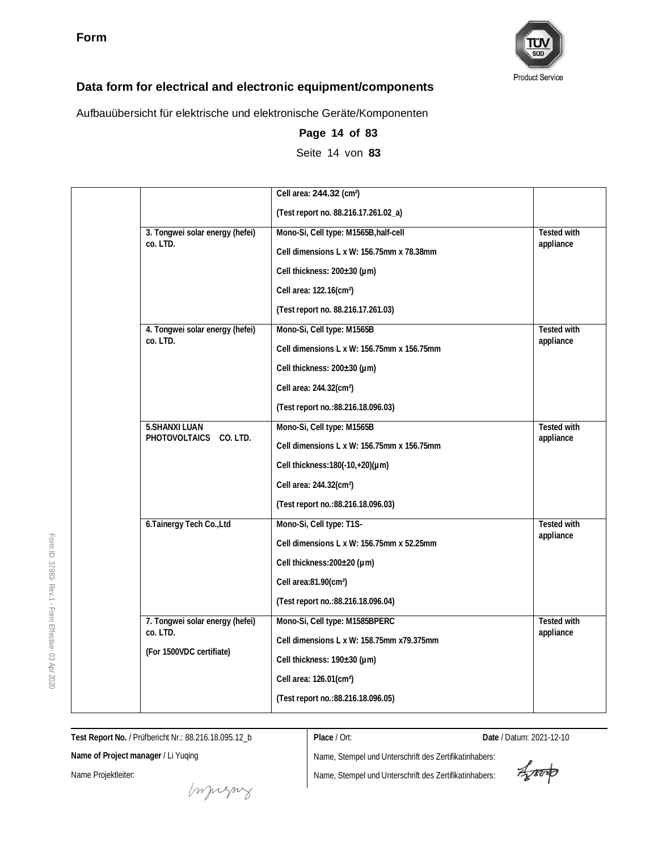

Aufbauübersicht für elektrische und elektronische Geräte/Komponenten

|                                 | Cell area: 244.32 (cm <sup>2</sup> )       |                    |
|---------------------------------|--------------------------------------------|--------------------|
|                                 | (Test report no. 88.216.17.261.02_a)       |                    |
| 3. Tongwei solar energy (hefei) | Mono-Si, Cell type: M1565B, half-cell      | Tested with        |
| co. LTD.                        | Cell dimensions L x W: 156.75mm x 78.38mm  | appliance          |
|                                 | Cell thickness: 200±30 (µm)                |                    |
|                                 | Cell area: 122.16(cm <sup>2</sup> )        |                    |
|                                 | (Test report no. 88.216.17.261.03)         |                    |
| 4. Tongwei solar energy (hefei) | Mono-Si, Cell type: M1565B                 | <b>Tested with</b> |
| co. LTD.                        | Cell dimensions L x W: 156.75mm x 156.75mm | appliance          |
|                                 | Cell thickness: 200±30 (µm)                |                    |
|                                 | Cell area: 244.32(cm <sup>2</sup> )        |                    |
|                                 | (Test report no.: 88.216.18.096.03)        |                    |
| <b>5.SHANXI LUAN</b>            | Mono-Si, Cell type: M1565B                 | <b>Tested with</b> |
| PHOTOVOLTAICS CO. LTD.          | Cell dimensions L x W: 156.75mm x 156.75mm | appliance          |
|                                 | Cell thickness: 180(-10, +20)(µm)          |                    |
|                                 | Cell area: 244.32(cm <sup>2</sup> )        |                    |
|                                 | (Test report no.: 88.216.18.096.03)        |                    |
| 6. Tainergy Tech Co., Ltd       | Mono-Si, Cell type: T1S-                   | <b>Tested with</b> |
|                                 | Cell dimensions L x W: 156.75mm x 52.25mm  | appliance          |
|                                 | Cell thickness: 200±20 (µm)                |                    |
|                                 | Cell area:81.90(cm <sup>2</sup> )          |                    |
|                                 | (Test report no.: 88.216.18.096.04)        |                    |
| 7. Tongwei solar energy (hefei) | Mono-Si, Cell type: M1585BPERC             | <b>Tested with</b> |
| co. LTD.                        | Cell dimensions L x W: 158.75mm x79.375mm  | appliance          |
| (For 1500VDC certifiate)        | Cell thickness: 190±30 (µm)                |                    |
|                                 | Cell area: 126.01(cm <sup>2</sup> )        |                    |
|                                 | (Test report no.: 88.216.18.096.05)        |                    |

**Page 14 of 83** Seite 14 von **83**

**Test Report No.** / Prüfbericht Nr.: 88.216.18.095.12\_b

**Place** / Ort: **Date** / Datum: 2021-12-10

**Name of Project manager** / Li Yuqing

Name Projektleiter:

muring

Aparto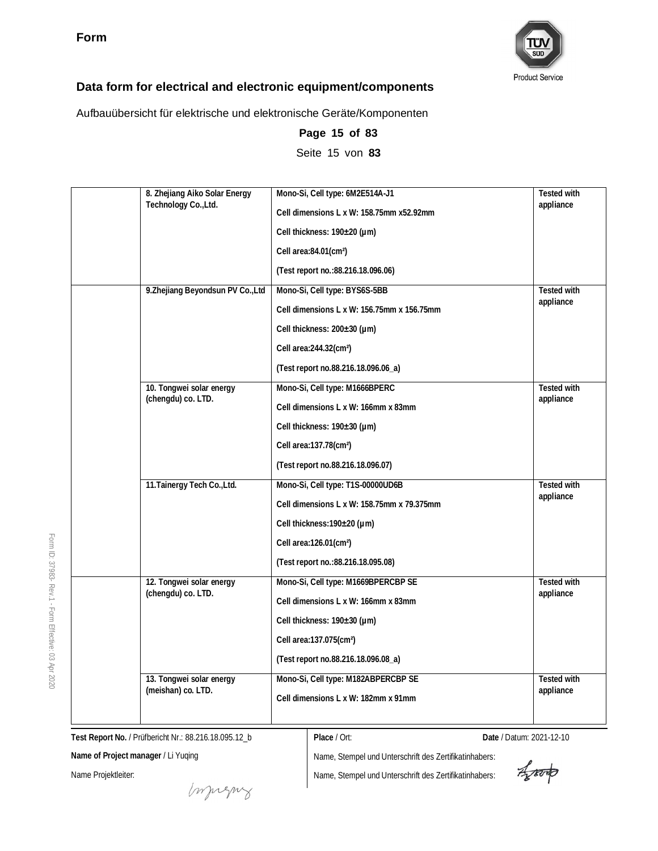

Aufbauübersicht für elektrische und elektronische Geräte/Komponenten

| 8. Zhejiang Aiko Solar Energy     | Mono-Si, Cell type: 6M2E514A-J1            | Tested with        |
|-----------------------------------|--------------------------------------------|--------------------|
| Technology Co., Ltd.              | Cell dimensions L x W: 158.75mm x52.92mm   | appliance          |
|                                   | Cell thickness: 190±20 (µm)                |                    |
|                                   | Cell area:84.01(cm <sup>2</sup> )          |                    |
|                                   | (Test report no.: 88.216.18.096.06)        |                    |
| 9. Zhejiang Beyondsun PV Co., Ltd | Mono-Si, Cell type: BYS6S-5BB              | Tested with        |
|                                   | Cell dimensions L x W: 156.75mm x 156.75mm | appliance          |
|                                   | Cell thickness: 200±30 (µm)                |                    |
|                                   | Cell area: 244.32(cm <sup>2</sup> )        |                    |
|                                   | (Test report no.88.216.18.096.06_a)        |                    |
| 10. Tongwei solar energy          | Mono-Si, Cell type: M1666BPERC             | Tested with        |
| (chengdu) co. LTD.                | Cell dimensions L x W: 166mm x 83mm        | appliance          |
|                                   | Cell thickness: 190±30 (µm)                |                    |
|                                   | Cell area:137.78(cm <sup>2</sup> )         |                    |
|                                   | (Test report no.88.216.18.096.07)          |                    |
| 11. Tainergy Tech Co., Ltd.       | Mono-Si, Cell type: T1S-00000UD6B          | <b>Tested with</b> |
|                                   | Cell dimensions L x W: 158.75mm x 79.375mm | appliance          |
|                                   | Cell thickness: 190±20 (µm)                |                    |
|                                   | Cell area:126.01(cm <sup>2</sup> )         |                    |
|                                   | (Test report no.: 88.216.18.095.08)        |                    |
| 12. Tongwei solar energy          | Mono-Si, Cell type: M1669BPERCBP SE        | Tested with        |
| (chengdu) co. LTD.                | Cell dimensions L x W: 166mm x 83mm        | appliance          |
|                                   | Cell thickness: 190±30 (µm)                |                    |
|                                   | Cell area:137.075(cm <sup>2</sup> )        |                    |
|                                   | (Test report no.88.216.18.096.08_a)        |                    |
| 13. Tongwei solar energy          | Mono-Si, Cell type: M182ABPERCBP SE        | <b>Tested with</b> |
| (meishan) co. LTD.                | Cell dimensions L x W: 182mm x 91mm        | appliance          |
|                                   |                                            |                    |

**Page 15 of 83** Seite 15 von **83**

**Test Report No.** / Prüfbericht Nr.: 88.216.18.095.12\_b

**Name of Project manager** / Li Yuqing

Name Projektleiter:

Form ID: 37983-

Rev.1 - Form

Effective:  $\mathbb S$ Apr 2020

**Place** / Ort: **Date** / Datum: 2021-12-10

Aproto

Imprezny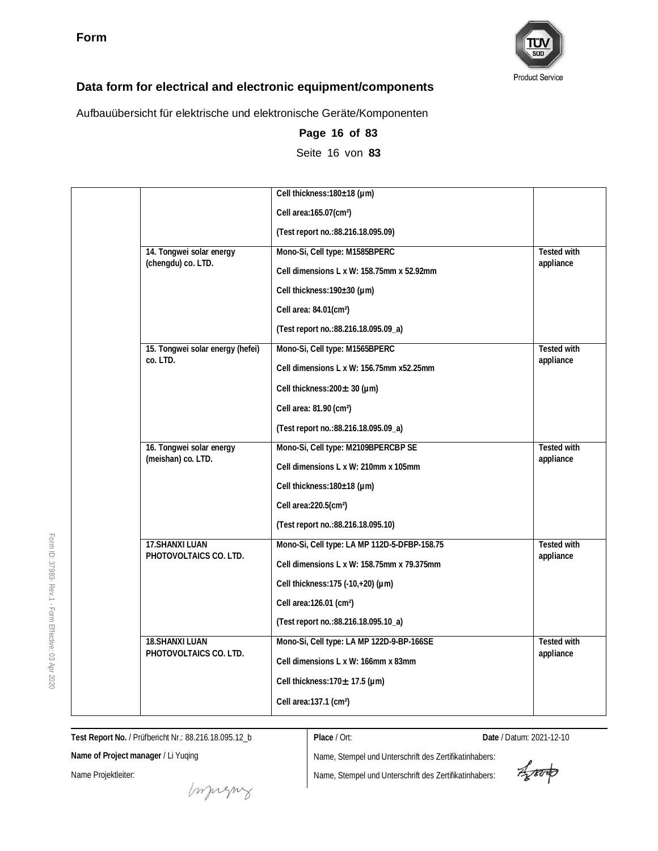

Aufbauübersicht für elektrische und elektronische Geräte/Komponenten

|                                  | Cell thickness: 180±18 (µm)                  |                    |
|----------------------------------|----------------------------------------------|--------------------|
|                                  | Cell area:165.07(cm <sup>2</sup> )           |                    |
|                                  | (Test report no.: 88.216.18.095.09)          |                    |
| 14. Tongwei solar energy         | Mono-Si, Cell type: M1585BPERC               | <b>Tested with</b> |
| (chengdu) co. LTD.               | Cell dimensions L x W: 158.75mm x 52.92mm    | appliance          |
|                                  | Cell thickness: 190±30 (µm)                  |                    |
|                                  | Cell area: 84.01(cm <sup>2</sup> )           |                    |
|                                  | (Test report no.: 88.216.18.095.09_a)        |                    |
| 15. Tongwei solar energy (hefei) | Mono-Si, Cell type: M1565BPERC               | <b>Tested with</b> |
| co. LTD.                         | Cell dimensions L x W: 156.75mm x52.25mm     | appliance          |
|                                  | Cell thickness: $200 \pm 30$ (µm)            |                    |
|                                  | Cell area: 81.90 (cm <sup>2</sup> )          |                    |
|                                  | (Test report no.: 88.216.18.095.09_a)        |                    |
| 16. Tongwei solar energy         | Mono-Si, Cell type: M2109BPERCBP SE          | <b>Tested with</b> |
| (meishan) co. LTD.               | Cell dimensions L x W: 210mm x 105mm         | appliance          |
|                                  | Cell thickness: 180±18 (µm)                  |                    |
|                                  | Cell area: 220.5(cm <sup>2</sup> )           |                    |
|                                  | (Test report no.: 88.216.18.095.10)          |                    |
| 17. SHANXI LUAN                  | Mono-Si, Cell type: LA MP 112D-5-DFBP-158.75 | <b>Tested with</b> |
| PHOTOVOLTAICS CO. LTD.           | Cell dimensions L x W: 158.75mm x 79.375mm   | appliance          |
|                                  | Cell thickness: 175 (-10,+20) (um)           |                    |
|                                  | Cell area: 126.01 (cm <sup>2</sup> )         |                    |
|                                  | (Test report no.: 88.216.18.095.10_a)        |                    |
| <b>18.SHANXI LUAN</b>            | Mono-Si, Cell type: LA MP 122D-9-BP-166SE    | <b>Tested with</b> |
| PHOTOVOLTAICS CO. LTD.           | Cell dimensions L x W: 166mm x 83mm          | appliance          |
|                                  | Cell thickness: $170 \pm 17.5$ (µm)          |                    |
|                                  | Cell area:137.1 (cm <sup>2</sup> )           |                    |

**Page 16 of 83** Seite 16 von **83**

**Test Report No.** / Prüfbericht Nr.: 88.216.18.095.12\_b

**Place** / Ort: **Date** / Datum: 2021-12-10

**Name of Project manager** / Li Yuqing

Name Projektleiter:

muring

Aporto

Form ID: 37983- Rev.1 - Form Effective:  $\mathbb S$ Apr 2020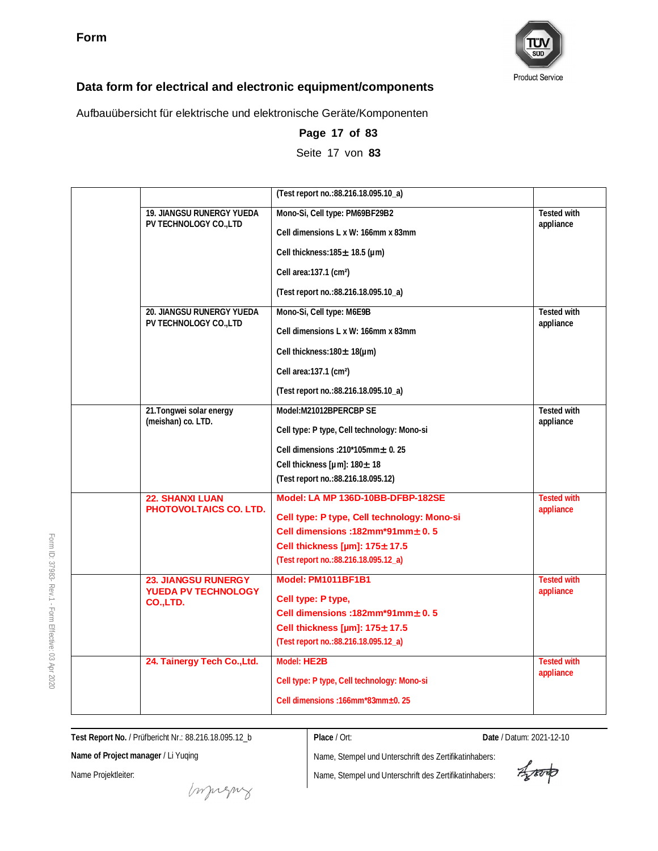

Aufbauübersicht für elektrische und elektronische Geräte/Komponenten

|                                                         | (Test report no.: 88.216.18.095.10_a)                                              |                          |
|---------------------------------------------------------|------------------------------------------------------------------------------------|--------------------------|
| 19. JIANGSU RUNERGY YUEDA<br>PV TECHNOLOGY CO., LTD     | Mono-Si, Cell type: PM69BF29B2                                                     | Tested with<br>appliance |
|                                                         | Cell dimensions L x W: 166mm x 83mm                                                |                          |
|                                                         | Cell thickness: $185 \pm 18.5$ (um)                                                |                          |
|                                                         | Cell area:137.1 (cm <sup>2</sup> )                                                 |                          |
|                                                         | (Test report no.: 88.216.18.095.10_a)                                              |                          |
| 20. JIANGSU RUNERGY YUEDA                               | Mono-Si, Cell type: M6E9B                                                          | Tested with              |
| PV TECHNOLOGY CO., LTD                                  | Cell dimensions L x W: 166mm x 83mm                                                | appliance                |
|                                                         | Cell thickness: 180 ± 18(µm)                                                       |                          |
|                                                         | Cell area:137.1 (cm <sup>2</sup> )                                                 |                          |
|                                                         | (Test report no.:88.216.18.095.10_a)                                               |                          |
| 21. Tongwei solar energy                                | Model:M21012BPERCBP SE                                                             | <b>Tested with</b>       |
| (meishan) co. LTD.                                      | Cell type: P type, Cell technology: Mono-si                                        | appliance                |
|                                                         | Cell dimensions : $210*105$ mm $\pm$ 0. 25                                         |                          |
|                                                         | Cell thickness [µm]: 180± 18                                                       |                          |
|                                                         | (Test report no.: 88.216.18.095.12)                                                |                          |
| <b>22. SHANXI LUAN</b><br><b>PHOTOVOLTAICS CO. LTD.</b> | Model: LA MP 136D-10BB-DFBP-182SE                                                  | <b>Tested with</b>       |
|                                                         | Cell type: P type, Cell technology: Mono-si                                        | appliance                |
|                                                         | Cell dimensions: $182mm*91mm + 0.5$                                                |                          |
|                                                         | Cell thickness [ $\mu$ m]: 175 $\pm$ 17.5<br>(Test report no.: 88.216.18.095.12_a) |                          |
| <b>23. JIANGSU RUNERGY</b>                              | <b>Model: PM1011BF1B1</b>                                                          | <b>Tested with</b>       |
| <b>YUEDA PV TECHNOLOGY</b>                              |                                                                                    | appliance                |
| CO.,LTD.                                                | Cell type: P type,<br>Cell dimensions :182mm*91mm $\pm$ 0.5                        |                          |
|                                                         | Cell thickness [ $\mu$ m]: 175 $\pm$ 17.5                                          |                          |
|                                                         | (Test report no.:88.216.18.095.12_a)                                               |                          |
| 24. Tainergy Tech Co., Ltd.                             | Model: HE2B                                                                        | <b>Tested with</b>       |
|                                                         | Cell type: P type, Cell technology: Mono-si                                        | appliance                |
|                                                         | Cell dimensions: 166mm*83mm±0.25                                                   |                          |

**Page 17 of 83** Seite 17 von **83**

**Test Report No.** / Prüfbericht Nr.: 88.216.18.095.12\_b

**Place** / Ort: **Date** / Datum: 2021-12-10

**Name of Project manager** / Li Yuqing

Name Projektleiter:

money

Name, Stempel und Unterschrift des Zertifikatinhabers: Name, Stempel und Unterschrift des Zertifikatinhabers:

Aproto

ID: 37983- Rev.1 - Form Effective:  $\mathbb S$ Apr 2020

Form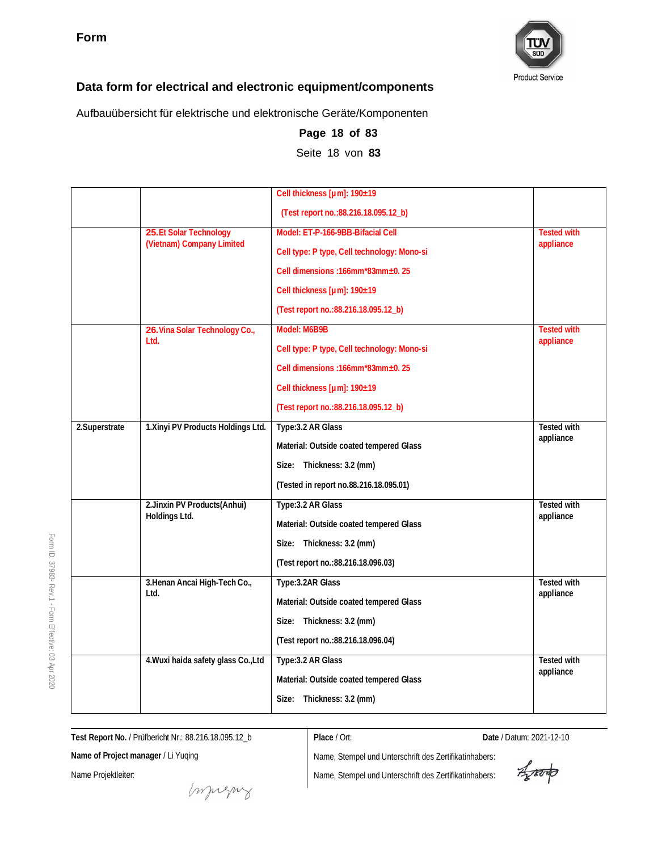

Aufbauübersicht für elektrische und elektronische Geräte/Komponenten

|                |                                     | Cell thickness [µm]: 190±19                 |                    |
|----------------|-------------------------------------|---------------------------------------------|--------------------|
|                |                                     | (Test report no.: 88.216.18.095.12_b)       |                    |
|                | 25.Et Solar Technology              | Model: ET-P-166-9BB-Bifacial Cell           | <b>Tested with</b> |
|                | (Vietnam) Company Limited           | Cell type: P type, Cell technology: Mono-si | appliance          |
|                |                                     | Cell dimensions: 166mm*83mm±0.25            |                    |
|                |                                     | Cell thickness [µm]: 190±19                 |                    |
|                |                                     | (Test report no.: 88.216.18.095.12_b)       |                    |
|                | 26. Vina Solar Technology Co.,      | Model: M6B9B                                | <b>Tested with</b> |
|                | Ltd.                                | Cell type: P type, Cell technology: Mono-si | appliance          |
|                |                                     | Cell dimensions: 166mm*83mm±0.25            |                    |
|                |                                     | Cell thickness [µm]: 190±19                 |                    |
|                |                                     | (Test report no.: 88.216.18.095.12_b)       |                    |
| 2. Superstrate | 1. Xinyi PV Products Holdings Ltd.  | Type: 3.2 AR Glass                          | <b>Tested with</b> |
|                |                                     | Material: Outside coated tempered Glass     | appliance          |
|                |                                     | Size: Thickness: 3.2 (mm)                   |                    |
|                |                                     | (Tested in report no.88.216.18.095.01)      |                    |
|                | 2. Jinxin PV Products (Anhui)       | Type: 3.2 AR Glass                          | Tested with        |
|                | Holdings Ltd.                       | Material: Outside coated tempered Glass     | appliance          |
|                |                                     | Size: Thickness: 3.2 (mm)                   |                    |
|                |                                     | (Test report no.: 88.216.18.096.03)         |                    |
|                | 3. Henan Ancai High-Tech Co.,       | Type: 3.2AR Glass                           | <b>Tested with</b> |
|                | Ltd.                                | Material: Outside coated tempered Glass     | appliance          |
|                |                                     | Size: Thickness: 3.2 (mm)                   |                    |
|                |                                     | (Test report no.: 88.216.18.096.04)         |                    |
|                | 4. Wuxi haida safety glass Co., Ltd | Type: 3.2 AR Glass                          | <b>Tested with</b> |
|                |                                     | Material: Outside coated tempered Glass     | appliance          |
|                | Size: Thickness: 3.2 (mm)           |                                             |                    |

**Page 18 of 83** Seite 18 von **83**

**Test Report No.** / Prüfbericht Nr.: 88.216.18.095.12\_b

**Place** / Ort: **Date** / Datum: 2021-12-10

**Name of Project manager** / Li Yuqing

Name Projektleiter:

Impregnz

Aproto

Form ID: 37983- Rev.1 - Form Effective:  $\mathbb S$ Apr 2020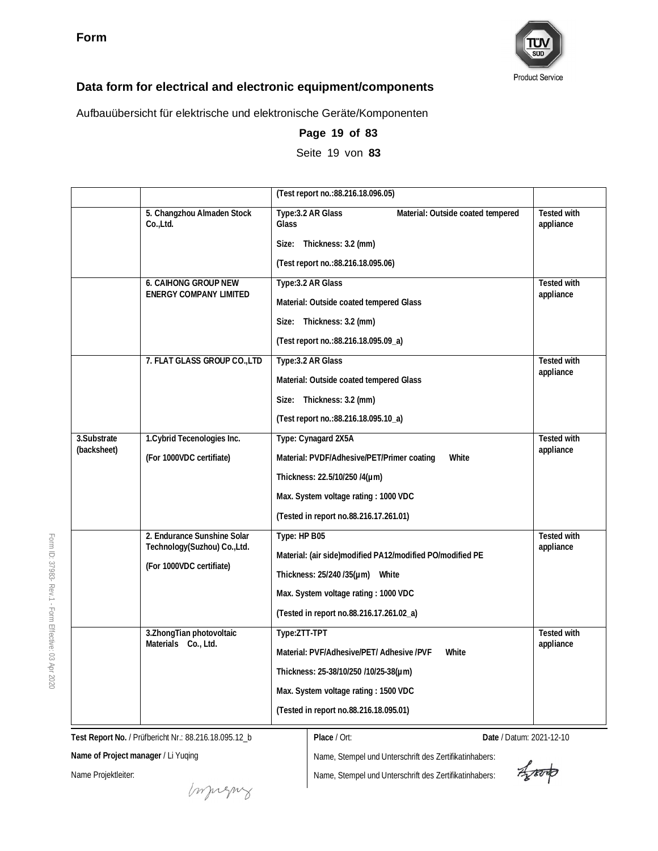

Aufbauübersicht für elektrische und elektronische Geräte/Komponenten

|             |                                                             | (Test report no.: 88.216.18.096.05)                              |                                 |
|-------------|-------------------------------------------------------------|------------------------------------------------------------------|---------------------------------|
|             | 5. Changzhou Almaden Stock<br>Co., Ltd.                     | Type: 3.2 AR Glass<br>Material: Outside coated tempered<br>Glass | <b>Tested with</b><br>appliance |
|             |                                                             | Size: Thickness: 3.2 (mm)                                        |                                 |
|             |                                                             | (Test report no.: 88.216.18.095.06)                              |                                 |
|             | <b>6. CAIHONG GROUP NEW</b>                                 | Type: 3.2 AR Glass                                               | <b>Tested with</b>              |
|             | <b>ENERGY COMPANY LIMITED</b>                               | Material: Outside coated tempered Glass                          | appliance                       |
|             |                                                             | Size: Thickness: 3.2 (mm)                                        |                                 |
|             |                                                             | (Test report no.: 88.216.18.095.09_a)                            |                                 |
|             | 7. FLAT GLASS GROUP CO., LTD                                | Type: 3.2 AR Glass                                               | <b>Tested with</b>              |
|             |                                                             | Material: Outside coated tempered Glass                          | appliance                       |
|             |                                                             | Size: Thickness: 3.2 (mm)                                        |                                 |
|             |                                                             | (Test report no.: 88.216.18.095.10_a)                            |                                 |
| 3.Substrate | 1. Cybrid Tecenologies Inc.                                 | Type: Cynagard 2X5A                                              | Tested with                     |
| (backsheet) | (For 1000VDC certifiate)                                    | Material: PVDF/Adhesive/PET/Primer coating<br>White              | appliance                       |
|             |                                                             | Thickness: 22.5/10/250 /4(µm)                                    |                                 |
|             |                                                             | Max. System voltage rating: 1000 VDC                             |                                 |
|             |                                                             | (Tested in report no.88.216.17.261.01)                           |                                 |
|             | 2. Endurance Sunshine Solar<br>Technology(Suzhou) Co., Ltd. | Type: HP B05                                                     | <b>Tested with</b><br>appliance |
|             | (For 1000VDC certifiate)                                    | Material: (air side)modified PA12/modified PO/modified PE        |                                 |
|             |                                                             | Thickness: 25/240/35(µm) White                                   |                                 |
|             |                                                             | Max. System voltage rating: 1000 VDC                             |                                 |
|             |                                                             | (Tested in report no.88.216.17.261.02_a)                         |                                 |
|             | 3. Zhong Tian photovoltaic<br>Materials Co., Ltd.           | Type:ZTT-TPT                                                     | <b>Tested with</b><br>appliance |
|             |                                                             | Material: PVF/Adhesive/PET/ Adhesive/PVF<br>White                |                                 |
|             |                                                             | Thickness: 25-38/10/250 /10/25-38(µm)                            |                                 |
|             |                                                             | Max. System voltage rating: 1500 VDC                             |                                 |
|             |                                                             | (Tested in report no.88.216.18.095.01)                           |                                 |

**Page 19 of 83** Seite 19 von **83**

**Test Report No.** / Prüfbericht Nr.: 88.216.18.095.12\_b

**Name of Project manager** / Li Yuqing

Name Projektleiter:

**Place** / Ort: **Date** / Datum: 2021-12-10

Name, Stempel und Unterschrift des Zertifikatinhabers: Name, Stempel und Unterschrift des Zertifikatinhabers:

Aporto

ID: 37983- Rev.1 - Form Effective:  $\mathbb S$ Apr 2020

Form

muring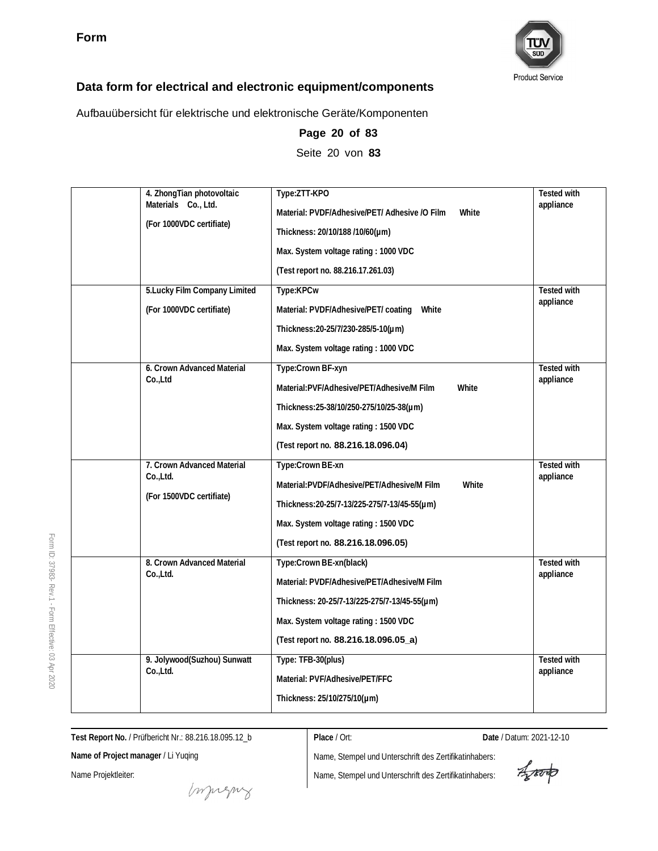

Aufbauübersicht für elektrische und elektronische Geräte/Komponenten

| 4. ZhongTian photovoltaic<br>Materials Co., Ltd.<br>(For 1000VDC certifiate) | Type:ZTT-KPO<br>Material: PVDF/Adhesive/PET/ Adhesive /O Film<br>White<br>Thickness: 20/10/188 /10/60(µm)<br>Max. System voltage rating: 1000 VDC<br>(Test report no. 88.216.17.261.03)                | <b>Tested with</b><br>appliance |
|------------------------------------------------------------------------------|--------------------------------------------------------------------------------------------------------------------------------------------------------------------------------------------------------|---------------------------------|
| 5. Lucky Film Company Limited<br>(For 1000VDC certifiate)                    | Type:KPCw<br>Material: PVDF/Adhesive/PET/ coating<br>White<br>Thickness: 20-25/7/230-285/5-10(µm)<br>Max. System voltage rating: 1000 VDC                                                              | <b>Tested with</b><br>appliance |
| 6. Crown Advanced Material<br>Co.,Ltd                                        | Type:Crown BF-xyn<br>Material:PVF/Adhesive/PET/Adhesive/M Film<br>White<br>Thickness: 25-38/10/250-275/10/25-38(µm)<br>Max. System voltage rating: 1500 VDC<br>(Test report no. 88.216.18.096.04)      | <b>Tested with</b><br>appliance |
| 7. Crown Advanced Material<br>Co.,Ltd.<br>(For 1500VDC certifiate)           | Type:Crown BE-xn<br>Material:PVDF/Adhesive/PET/Adhesive/M Film<br>White<br>Thickness:20-25/7-13/225-275/7-13/45-55(µm)<br>Max. System voltage rating: 1500 VDC<br>(Test report no. 88.216.18.096.05)   | <b>Tested with</b><br>appliance |
| 8. Crown Advanced Material<br>Co.,Ltd.                                       | Type:Crown BE-xn(black)<br>Material: PVDF/Adhesive/PET/Adhesive/M Film<br>Thickness: 20-25/7-13/225-275/7-13/45-55(µm)<br>Max. System voltage rating: 1500 VDC<br>(Test report no. 88.216.18.096.05_a) | Tested with<br>appliance        |
| 9. Jolywood(Suzhou) Sunwatt<br>Co.,Ltd.                                      | Type: TFB-30(plus)<br>Material: PVF/Adhesive/PET/FFC<br>Thickness: 25/10/275/10(µm)                                                                                                                    | <b>Tested with</b><br>appliance |

**Page 20 of 83** Seite 20 von **83**

**Test Report No.** / Prüfbericht Nr.: 88.216.18.095.12\_b

**Place** / Ort: **Date** / Datum: 2021-12-10

**Name of Project manager** / Li Yuqing

Name Projektleiter:

Impregnz

Aporto

Form ID: 37983- Rev.1 - Form Effective:  $\mathbb S$ Apr 2020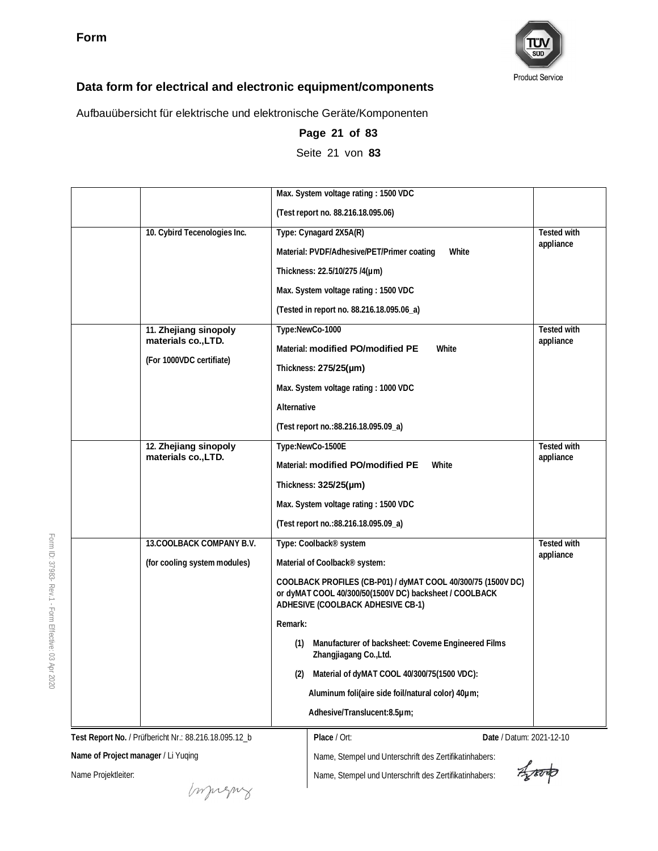

Aufbauübersicht für elektrische und elektronische Geräte/Komponenten

|                              | Max. System voltage rating: 1500 VDC                                                                                                                        |                    |
|------------------------------|-------------------------------------------------------------------------------------------------------------------------------------------------------------|--------------------|
|                              | (Test report no. 88.216.18.095.06)                                                                                                                          |                    |
| 10. Cybird Tecenologies Inc. | Type: Cynagard 2X5A(R)                                                                                                                                      | <b>Tested with</b> |
|                              | Material: PVDF/Adhesive/PET/Primer coating<br>White                                                                                                         | appliance          |
|                              | Thickness: 22.5/10/275 /4(µm)                                                                                                                               |                    |
|                              | Max. System voltage rating: 1500 VDC                                                                                                                        |                    |
|                              | (Tested in report no. 88.216.18.095.06_a)                                                                                                                   |                    |
| 11. Zhejiang sinopoly        | Type:NewCo-1000                                                                                                                                             | Tested with        |
| materials co., LTD.          | Material: modified PO/modified PE<br>White                                                                                                                  | appliance          |
| (For 1000VDC certifiate)     | Thickness: 275/25(µm)                                                                                                                                       |                    |
|                              | Max. System voltage rating: 1000 VDC                                                                                                                        |                    |
|                              | Alternative                                                                                                                                                 |                    |
|                              | (Test report no.: 88.216.18.095.09_a)                                                                                                                       |                    |
| 12. Zhejiang sinopoly        | Type:NewCo-1500E                                                                                                                                            | <b>Tested with</b> |
| materials co., LTD.          | Material: modified PO/modified PE<br>White                                                                                                                  | appliance          |
|                              | Thickness: 325/25(µm)                                                                                                                                       |                    |
|                              | Max. System voltage rating: 1500 VDC                                                                                                                        |                    |
|                              | (Test report no.: 88.216.18.095.09_a)                                                                                                                       |                    |
| 13. COOLBACK COMPANY B.V.    | Type: Coolback <sup>®</sup> system                                                                                                                          | Tested with        |
| (for cooling system modules) | Material of Coolback® system:                                                                                                                               | appliance          |
|                              | COOLBACK PROFILES (CB-P01) / dyMAT COOL 40/300/75 (1500V DC)<br>or dyMAT COOL 40/300/50(1500V DC) backsheet / COOLBACK<br>ADHESIVE (COOLBACK ADHESIVE CB-1) |                    |
|                              | Remark:                                                                                                                                                     |                    |
|                              | (1) Manufacturer of backsheet: Coveme Engineered Films<br>Zhangjiagang Co., Ltd.                                                                            |                    |
|                              | Material of dyMAT COOL 40/300/75(1500 VDC):<br>(2)                                                                                                          |                    |
|                              | Aluminum foli(aire side foil/natural color) 40um;                                                                                                           |                    |
|                              | Adhesive/Translucent:8.5µm;                                                                                                                                 |                    |
|                              |                                                                                                                                                             |                    |

**Page 21 of 83** Seite 21 von **83**

**Test Report No.** / Prüfbericht Nr.: 88.216.18.095.12\_b

muring

**Name of Project manager** / Li Yuqing

Name Projektleiter:

**Place** / Ort: **Date** / Datum: 2021-12-10

Name, Stempel und Unterschrift des Zertifikatinhabers: Name, Stempel und Unterschrift des Zertifikatinhabers:

Agreento

ID: 37983- Rev.1 - Form Effective:  $\mathbb S$ Apr 2020

Form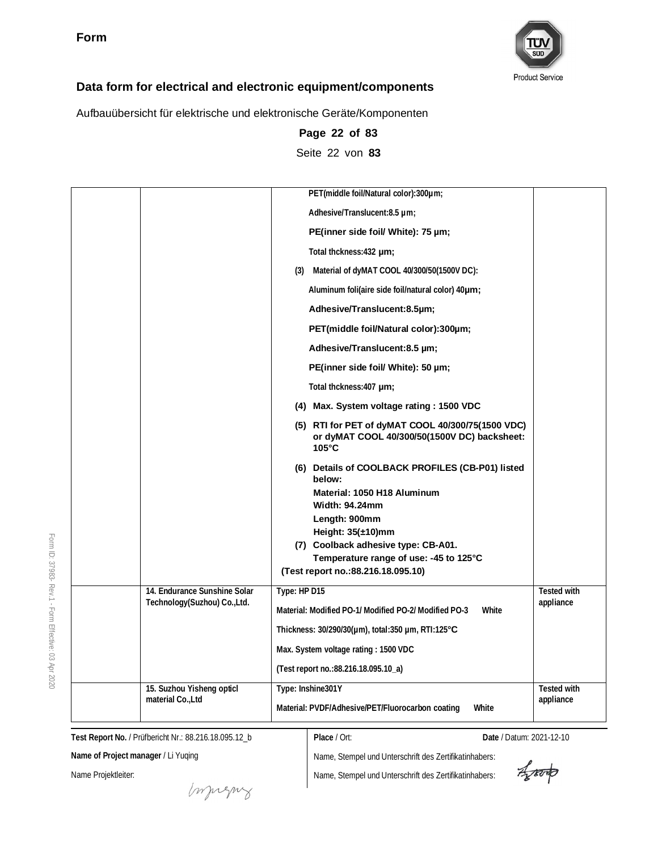

Aufbauübersicht für elektrische und elektronische Geräte/Komponenten

|                                                              | PET(middle foil/Natural color):300um;                                                                                                                                                                                                                                                  |                                 |
|--------------------------------------------------------------|----------------------------------------------------------------------------------------------------------------------------------------------------------------------------------------------------------------------------------------------------------------------------------------|---------------------------------|
|                                                              | Adhesive/Translucent:8.5 µm;                                                                                                                                                                                                                                                           |                                 |
|                                                              | PE(inner side foil/ White): 75 µm;                                                                                                                                                                                                                                                     |                                 |
|                                                              | Total thckness: 432 um;                                                                                                                                                                                                                                                                |                                 |
|                                                              | (3) Material of dyMAT COOL 40/300/50(1500V DC):                                                                                                                                                                                                                                        |                                 |
|                                                              | Aluminum foli(aire side foil/natural color) 40um;                                                                                                                                                                                                                                      |                                 |
|                                                              | Adhesive/Translucent:8.5µm;                                                                                                                                                                                                                                                            |                                 |
|                                                              | PET(middle foil/Natural color):300um;                                                                                                                                                                                                                                                  |                                 |
|                                                              | Adhesive/Translucent:8.5 µm;                                                                                                                                                                                                                                                           |                                 |
|                                                              | PE(inner side foil/ White): 50 µm;                                                                                                                                                                                                                                                     |                                 |
|                                                              | Total thckness: 407 µm;                                                                                                                                                                                                                                                                |                                 |
|                                                              | (4) Max. System voltage rating: 1500 VDC                                                                                                                                                                                                                                               |                                 |
|                                                              | (5) RTI for PET of dyMAT COOL 40/300/75(1500 VDC)<br>or dyMAT COOL 40/300/50(1500V DC) backsheet:<br>$105^{\circ}$ C                                                                                                                                                                   |                                 |
|                                                              | (6) Details of COOLBACK PROFILES (CB-P01) listed<br>below:<br>Material: 1050 H18 Aluminum<br><b>Width: 94.24mm</b><br>Length: 900mm<br>Height: $35(\pm 10)$ mm<br>(7) Coolback adhesive type: CB-A01.<br>Temperature range of use: -45 to 125°C<br>(Test report no.: 88.216.18.095.10) |                                 |
| 14. Endurance Sunshine Solar<br>Technology(Suzhou) Co., Ltd. | Type: HP D15                                                                                                                                                                                                                                                                           | Tested with<br>appliance        |
|                                                              | Material: Modified PO-1/ Modified PO-2/ Modified PO-3<br>White                                                                                                                                                                                                                         |                                 |
|                                                              | Thickness: $30/290/30(\mu m)$ , total: 350 $\mu$ m, RTI: 125 $\textdegree$ C                                                                                                                                                                                                           |                                 |
|                                                              | Max. System voltage rating: 1500 VDC                                                                                                                                                                                                                                                   |                                 |
|                                                              | (Test report no.: 88.216.18.095.10_a)                                                                                                                                                                                                                                                  |                                 |
| 15. Suzhou Yisheng opticl<br>material Co., Ltd               | Type: Inshine301Y<br>Material: PVDF/Adhesive/PET/Fluorocarbon coating<br>White                                                                                                                                                                                                         | <b>Tested with</b><br>appliance |

**Page 22 of 83** Seite 22 von **83**

**Test Report No.** / Prüfbericht Nr.: 88.216.18.095.12\_b

**Place** / Ort: **Date** / Datum: 2021-12-10

**Name of Project manager** / Li Yuqing

Name Projektleiter:

money

Aporto

Form ID: 37983- Rev.1 - Form Effective:  $\mathbb S$ Apr 2020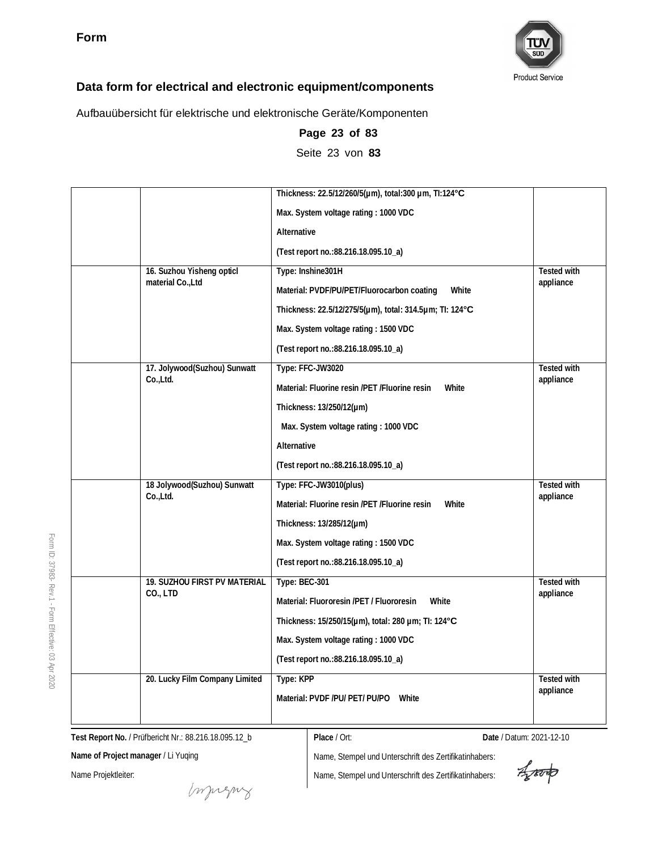

Aufbauübersicht für elektrische und elektronische Geräte/Komponenten

|                                | Thickness: 22.5/12/260/5(um), total:300 um, TI:124°C<br>Max. System voltage rating: 1000 VDC |                    |
|--------------------------------|----------------------------------------------------------------------------------------------|--------------------|
|                                | Alternative                                                                                  |                    |
|                                | (Test report no.: 88.216.18.095.10_a)                                                        |                    |
| 16. Suzhou Yisheng opticl      | Type: Inshine301H                                                                            | <b>Tested with</b> |
| material Co., Ltd              | Material: PVDF/PU/PET/Fluorocarbon coating<br>White                                          | appliance          |
|                                | Thickness: 22.5/12/275/5(µm), total: 314.5µm; TI: 124°C                                      |                    |
|                                | Max. System voltage rating: 1500 VDC                                                         |                    |
|                                | (Test report no.: 88.216.18.095.10_a)                                                        |                    |
| 17. Jolywood(Suzhou) Sunwatt   | Type: FFC-JW3020                                                                             | Tested with        |
| Co.,Ltd.                       | Material: Fluorine resin /PET /Fluorine resin<br>White                                       | appliance          |
|                                | Thickness: 13/250/12(µm)                                                                     |                    |
|                                | Max. System voltage rating: 1000 VDC                                                         |                    |
|                                | Alternative                                                                                  |                    |
|                                | (Test report no.: 88.216.18.095.10_a)                                                        |                    |
| 18 Jolywood(Suzhou) Sunwatt    | Type: FFC-JW3010(plus)                                                                       | Tested with        |
| Co.,Ltd.                       | Material: Fluorine resin /PET /Fluorine resin<br>White                                       | appliance          |
|                                | Thickness: 13/285/12(µm)                                                                     |                    |
|                                | Max. System voltage rating: 1500 VDC                                                         |                    |
|                                | (Test report no.: 88.216.18.095.10_a)                                                        |                    |
| 19. SUZHOU FIRST PV MATERIAL   | Type: BEC-301                                                                                | Tested with        |
| CO., LTD                       | Material: Fluororesin /PET / Fluororesin<br>White                                            | appliance          |
|                                | Thickness: 15/250/15(µm), total: 280 µm; Tl: 124°C                                           |                    |
|                                | Max. System voltage rating: 1000 VDC                                                         |                    |
|                                | (Test report no.: 88.216.18.095.10_a)                                                        |                    |
| 20. Lucky Film Company Limited | Type: KPP                                                                                    | <b>Tested with</b> |
|                                | Material: PVDF /PU/ PET/ PU/PO White                                                         | appliance          |
|                                |                                                                                              |                    |

**Page 23 of 83** Seite 23 von **83**

**Test Report No.** / Prüfbericht Nr.: 88.216.18.095.12\_b

**Place** / Ort: **Date** / Datum: 2021-12-10

**Name of Project manager** / Li Yuqing

Name Projektleiter:

muring

Aproto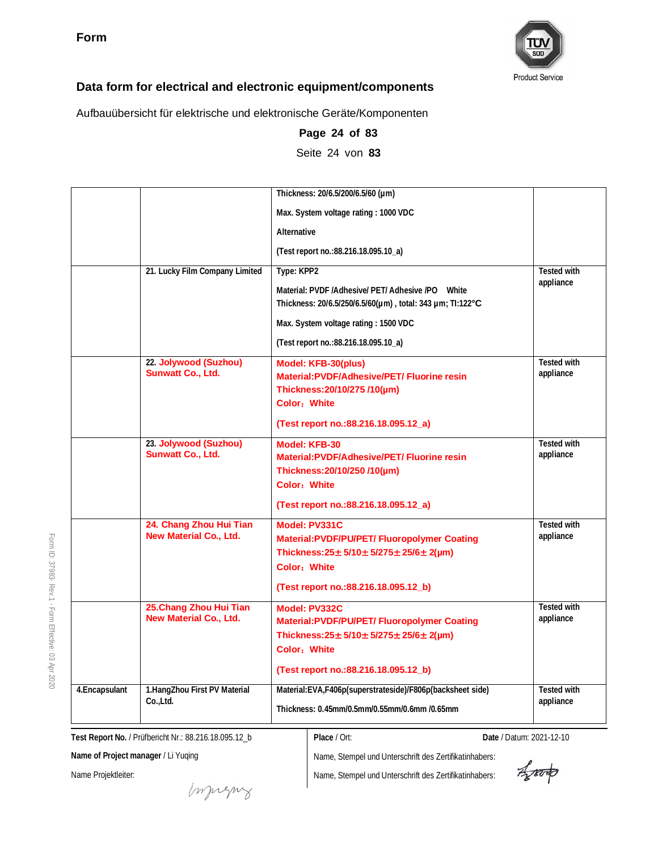

Aufbauübersicht für elektrische und elektronische Geräte/Komponenten

|                |                                                   | Thickness: 20/6.5/200/6.5/60 (µm)                                                                                                                                                       |                                 |
|----------------|---------------------------------------------------|-----------------------------------------------------------------------------------------------------------------------------------------------------------------------------------------|---------------------------------|
|                |                                                   | Max. System voltage rating: 1000 VDC                                                                                                                                                    |                                 |
|                |                                                   | Alternative                                                                                                                                                                             |                                 |
|                |                                                   | (Test report no.: 88.216.18.095.10_a)                                                                                                                                                   |                                 |
|                | 21. Lucky Film Company Limited                    | Type: KPP2                                                                                                                                                                              | <b>Tested with</b>              |
|                |                                                   | Material: PVDF /Adhesive/ PET/ Adhesive /PO White<br>Thickness: 20/6.5/250/6.5/60(um), total: 343 um; TI:122°C                                                                          | appliance                       |
|                |                                                   | Max. System voltage rating: 1500 VDC                                                                                                                                                    |                                 |
|                |                                                   | (Test report no.:88.216.18.095.10_a)                                                                                                                                                    |                                 |
|                | 22. Jolywood (Suzhou)<br><b>Sunwatt Co., Ltd.</b> | Model: KFB-30(plus)<br>Material:PVDF/Adhesive/PET/ Fluorine resin<br>Thickness: 20/10/275 /10(µm)<br><b>Color: White</b>                                                                | <b>Tested with</b><br>appliance |
|                |                                                   | (Test report no.:88.216.18.095.12 a)                                                                                                                                                    |                                 |
|                | 23. Jolywood (Suzhou)<br>Sunwatt Co., Ltd.        | Model: KFB-30<br><b>Material:PVDF/Adhesive/PET/ Fluorine resin</b><br>Thickness: 20/10/250 /10(µm)<br>Color: White<br>(Test report no.:88.216.18.095.12 a)                              | <b>Tested with</b><br>appliance |
|                | 24. Chang Zhou Hui Tian<br>New Material Co., Ltd. | Model: PV331C<br>Material:PVDF/PU/PET/ Fluoropolymer Coating<br>Thickness: $25 \pm 5/10 \pm 5/275 \pm 25/6 \pm 2(\mu m)$<br>Color: White<br>(Test report no.: 88.216.18.095.12_b)       | <b>Tested with</b><br>appliance |
|                | 25. Chang Zhou Hui Tian<br>New Material Co., Ltd. | Model: PV332C<br><b>Material:PVDF/PU/PET/ Fluoropolymer Coating</b><br>Thickness: $25 \pm 5/10 \pm 5/275 \pm 25/6 \pm 2(\mu m)$<br>Color: White<br>(Test report no.:88.216.18.095.12_b) | <b>Tested with</b><br>appliance |
| 4. Encapsulant | 1.HangZhou First PV Material<br>Co.,Ltd.          | Material:EVA,F406p(superstrateside)/F806p(backsheet side)<br>Thickness: 0.45mm/0.5mm/0.55mm/0.6mm /0.65mm                                                                               | <b>Tested with</b><br>appliance |

**Page 24 of 83** Seite 24 von **83**

**Test Report No.** / Prüfbericht Nr.: 88.216.18.095.12\_b

**Place** / Ort: **Date** / Datum: 2021-12-10

**Name of Project manager** / Li Yuqing

Name Projektleiter:

Imprezny

Name, Stempel und Unterschrift des Zertifikatinhabers: Name, Stempel und Unterschrift des Zertifikatinhabers:

Aproto

ID: 37983- Rev.1 - Form Effective:  $\mathbb S$ Apr 2020

Form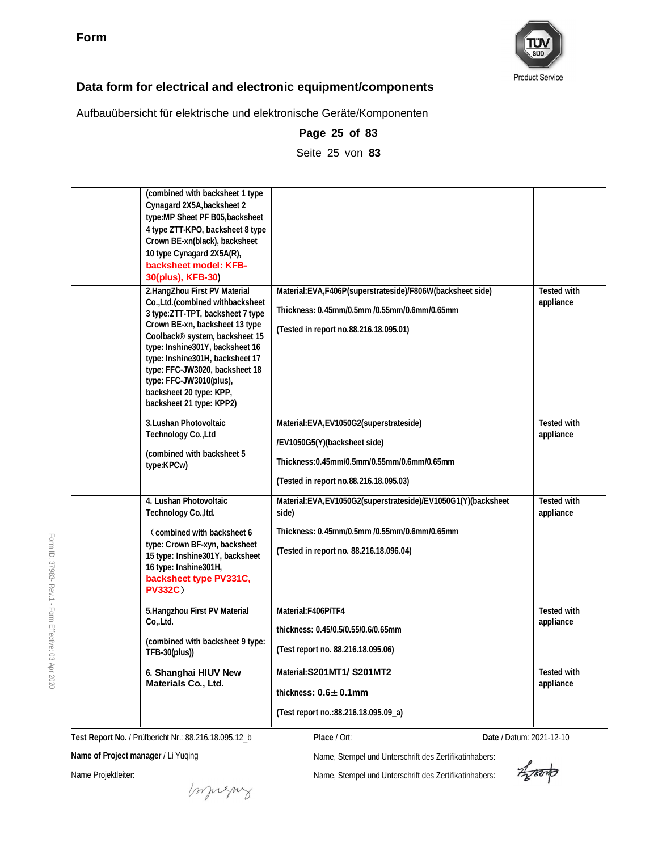

Aufbauübersicht für elektrische und elektronische Geräte/Komponenten

| (combined with backsheet 1 type<br>Cynagard 2X5A, backsheet 2<br>type: MP Sheet PF B05, backsheet<br>4 type ZTT-KPO, backsheet 8 type<br>Crown BE-xn(black), backsheet<br>10 type Cynagard 2X5A(R),<br>backsheet model: KFB-<br>30(plus), KFB-30)<br>2.HangZhou First PV Material                                                    | Material:EVA,F406P(superstrateside)/F806W(backsheet side)                                                                                                         | <b>Tested with</b>              |
|--------------------------------------------------------------------------------------------------------------------------------------------------------------------------------------------------------------------------------------------------------------------------------------------------------------------------------------|-------------------------------------------------------------------------------------------------------------------------------------------------------------------|---------------------------------|
| Co., Ltd. (combined withbacksheet<br>3 type: ZTT-TPT, backsheet 7 type<br>Crown BE-xn, backsheet 13 type<br>Coolback® system, backsheet 15<br>type: Inshine301Y, backsheet 16<br>type: Inshine301H, backsheet 17<br>type: FFC-JW3020, backsheet 18<br>type: FFC-JW3010(plus),<br>backsheet 20 type: KPP,<br>backsheet 21 type: KPP2) | Thickness: 0.45mm/0.5mm /0.55mm/0.6mm/0.65mm<br>(Tested in report no.88.216.18.095.01)                                                                            | appliance                       |
| 3. Lushan Photovoltaic<br>Technology Co., Ltd<br>(combined with backsheet 5<br>type:KPCw)                                                                                                                                                                                                                                            | Material: EVA, EV1050G2(superstrateside)<br>/EV1050G5(Y)(backsheet side)<br>Thickness: 0.45mm/0.5mm/0.55mm/0.6mm/0.65mm<br>(Tested in report no.88.216.18.095.03) | <b>Tested with</b><br>appliance |
| 4. Lushan Photovoltaic<br>Technology Co., Itd.<br>Combined with backsheet 6<br>type: Crown BF-xyn, backsheet<br>15 type: Inshine301Y, backsheet<br>16 type: Inshine301H,<br>backsheet type PV331C,<br><b>PV332C)</b>                                                                                                                 | Material:EVA,EV1050G2(superstrateside)/EV1050G1(Y)(backsheet<br>side)<br>Thickness: 0.45mm/0.5mm /0.55mm/0.6mm/0.65mm<br>(Tested in report no. 88.216.18.096.04)  | <b>Tested with</b><br>appliance |
| 5.Hangzhou First PV Material<br>Co, Ltd.<br>(combined with backsheet 9 type:<br>$TFB-30(plus))$                                                                                                                                                                                                                                      | Material:F406P/TF4<br>thickness: 0.45/0.5/0.55/0.6/0.65mm<br>(Test report no. 88.216.18.095.06)                                                                   | <b>Tested with</b><br>appliance |
| 6. Shanghai HIUV New<br>Materials Co., Ltd.                                                                                                                                                                                                                                                                                          | Material: S201MT1/ S201MT2<br>thickness: $0.6 \pm 0.1$ mm<br>(Test report no.:88.216.18.095.09_a)                                                                 | <b>Tested with</b><br>appliance |

**Page 25 of 83**

Seite 25 von **83**

**Test Report No.** / Prüfbericht Nr.: 88.216.18.095.12\_b

**Name of Project manager** / Li Yuqing

Name Projektleiter:

Form ID: 37983-

Rev.1 - Form

Effective:  $\mathbb S$ Apr 2020

muring

Name, Stempel und Unterschrift des Zertifikatinhabers:

Name, Stempel und Unterschrift des Zertifikatinhabers:

**Place** / Ort: **Date** / Datum: 2021-12-10

Aparto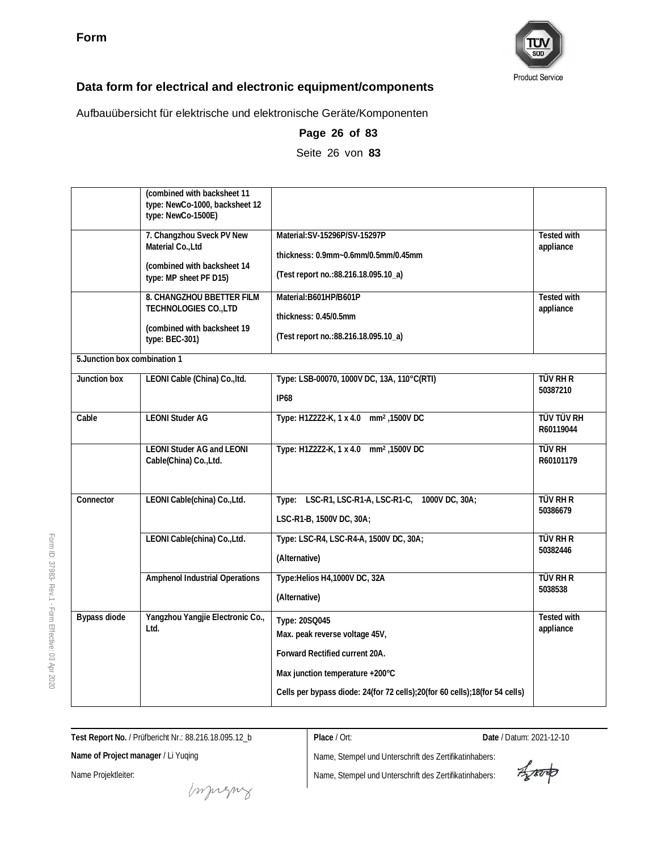

Aufbauübersicht für elektrische und elektronische Geräte/Komponenten

|                               | (combined with backsheet 11<br>type: NewCo-1000, backsheet 12<br>type: NewCo-1500E)                     |                                                                                                                                                                                                    |                                 |
|-------------------------------|---------------------------------------------------------------------------------------------------------|----------------------------------------------------------------------------------------------------------------------------------------------------------------------------------------------------|---------------------------------|
|                               | 7. Changzhou Sveck PV New<br>Material Co., Ltd<br>(combined with backsheet 14<br>type: MP sheet PF D15) | Material: SV-15296P/SV-15297P<br>thickness: 0.9mm~0.6mm/0.5mm/0.45mm<br>(Test report no.: 88.216.18.095.10_a)                                                                                      | <b>Tested with</b><br>appliance |
|                               | 8. CHANGZHOU BBETTER FILM<br>TECHNOLOGIES CO., LTD<br>(combined with backsheet 19<br>type: BEC-301)     | Material: B601HP/B601P<br>thickness: 0.45/0.5mm<br>(Test report no.: 88.216.18.095.10_a)                                                                                                           | Tested with<br>appliance        |
| 5. Junction box combination 1 |                                                                                                         |                                                                                                                                                                                                    |                                 |
| Junction box                  | LEONI Cable (China) Co., Itd.                                                                           | Type: LSB-00070, 1000V DC, 13A, 110°C(RTI)<br><b>IP68</b>                                                                                                                                          | TÜV RH R<br>50387210            |
| Cable                         | <b>LEONI Studer AG</b>                                                                                  | Type: H1Z2Z2-K, 1 x 4.0 mm <sup>2</sup> , 1500V DC                                                                                                                                                 | <b>TÜV TÜV RH</b><br>R60119044  |
|                               | <b>LEONI Studer AG and LEONI</b><br>Cable(China) Co., Ltd.                                              | Type: H1Z2Z2-K, 1 x 4.0 mm <sup>2</sup> , 1500V DC                                                                                                                                                 | <b>TÜV RH</b><br>R60101179      |
| Connector                     | LEONI Cable(china) Co., Ltd.                                                                            | LSC-R1, LSC-R1-A, LSC-R1-C, 1000V DC, 30A;<br>Type:<br>LSC-R1-B, 1500V DC, 30A;                                                                                                                    | <b>TÜV RH R</b><br>50386679     |
|                               | LEONI Cable(china) Co., Ltd.                                                                            | Type: LSC-R4, LSC-R4-A, 1500V DC, 30A;<br>(Alternative)                                                                                                                                            | <b>TÜV RH R</b><br>50382446     |
|                               | Amphenol Industrial Operations                                                                          | Type: Helios H4, 1000V DC, 32A<br>(Alternative)                                                                                                                                                    | <b>TÜV RH R</b><br>5038538      |
| Bypass diode                  | Yangzhou Yangjie Electronic Co.,<br>Ltd.                                                                | Type: 20SQ045<br>Max. peak reverse voltage 45V,<br>Forward Rectified current 20A.<br>Max junction temperature +200°C<br>Cells per bypass diode: 24(for 72 cells);20(for 60 cells);18(for 54 cells) | Tested with<br>appliance        |

**Page 26 of 83** Seite 26 von **83**

Form ID: 37983- Rev.1 - Form Effective:  $\mathbb S$ Apr 2020

**Test Report No.** / Prüfbericht Nr.: 88.216.18.095.12\_b

**Place** / Ort: **Date** / Datum: 2021-12-10

**Name of Project manager** / Li Yuqing

Name Projektleiter:

muring

Aporto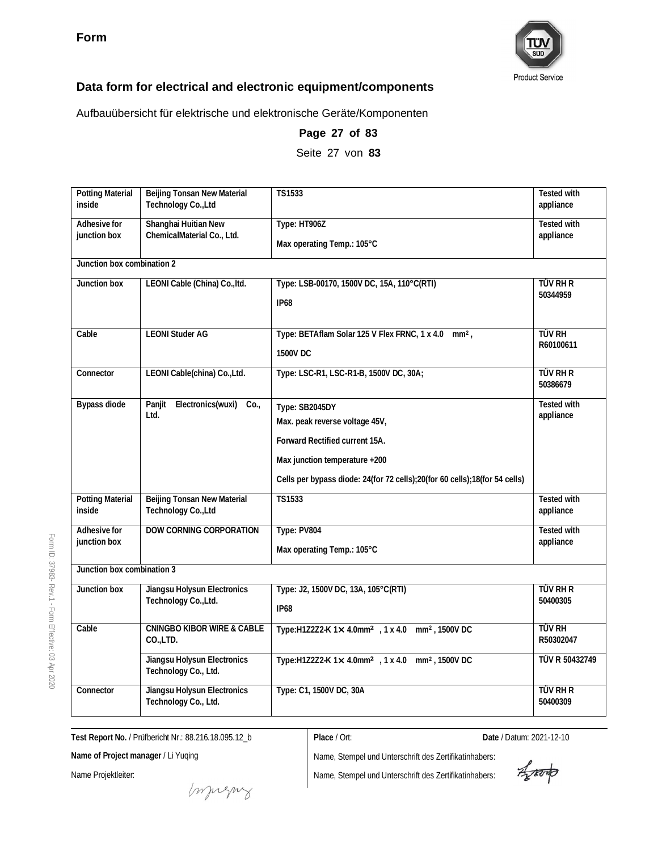

Aufbauübersicht für elektrische und elektronische Geräte/Komponenten

| <b>Potting Material</b><br>inside | Beijing Tonsan New Material<br>Technology Co., Ltd  | TS1533                                                                     | Tested with<br>appliance        |
|-----------------------------------|-----------------------------------------------------|----------------------------------------------------------------------------|---------------------------------|
| Adhesive for                      | Shanghai Huitian New                                | Type: HT906Z                                                               | Tested with                     |
| junction box                      | ChemicalMaterial Co., Ltd.                          | Max operating Temp.: 105°C                                                 | appliance                       |
| Junction box combination 2        |                                                     |                                                                            |                                 |
| Junction box                      | LEONI Cable (China) Co., Itd.                       | Type: LSB-00170, 1500V DC, 15A, 110°C(RTI)                                 | TÜV RH R                        |
|                                   |                                                     | <b>IP68</b>                                                                | 50344959                        |
| Cable                             | <b>LEONI Studer AG</b>                              | Type: BETAflam Solar 125 V Flex FRNC, 1 x 4.0 mm <sup>2</sup> ,            | <b>TÜV RH</b>                   |
|                                   |                                                     | 1500V DC                                                                   | R60100611                       |
| Connector                         | LEONI Cable(china) Co., Ltd.                        | Type: LSC-R1, LSC-R1-B, 1500V DC, 30A;                                     | <b>TÜV RH R</b><br>50386679     |
| <b>Bypass diode</b>               | Panjit<br>Electronics(wuxi)<br>Co.<br>Ltd.          | Type: SB2045DY                                                             | <b>Tested with</b><br>appliance |
|                                   |                                                     | Max. peak reverse voltage 45V,                                             |                                 |
|                                   |                                                     | Forward Rectified current 15A.                                             |                                 |
|                                   |                                                     | Max junction temperature +200                                              |                                 |
|                                   |                                                     | Cells per bypass diode: 24(for 72 cells);20(for 60 cells);18(for 54 cells) |                                 |
| <b>Potting Material</b><br>inside | Beijing Tonsan New Material<br>Technology Co., Ltd  | TS1533                                                                     | <b>Tested with</b><br>appliance |
| Adhesive for                      | DOW CORNING CORPORATION                             | Type: PV804                                                                | <b>Tested with</b>              |
| junction box                      |                                                     | Max operating Temp.: 105°C                                                 | appliance                       |
| Junction box combination 3        |                                                     |                                                                            |                                 |
| Junction box                      | Jiangsu Holysun Electronics                         | Type: J2, 1500V DC, 13A, 105°C (RTI)                                       | <b>TÜV RH R</b>                 |
|                                   | Technology Co., Ltd.                                | <b>IP68</b>                                                                | 50400305                        |
| Cable                             | <b>CNINGBO KIBOR WIRE &amp; CABLE</b><br>CO.,LTD.   | Type:H1Z2Z2-K 1x 4.0mm <sup>2</sup> , 1 x 4.0 mm <sup>2</sup> , 1500V DC   | <b>TÜV RH</b><br>R50302047      |
|                                   | Jiangsu Holysun Electronics<br>Technology Co., Ltd. | Type:H1Z2Z2-K 1× 4.0mm <sup>2</sup> , 1 x 4.0 mm <sup>2</sup> , 1500V DC   | TÜV R 50432749                  |
| Connector                         | Jiangsu Holysun Electronics<br>Technology Co., Ltd. | Type: C1, 1500V DC, 30A                                                    | TÜV RH R<br>50400309            |

**Page 27 of 83**

Seite 27 von **83**

**Test Report No.** / Prüfbericht Nr.: 88.216.18.095.12\_b

**Name of Project manager** / Li Yuqing

Name Projektleiter:

Name, Stempel und Unterschrift des Zertifikatinhabers: Name, Stempel und Unterschrift des Zertifikatinhabers:

**Place** / Ort: **Date** / Datum: 2021-12-10

Aparto

muring

Form ID: 37983- Rev.1 - Form Effective:  $\mathbb S$ Apr

2020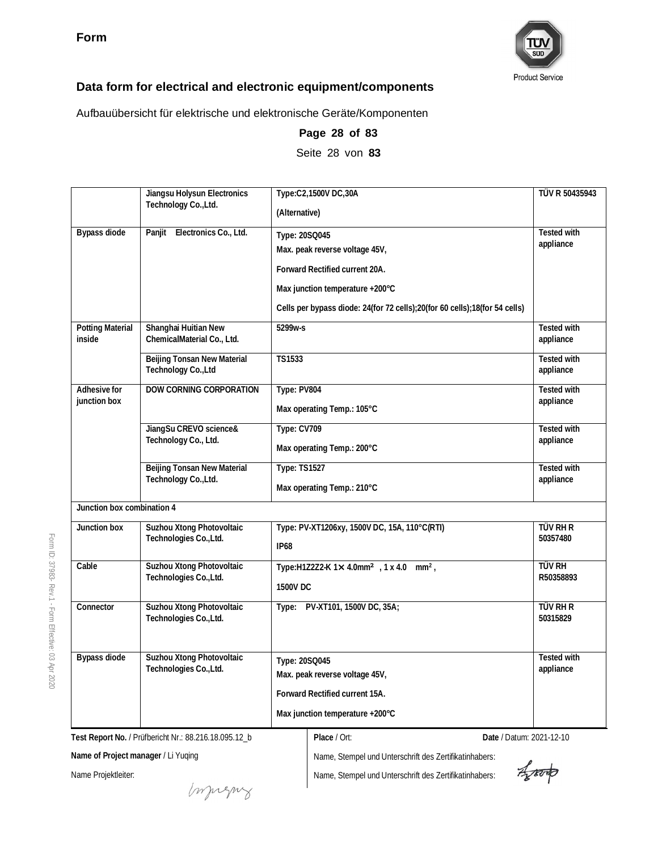

Aufbauübersicht für elektrische und elektronische Geräte/Komponenten

|                                   | Jiangsu Holysun Electronics<br>Technology Co., Ltd. | Type:C2,1500V DC,30A<br>(Alternative)                                                                                                                                                              | TÜV R 50435943                  |
|-----------------------------------|-----------------------------------------------------|----------------------------------------------------------------------------------------------------------------------------------------------------------------------------------------------------|---------------------------------|
| Bypass diode                      | Electronics Co., Ltd.<br>Panjit                     | Type: 20SQ045<br>Max. peak reverse voltage 45V,<br>Forward Rectified current 20A.<br>Max junction temperature +200°C<br>Cells per bypass diode: 24(for 72 cells);20(for 60 cells);18(for 54 cells) | <b>Tested with</b><br>appliance |
| <b>Potting Material</b><br>inside | Shanghai Huitian New<br>ChemicalMaterial Co., Ltd.  | 5299w-s                                                                                                                                                                                            | <b>Tested with</b><br>appliance |
|                                   | Beijing Tonsan New Material<br>Technology Co., Ltd  | TS1533                                                                                                                                                                                             | Tested with<br>appliance        |
| Adhesive for<br>junction box      | <b>DOW CORNING CORPORATION</b>                      | Type: PV804<br>Max operating Temp.: 105°C                                                                                                                                                          | <b>Tested with</b><br>appliance |
|                                   | JiangSu CREVO science&<br>Technology Co., Ltd.      | Type: CV709<br>Max operating Temp.: 200°C                                                                                                                                                          | <b>Tested with</b><br>appliance |
|                                   | Beijing Tonsan New Material<br>Technology Co., Ltd. | <b>Type: TS1527</b><br>Max operating Temp.: 210°C                                                                                                                                                  | <b>Tested with</b><br>appliance |
| Junction box combination 4        |                                                     |                                                                                                                                                                                                    |                                 |
| Junction box                      | Suzhou Xtong Photovoltaic<br>Technologies Co., Ltd. | Type: PV-XT1206xy, 1500V DC, 15A, 110°C(RTI)<br><b>IP68</b>                                                                                                                                        | TÜV RH R<br>50357480            |
| Cable                             | Suzhou Xtong Photovoltaic<br>Technologies Co., Ltd. | Type:H1Z2Z2-K 1× 4.0mm <sup>2</sup> , 1 x 4.0 mm <sup>2</sup> ,<br>1500V DC                                                                                                                        | TÜV RH<br>R50358893             |
| Connector                         | Suzhou Xtong Photovoltaic<br>Technologies Co., Ltd. | Type: PV-XT101, 1500V DC, 35A;                                                                                                                                                                     | <b>TÜV RH R</b><br>50315829     |
| Bypass diode                      | Suzhou Xtong Photovoltaic<br>Technologies Co., Ltd. | Type: 20SQ045<br>Max. peak reverse voltage 45V,<br>Forward Rectified current 15A.<br>Max junction temperature +200°C                                                                               | Tested with<br>appliance        |

**Page 28 of 83** Seite 28 von **83**

**Test Report No.** / Prüfbericht Nr.: 88.216.18.095.12\_b

**Name of Project manager** / Li Yuqing

Name Projektleiter:

Name, Stempel und Unterschrift des Zertifikatinhabers: Name, Stempel und Unterschrift des Zertifikatinhabers:

**Place** / Ort: **Date** / Datum: 2021-12-10

Aparto

muring

2020

Form ID: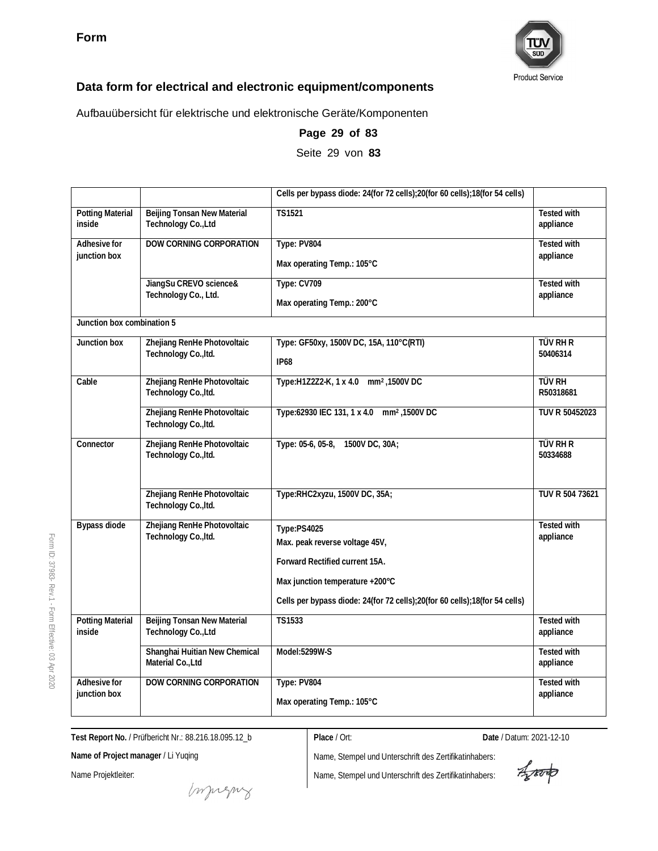

Aufbauübersicht für elektrische und elektronische Geräte/Komponenten

|                                   |                                                     | Cells per bypass diode: 24(for 72 cells);20(for 60 cells);18(for 54 cells)                                      |                                 |
|-----------------------------------|-----------------------------------------------------|-----------------------------------------------------------------------------------------------------------------|---------------------------------|
| <b>Potting Material</b><br>inside | Beijing Tonsan New Material<br>Technology Co., Ltd  | <b>TS1521</b>                                                                                                   | <b>Tested with</b><br>appliance |
| Adhesive for<br>junction box      | DOW CORNING CORPORATION                             | Type: PV804<br>Max operating Temp.: 105°C                                                                       | <b>Tested with</b><br>appliance |
|                                   | JiangSu CREVO science&<br>Technology Co., Ltd.      | Type: CV709<br>Max operating Temp.: 200°C                                                                       | <b>Tested with</b><br>appliance |
| Junction box combination 5        |                                                     |                                                                                                                 |                                 |
| Junction box                      | Zhejiang RenHe Photovoltaic<br>Technology Co., Itd. | Type: GF50xy, 1500V DC, 15A, 110°C(RTI)<br><b>IP68</b>                                                          | tüv Rh R<br>50406314            |
| Cable                             | Zhejiang RenHe Photovoltaic<br>Technology Co., Itd. | Type:H1Z2Z2-K, 1 x 4.0 mm <sup>2</sup> , 1500V DC                                                               | <b>TÜV RH</b><br>R50318681      |
|                                   | Zhejiang RenHe Photovoltaic<br>Technology Co., Itd. | Type:62930 IEC 131, 1 x 4.0 mm <sup>2</sup> , 1500V DC                                                          | TUV R 50452023                  |
| Connector                         | Zhejiang RenHe Photovoltaic<br>Technology Co., Itd. | Type: 05-6, 05-8,<br>1500V DC, 30A;                                                                             | TÜV RH R<br>50334688            |
|                                   | Zhejiang RenHe Photovoltaic<br>Technology Co., Itd. | Type:RHC2xyzu, 1500V DC, 35A;                                                                                   | TUV R 504 73621                 |
| <b>Bypass diode</b>               | Zhejiang RenHe Photovoltaic<br>Technology Co., Itd. | Type:PS4025<br>Max. peak reverse voltage 45V,<br>Forward Rectified current 15A.                                 | <b>Tested with</b><br>appliance |
|                                   |                                                     | Max junction temperature +200°C<br>Cells per bypass diode: 24(for 72 cells); 20(for 60 cells); 18(for 54 cells) |                                 |
| <b>Potting Material</b><br>inside | Beijing Tonsan New Material<br>Technology Co., Ltd  | <b>TS1533</b>                                                                                                   | <b>Tested with</b><br>appliance |
|                                   | Shanghai Huitian New Chemical<br>Material Co., Ltd  | Model:5299W-S                                                                                                   | <b>Tested with</b><br>appliance |
| Adhesive for<br>junction box      | DOW CORNING CORPORATION                             | Type: PV804<br>Max operating Temp.: 105°C                                                                       | <b>Tested with</b><br>appliance |

**Page 29 of 83**

Seite 29 von **83**

**Test Report No.** / Prüfbericht Nr.: 88.216.18.095.12\_b

**Place** / Ort: **Date** / Datum: 2021-12-10

**Name of Project manager** / Li Yuqing

Name Projektleiter:

Impregnz

Aproto

Form ID: 37983- Rev.1 - Form Effective:  $\mathbb S$ Apr 2020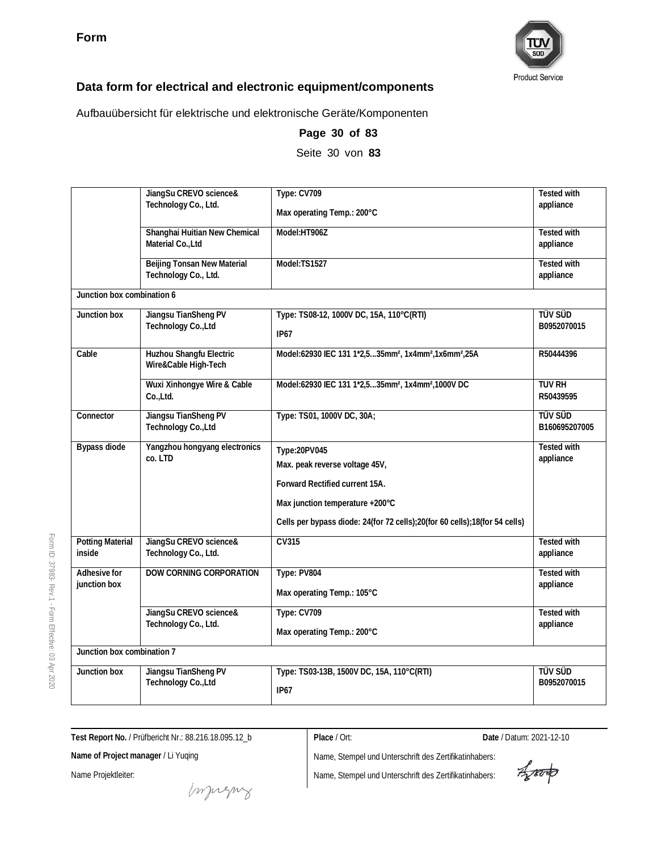

Aufbauübersicht für elektrische und elektronische Geräte/Komponenten

|                              | JiangSu CREVO science&                              | Type: CV709                                                                                                                                                                                       | <b>Tested with</b>              |
|------------------------------|-----------------------------------------------------|---------------------------------------------------------------------------------------------------------------------------------------------------------------------------------------------------|---------------------------------|
|                              | Technology Co., Ltd.                                | Max operating Temp.: 200°C                                                                                                                                                                        | appliance                       |
|                              | Shanghai Huitian New Chemical<br>Material Co., Ltd  | Model:HT906Z                                                                                                                                                                                      | <b>Tested with</b><br>appliance |
|                              | Beijing Tonsan New Material<br>Technology Co., Ltd. | Model:TS1527                                                                                                                                                                                      | <b>Tested with</b><br>appliance |
| Junction box combination 6   |                                                     |                                                                                                                                                                                                   |                                 |
| Junction box                 | Jiangsu TianSheng PV<br>Technology Co., Ltd         | Type: TS08-12, 1000V DC, 15A, 110°C(RTI)<br><b>IP67</b>                                                                                                                                           | <b>TÜV SÜD</b><br>B0952070015   |
| Cable                        | Huzhou Shangfu Electric<br>Wire&Cable High-Tech     | Model:62930 IEC 131 1*2,535mm <sup>2</sup> , 1x4mm <sup>2</sup> ,1x6mm <sup>2</sup> ,25A                                                                                                          | R50444396                       |
|                              | Wuxi Xinhongye Wire & Cable<br>Co.,Ltd.             | Model:62930 IEC 131 1*2,535mm <sup>2</sup> , 1x4mm <sup>2</sup> ,1000V DC                                                                                                                         | <b>TUV RH</b><br>R50439595      |
| Connector                    | Jiangsu TianSheng PV<br>Technology Co., Ltd         | Type: TS01, 1000V DC, 30A;                                                                                                                                                                        | <b>TÜV SÜD</b><br>B160695207005 |
| Bypass diode                 | Yangzhou hongyang electronics<br>co. LTD            | Type:20PV045<br>Max. peak reverse voltage 45V,<br>Forward Rectified current 15A.<br>Max junction temperature +200°C<br>Cells per bypass diode: 24(for 72 cells);20(for 60 cells);18(for 54 cells) | Tested with<br>appliance        |
| Potting Material<br>inside   | JiangSu CREVO science&<br>Technology Co., Ltd.      | CV315                                                                                                                                                                                             | <b>Tested with</b><br>appliance |
| Adhesive for<br>junction box | DOW CORNING CORPORATION                             | Type: PV804<br>Max operating Temp.: 105°C                                                                                                                                                         | <b>Tested with</b><br>appliance |
|                              | JiangSu CREVO science&<br>Technology Co., Ltd.      | Type: CV709<br>Max operating Temp.: 200°C                                                                                                                                                         | <b>Tested with</b><br>appliance |
| Junction box combination 7   |                                                     |                                                                                                                                                                                                   |                                 |
| Junction box                 | Jiangsu TianSheng PV<br>Technology Co., Ltd         | Type: TS03-13B, 1500V DC, 15A, 110°C(RTI)<br><b>IP67</b>                                                                                                                                          | <b>TÜV SÜD</b><br>B0952070015   |

**Page 30 of 83**

Seite 30 von **83**

**Test Report No.** / Prüfbericht Nr.: 88.216.18.095.12\_b

**Name of Project manager** / Li Yuqing

Name Projektleiter:

**Place** / Ort: **Date** / Datum: 2021-12-10

Aporto

Name, Stempel und Unterschrift des Zertifikatinhabers:

Name, Stempel und Unterschrift des Zertifikatinhabers:

**Product Service** 

Form ID: 37983- Rev.1 - Form Effective:  $\mathbb S$ Apr 2020

money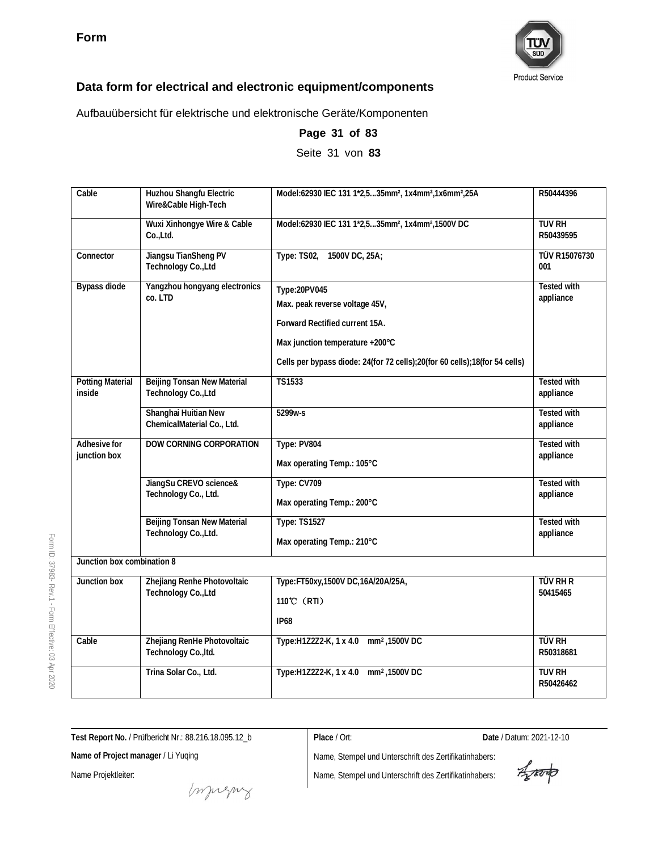

Aufbauübersicht für elektrische und elektronische Geräte/Komponenten

| Cable                             | Huzhou Shangfu Electric<br>Wire&Cable High-Tech     | Model:62930 IEC 131 1*2,535mm <sup>2</sup> , 1x4mm <sup>2</sup> ,1x6mm <sup>2</sup> ,25A                                                                                                          | R50444396                       |
|-----------------------------------|-----------------------------------------------------|---------------------------------------------------------------------------------------------------------------------------------------------------------------------------------------------------|---------------------------------|
|                                   | Wuxi Xinhongye Wire & Cable<br>Co.,Ltd.             | Model:62930 IEC 131 1*2,535mm <sup>2</sup> , 1x4mm <sup>2</sup> ,1500V DC                                                                                                                         | <b>TUV RH</b><br>R50439595      |
| Connector                         | Jiangsu TianSheng PV<br>Technology Co., Ltd         | 1500V DC, 25A;<br>Type: TS02,                                                                                                                                                                     | <b>TÜV R15076730</b><br>001     |
| Bypass diode                      | Yangzhou hongyang electronics<br>co. LTD            | Type:20PV045<br>Max. peak reverse voltage 45V,<br>Forward Rectified current 15A.<br>Max junction temperature +200°C<br>Cells per bypass diode: 24(for 72 cells);20(for 60 cells);18(for 54 cells) | <b>Tested with</b><br>appliance |
| <b>Potting Material</b><br>inside | Beijing Tonsan New Material<br>Technology Co., Ltd  | <b>TS1533</b>                                                                                                                                                                                     | <b>Tested with</b><br>appliance |
|                                   | Shanghai Huitian New<br>ChemicalMaterial Co., Ltd.  | 5299w-s                                                                                                                                                                                           | Tested with<br>appliance        |
| Adhesive for<br>junction box      | DOW CORNING CORPORATION                             | Type: PV804<br>Max operating Temp.: 105°C                                                                                                                                                         | <b>Tested with</b><br>appliance |
|                                   | JiangSu CREVO science&<br>Technology Co., Ltd.      | Type: CV709<br>Max operating Temp.: 200°C                                                                                                                                                         | Tested with<br>appliance        |
|                                   | Beijing Tonsan New Material<br>Technology Co., Ltd. | <b>Type: TS1527</b><br>Max operating Temp.: 210°C                                                                                                                                                 | <b>Tested with</b><br>appliance |
| Junction box combination 8        |                                                     |                                                                                                                                                                                                   |                                 |
| Junction box                      | Zhejiang Renhe Photovoltaic<br>Technology Co., Ltd  | Type: FT50xy, 1500V DC, 16A/20A/25A,<br>110°C (RTI)<br><b>IP68</b>                                                                                                                                | TÜV RH R<br>50415465            |
| Cable                             | Zhejiang RenHe Photovoltaic<br>Technology Co., Itd. | Type:H1Z2Z2-K, 1 x 4.0 mm <sup>2</sup> , 1500V DC                                                                                                                                                 | <b>TÜV RH</b><br>R50318681      |
|                                   | Trina Solar Co., Ltd.                               | Type:H1Z2Z2-K, 1 x 4.0 mm <sup>2</sup> , 1500V DC                                                                                                                                                 | <b>TUV RH</b><br>R50426462      |

**Page 31 of 83**

Seite 31 von **83**

Form ID: 37983- Rev.1 - Form Effective:  $\mathbb S$ Apr 2020

**Test Report No.** / Prüfbericht Nr.: 88.216.18.095.12\_b

**Place** / Ort: **Date** / Datum: 2021-12-10

**Name of Project manager** / Li Yuqing

Name Projektleiter:

Aporto

money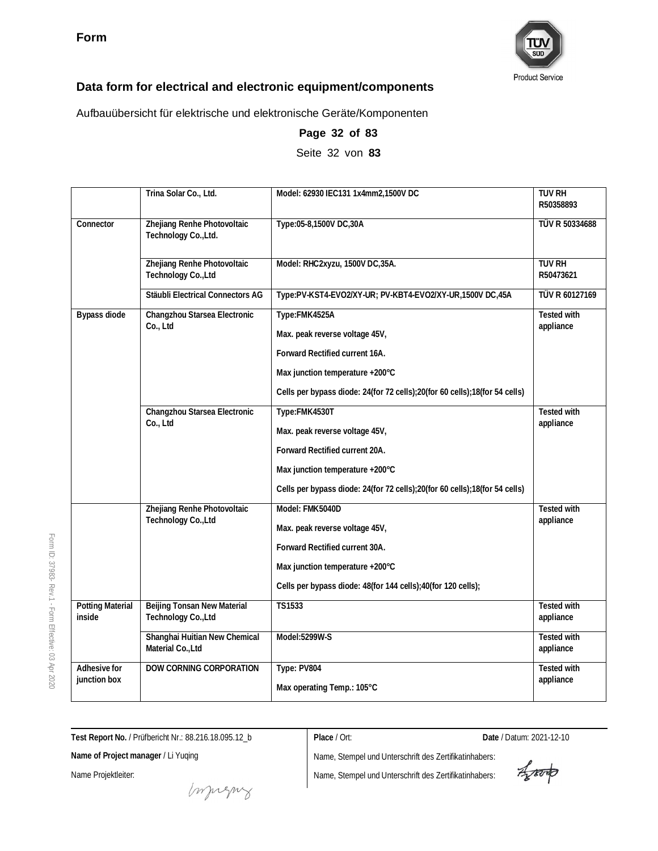

Aufbauübersicht für elektrische und elektronische Geräte/Komponenten

|                                   | Trina Solar Co., Ltd.                                     | Model: 62930 IEC131 1x4mm2,1500V DC                                        | <b>TUV RH</b><br>R50358893      |
|-----------------------------------|-----------------------------------------------------------|----------------------------------------------------------------------------|---------------------------------|
| Connector                         | Zhejiang Renhe Photovoltaic<br>Technology Co., Ltd.       | Type:05-8,1500V DC,30A                                                     | TÜV R 50334688                  |
|                                   | Zhejiang Renhe Photovoltaic<br>Technology Co., Ltd        | Model: RHC2xyzu, 1500V DC, 35A.                                            | <b>TUV RH</b><br>R50473621      |
|                                   | Stäubli Electrical Connectors AG                          | Type:PV-KST4-EVO2/XY-UR; PV-KBT4-EVO2/XY-UR,1500V DC,45A                   | TÜV R 60127169                  |
| <b>Bypass diode</b>               | Changzhou Starsea Electronic<br>Co., Ltd                  | Type:FMK4525A                                                              | <b>Tested with</b>              |
|                                   |                                                           | Max. peak reverse voltage 45V,                                             | appliance                       |
|                                   |                                                           | Forward Rectified current 16A.                                             |                                 |
|                                   |                                                           | Max junction temperature +200°C                                            |                                 |
|                                   |                                                           | Cells per bypass diode: 24(for 72 cells);20(for 60 cells);18(for 54 cells) |                                 |
|                                   | Changzhou Starsea Electronic<br>Co., Ltd                  | Type:FMK4530T                                                              | <b>Tested with</b><br>appliance |
|                                   |                                                           | Max. peak reverse voltage 45V,                                             |                                 |
|                                   |                                                           | Forward Rectified current 20A.                                             |                                 |
|                                   |                                                           | Max junction temperature +200°C                                            |                                 |
|                                   |                                                           | Cells per bypass diode: 24(for 72 cells);20(for 60 cells);18(for 54 cells) |                                 |
|                                   | Zhejiang Renhe Photovoltaic<br>Technology Co., Ltd        | Model: FMK5040D                                                            | <b>Tested with</b><br>appliance |
|                                   |                                                           | Max. peak reverse voltage 45V,                                             |                                 |
|                                   |                                                           | Forward Rectified current 30A.                                             |                                 |
|                                   |                                                           | Max junction temperature +200°C                                            |                                 |
|                                   |                                                           | Cells per bypass diode: 48(for 144 cells);40(for 120 cells);               |                                 |
| <b>Potting Material</b><br>inside | <b>Beijing Tonsan New Material</b><br>Technology Co., Ltd | <b>TS1533</b>                                                              | <b>Tested with</b><br>appliance |
|                                   | Shanghai Huitian New Chemical<br>Material Co., Ltd        | Model:5299W-S                                                              | Tested with<br>appliance        |
| Adhesive for<br>junction box      | DOW CORNING CORPORATION                                   | Type: PV804<br>Max operating Temp.: 105°C                                  | <b>Tested with</b><br>appliance |

#### **Page 32 of 83**

Seite 32 von **83**

**Test Report No.** / Prüfbericht Nr.: 88.216.18.095.12\_b

**Place** / Ort: **Date** / Datum: 2021-12-10

Aparto

muring

Name, Stempel und Unterschrift des Zertifikatinhabers: Name, Stempel und Unterschrift des Zertifikatinhabers:

**Name of Project manager** / Li Yuqing

Name Projektleiter:

Form ID: 37983-

Rev.1 - Form

Effective:  $\mathbb S$ Apr 2020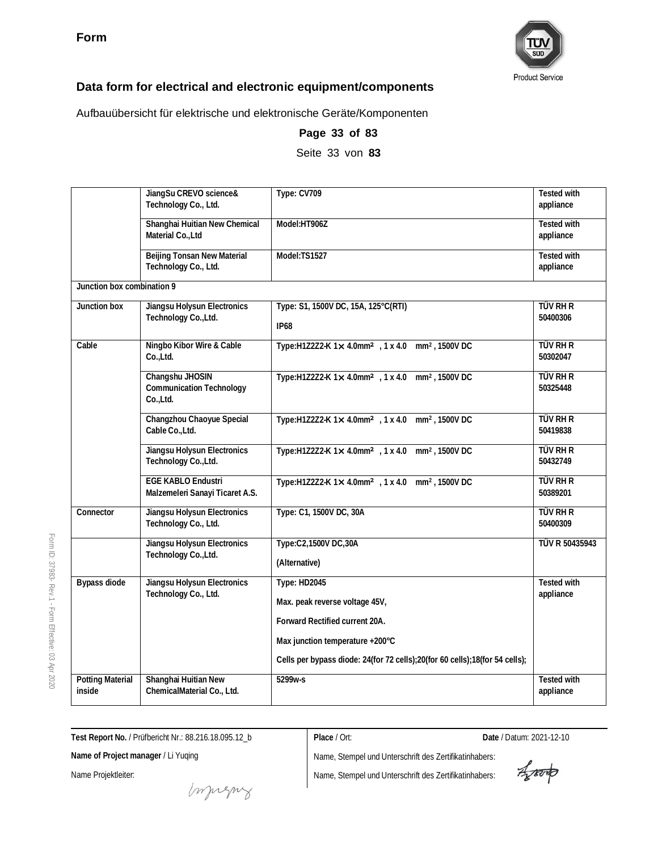

Aufbauübersicht für elektrische und elektronische Geräte/Komponenten

|                                   | JiangSu CREVO science&<br>Technology Co., Ltd.                 | Type: CV709                                                                                                                                                                                               | <b>Tested with</b><br>appliance |
|-----------------------------------|----------------------------------------------------------------|-----------------------------------------------------------------------------------------------------------------------------------------------------------------------------------------------------------|---------------------------------|
|                                   | Shanghai Huitian New Chemical<br>Material Co., Ltd             | Model:HT906Z                                                                                                                                                                                              | <b>Tested with</b><br>appliance |
|                                   | Beijing Tonsan New Material<br>Technology Co., Ltd.            | Model:TS1527                                                                                                                                                                                              | <b>Tested with</b><br>appliance |
| Junction box combination 9        |                                                                |                                                                                                                                                                                                           |                                 |
| Junction box                      | Jiangsu Holysun Electronics<br>Technology Co., Ltd.            | Type: S1, 1500V DC, 15A, 125°C(RTI)<br><b>IP68</b>                                                                                                                                                        | <b>TÜV RH R</b><br>50400306     |
| Cable                             | Ningbo Kibor Wire & Cable<br>Co.,Ltd.                          | Type:H1Z2Z2-K 1x 4.0mm <sup>2</sup> , 1 x 4.0 mm <sup>2</sup> , 1500V DC                                                                                                                                  | <b>TÜV RH R</b><br>50302047     |
|                                   | Changshu JHOSIN<br><b>Communication Technology</b><br>Co.,Ltd. | Type:H1Z2Z2-K 1x 4.0mm <sup>2</sup> , 1 x 4.0 mm <sup>2</sup> , 1500V DC                                                                                                                                  | TÜV RH R<br>50325448            |
|                                   | Changzhou Chaoyue Special<br>Cable Co., Ltd.                   | Type:H1Z2Z2-K 1× 4.0mm <sup>2</sup> , 1 x 4.0 mm <sup>2</sup> , 1500V DC                                                                                                                                  | TÜV RH R<br>50419838            |
|                                   | Jiangsu Holysun Electronics<br>Technology Co., Ltd.            | Type:H1Z2Z2-K 1x 4.0mm <sup>2</sup> , 1 x 4.0 mm <sup>2</sup> , 1500V DC                                                                                                                                  | <b>TÜV RH R</b><br>50432749     |
|                                   | <b>EGE KABLO Endustri</b><br>Malzemeleri Sanayi Ticaret A.S.   | Type:H1Z2Z2-K 1x 4.0mm <sup>2</sup> , 1 x 4.0 mm <sup>2</sup> , 1500V DC                                                                                                                                  | <b>TÜV RH R</b><br>50389201     |
| Connector                         | Jiangsu Holysun Electronics<br>Technology Co., Ltd.            | Type: C1, 1500V DC, 30A                                                                                                                                                                                   | <b>TÜV RH R</b><br>50400309     |
|                                   | Jiangsu Holysun Electronics<br>Technology Co., Ltd.            | Type:C2,1500V DC,30A<br>(Alternative)                                                                                                                                                                     | TÜV R 50435943                  |
| <b>Bypass diode</b>               | Jiangsu Holysun Electronics<br>Technology Co., Ltd.            | <b>Type: HD2045</b><br>Max. peak reverse voltage 45V,<br>Forward Rectified current 20A.<br>Max junction temperature +200°C<br>Cells per bypass diode: 24(for 72 cells);20(for 60 cells);18(for 54 cells); | <b>Tested with</b><br>appliance |
| <b>Potting Material</b><br>inside | Shanghai Huitian New<br>ChemicalMaterial Co., Ltd.             | 5299w-s                                                                                                                                                                                                   | <b>Tested with</b><br>appliance |

**Page 33 of 83** Seite 33 von **83**

Form ID: 37983- Rev.1 - Form Effective:  $\mathbb S$ Apr 2020

**Test Report No.** / Prüfbericht Nr.: 88.216.18.095.12\_b

**Place** / Ort: **Date** / Datum: 2021-12-10

**Name of Project manager** / Li Yuqing

Name Projektleiter:

muring

Aparto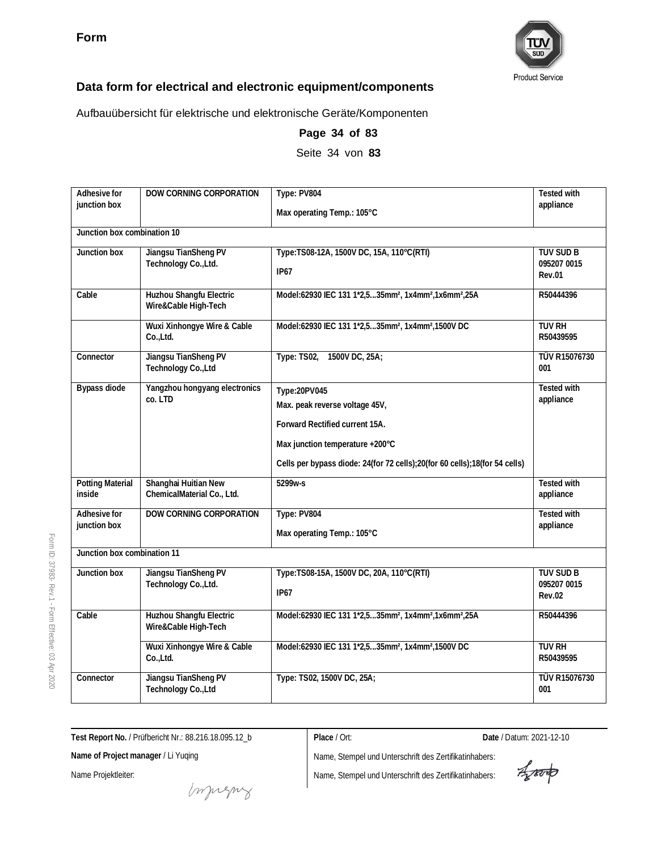

Aufbauübersicht für elektrische und elektronische Geräte/Komponenten

| Adhesive for                      | DOW CORNING CORPORATION                            | Type: PV804                                                                              | <b>Tested with</b>              |
|-----------------------------------|----------------------------------------------------|------------------------------------------------------------------------------------------|---------------------------------|
| junction box                      |                                                    | Max operating Temp.: 105°C                                                               | appliance                       |
| Junction box combination 10       |                                                    |                                                                                          |                                 |
| Junction box                      | Jiangsu TianSheng PV                               | Type:TS08-12A, 1500V DC, 15A, 110°C(RTI)                                                 | TUV SUD B                       |
|                                   | Technology Co., Ltd.                               | IP67                                                                                     | 095207 0015<br><b>Rev.01</b>    |
| Cable                             | Huzhou Shangfu Electric<br>Wire&Cable High-Tech    | Model:62930 IEC 131 1*2,535mm <sup>2</sup> , 1x4mm <sup>2</sup> ,1x6mm <sup>2</sup> ,25A | R50444396                       |
|                                   | Wuxi Xinhongye Wire & Cable<br>Co.,Ltd.            | Model:62930 IEC 131 1*2,535mm <sup>2</sup> , 1x4mm <sup>2</sup> ,1500V DC                | <b>TUV RH</b><br>R50439595      |
| Connector                         | Jiangsu TianSheng PV<br>Technology Co., Ltd        | Type: TS02,<br>1500V DC, 25A;                                                            | <b>TÜV R15076730</b><br>001     |
| <b>Bypass diode</b>               | Yangzhou hongyang electronics<br>co. LTD           | Type:20PV045                                                                             | <b>Tested with</b>              |
|                                   |                                                    | Max. peak reverse voltage 45V,                                                           | appliance                       |
|                                   |                                                    | Forward Rectified current 15A.                                                           |                                 |
|                                   |                                                    | Max junction temperature +200°C                                                          |                                 |
|                                   |                                                    | Cells per bypass diode: 24(for 72 cells);20(for 60 cells);18(for 54 cells)               |                                 |
| <b>Potting Material</b><br>inside | Shanghai Huitian New<br>ChemicalMaterial Co., Ltd. | 5299w-s                                                                                  | <b>Tested with</b><br>appliance |
| Adhesive for                      | DOW CORNING CORPORATION                            | Type: PV804                                                                              | <b>Tested with</b>              |
| junction box                      |                                                    | Max operating Temp.: 105°C                                                               | appliance                       |
| Junction box combination 11       |                                                    |                                                                                          |                                 |
| Junction box                      | Jiangsu TianSheng PV                               | Type:TS08-15A, 1500V DC, 20A, 110°C(RTI)                                                 | <b>TUV SUD B</b>                |
|                                   | Technology Co., Ltd.                               | IP67                                                                                     | 095207 0015<br><b>Rev.02</b>    |
| Cable                             | Huzhou Shangfu Electric<br>Wire&Cable High-Tech    | Model:62930 IEC 131 1*2,535mm <sup>2</sup> , 1x4mm <sup>2</sup> ,1x6mm <sup>2</sup> ,25A | R50444396                       |
|                                   | Wuxi Xinhongye Wire & Cable<br>Co.,Ltd.            | Model:62930 IEC 131 1*2,535mm <sup>2</sup> , 1x4mm <sup>2</sup> ,1500V DC                | <b>TUV RH</b><br>R50439595      |
| Connector                         | Jiangsu TianSheng PV<br>Technology Co., Ltd        | Type: TS02, 1500V DC, 25A;                                                               | TÜV R15076730<br>001            |

**Page 34 of 83** Seite 34 von **83**

**Test Report No.** / Prüfbericht Nr.: 88.216.18.095.12\_b

**Place** / Ort: **Date** / Datum: 2021-12-10

**Name of Project manager** / Li Yuqing

Name Projektleiter:

Form ID: 37983-

Rev.1 - Form

Effective:  $\mathbb S$ Apr 2020

Aporto

money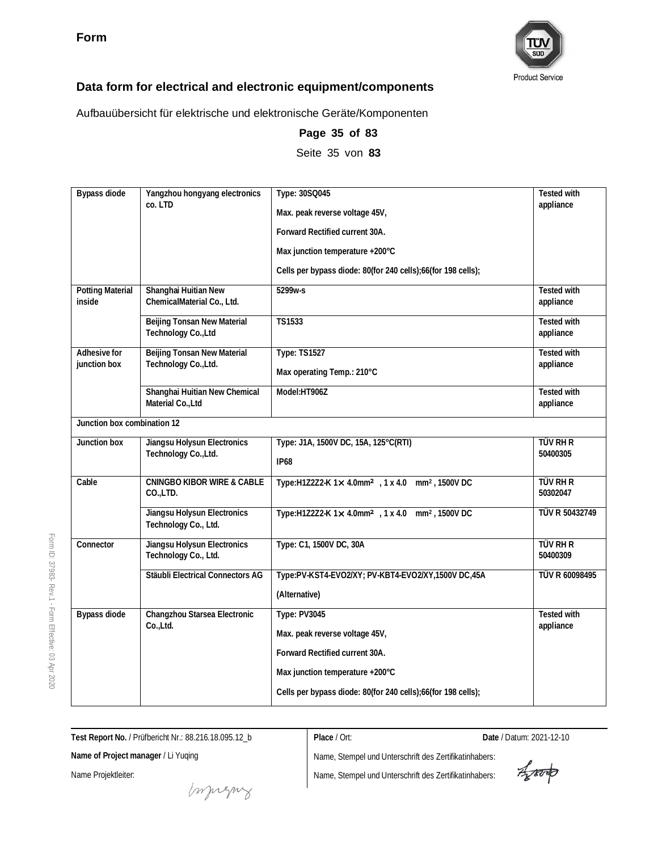

Aufbauübersicht für elektrische und elektronische Geräte/Komponenten

| Bypass diode                      | Yangzhou hongyang electronics<br>co. LTD            | Type: 30SQ045                                                            | Tested with<br>appliance        |
|-----------------------------------|-----------------------------------------------------|--------------------------------------------------------------------------|---------------------------------|
|                                   |                                                     | Max. peak reverse voltage 45V,                                           |                                 |
|                                   |                                                     | Forward Rectified current 30A.                                           |                                 |
|                                   |                                                     | Max junction temperature +200°C                                          |                                 |
|                                   |                                                     | Cells per bypass diode: 80(for 240 cells);66(for 198 cells);             |                                 |
| <b>Potting Material</b><br>inside | Shanghai Huitian New<br>ChemicalMaterial Co., Ltd.  | 5299w-s                                                                  | <b>Tested with</b><br>appliance |
|                                   | Beijing Tonsan New Material<br>Technology Co., Ltd  | <b>TS1533</b>                                                            | <b>Tested with</b><br>appliance |
| Adhesive for                      | Beijing Tonsan New Material                         | <b>Type: TS1527</b>                                                      | <b>Tested with</b>              |
| junction box                      | Technology Co., Ltd.                                | Max operating Temp.: 210°C                                               | appliance                       |
|                                   | Shanghai Huitian New Chemical<br>Material Co., Ltd  | Model:HT906Z                                                             | <b>Tested with</b><br>appliance |
| Junction box combination 12       |                                                     |                                                                          |                                 |
| Junction box                      | Jiangsu Holysun Electronics<br>Technology Co., Ltd. | Type: J1A, 1500V DC, 15A, 125°C(RTI)                                     | <b>TÜV RH R</b>                 |
|                                   |                                                     | <b>IP68</b>                                                              | 50400305                        |
| Cable                             | <b>CNINGBO KIBOR WIRE &amp; CABLE</b><br>CO.,LTD.   | Type:H1Z2Z2-K 1x 4.0mm <sup>2</sup> , 1 x 4.0 mm <sup>2</sup> , 1500V DC | <b>TÜV RH R</b><br>50302047     |
|                                   | Jiangsu Holysun Electronics<br>Technology Co., Ltd. | Type:H1Z2Z2-K 1x 4.0mm <sup>2</sup> , 1 x 4.0 mm <sup>2</sup> , 1500V DC | TÜV R 50432749                  |
| Connector                         | Jiangsu Holysun Electronics<br>Technology Co., Ltd. | Type: C1, 1500V DC, 30A                                                  | TÜV RH R<br>50400309            |
|                                   | Stäubli Electrical Connectors AG                    | Type:PV-KST4-EVO2/XY; PV-KBT4-EVO2/XY,1500V DC,45A                       | TÜV R 60098495                  |
|                                   |                                                     | (Alternative)                                                            |                                 |
| Bypass diode                      | Changzhou Starsea Electronic<br>Co.,Ltd.            | Type: PV3045                                                             | Tested with<br>appliance        |
|                                   |                                                     | Max. peak reverse voltage 45V,                                           |                                 |
|                                   |                                                     | Forward Rectified current 30A.                                           |                                 |
|                                   |                                                     | Max junction temperature +200°C                                          |                                 |
|                                   |                                                     | Cells per bypass diode: 80(for 240 cells);66(for 198 cells);             |                                 |

**Page 35 of 83**

Seite 35 von **83**

Form

**Test Report No.** / Prüfbericht Nr.: 88.216.18.095.12\_b

**Name of Project manager** / Li Yuqing

Name Projektleiter:

**Place** / Ort: **Date** / Datum: 2021-12-10

Aporto

muring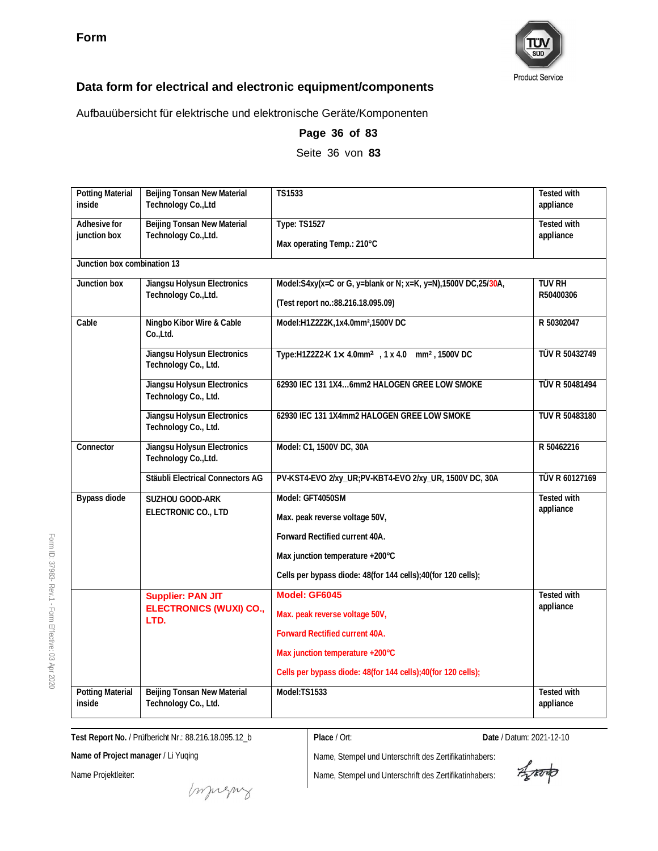

Aufbauübersicht für elektrische und elektronische Geräte/Komponenten

| <b>Potting Material</b><br>inside | Beijing Tonsan New Material<br>Technology Co., Ltd  | TS1533                                                                   | <b>Tested with</b><br>appliance |
|-----------------------------------|-----------------------------------------------------|--------------------------------------------------------------------------|---------------------------------|
| Adhesive for                      | Beijing Tonsan New Material                         | <b>Type: TS1527</b>                                                      | <b>Tested with</b>              |
| junction box                      | Technology Co., Ltd.                                | Max operating Temp.: 210°C                                               | appliance                       |
| Junction box combination 13       |                                                     |                                                                          |                                 |
| Junction box                      | Jiangsu Holysun Electronics<br>Technology Co., Ltd. | Model:S4xy(x=C or G, y=blank or N; x=K, y=N),1500V DC,25/30A,            | <b>TUV RH</b><br>R50400306      |
|                                   |                                                     | (Test report no.: 88.216.18.095.09)                                      |                                 |
| Cable                             | Ningbo Kibor Wire & Cable<br>Co.,Ltd.               | Model:H1Z2Z2K,1x4.0mm <sup>2</sup> ,1500V DC                             | R 50302047                      |
|                                   | Jiangsu Holysun Electronics<br>Technology Co., Ltd. | Type:H1Z2Z2-K 1× 4.0mm <sup>2</sup> , 1 x 4.0 mm <sup>2</sup> , 1500V DC | TÜV R 50432749                  |
|                                   | Jiangsu Holysun Electronics<br>Technology Co., Ltd. | 62930 IEC 131 1X46mm2 HALOGEN GREE LOW SMOKE                             | TÜV R 50481494                  |
|                                   | Jiangsu Holysun Electronics<br>Technology Co., Ltd. | 62930 IEC 131 1X4mm2 HALOGEN GREE LOW SMOKE                              | TUV R 50483180                  |
| Connector                         | Jiangsu Holysun Electronics<br>Technology Co., Ltd. | Model: C1, 1500V DC, 30A                                                 | R 50462216                      |
|                                   | Stäubli Electrical Connectors AG                    | PV-KST4-EVO 2/xy_UR;PV-KBT4-EVO 2/xy_UR, 1500V DC, 30A                   | TÜV R 60127169                  |
| Bypass diode                      | SUZHOU GOOD-ARK                                     | Model: GFT4050SM                                                         | <b>Tested with</b>              |
|                                   | ELECTRONIC CO., LTD                                 | Max. peak reverse voltage 50V,                                           | appliance                       |
|                                   |                                                     | Forward Rectified current 40A.                                           |                                 |
|                                   |                                                     | Max junction temperature +200°C                                          |                                 |
|                                   |                                                     | Cells per bypass diode: 48(for 144 cells);40(for 120 cells);             |                                 |
|                                   | <b>Supplier: PAN JIT</b>                            | Model: GF6045                                                            | <b>Tested with</b><br>appliance |
| LTD.                              | <b>ELECTRONICS (WUXI) CO.,</b>                      | Max. peak reverse voltage 50V,                                           |                                 |
|                                   |                                                     | Forward Rectified current 40A.                                           |                                 |
|                                   |                                                     | Max junction temperature +200°C                                          |                                 |
|                                   |                                                     | Cells per bypass diode: 48(for 144 cells);40(for 120 cells);             |                                 |
| <b>Potting Material</b><br>inside | Beijing Tonsan New Material<br>Technology Co., Ltd. | Model:TS1533                                                             | Tested with<br>appliance        |

**Page 36 of 83**

Seite 36 von **83**

**Test Report No.** / Prüfbericht Nr.: 88.216.18.095.12\_b

**Place** / Ort: **Date** / Datum: 2021-12-10

**Name of Project manager** / Li Yuqing

Name Projektleiter:

Impregnz

Aproto

Form ID: 37983- Rev.1 - Form Effective:  $\mathbb S$ Apr 2020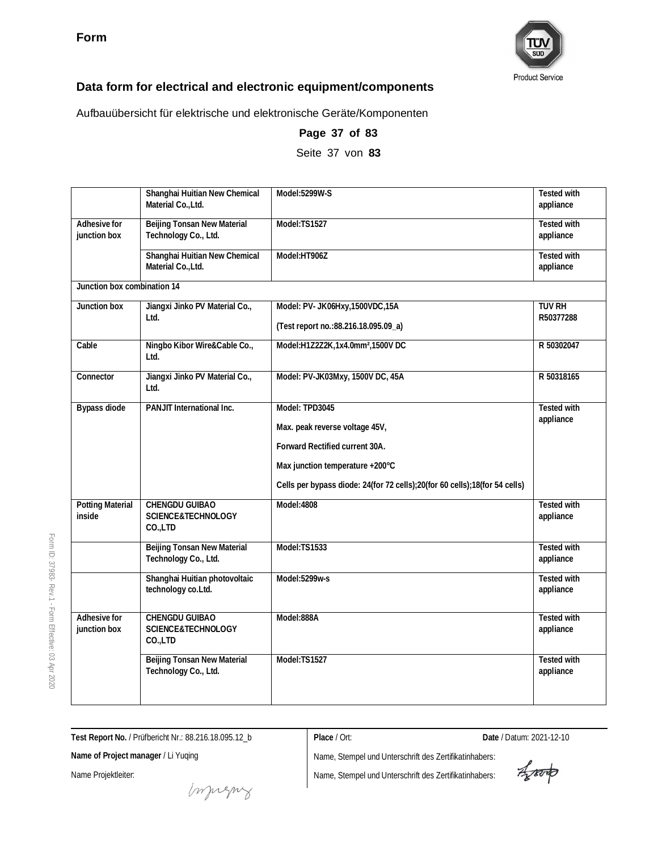

Aufbauübersicht für elektrische und elektronische Geräte/Komponenten

|                                   | Shanghai Huitian New Chemical<br>Material Co., Ltd.               | Model:5299W-S                                                                                                                                                                                       | <b>Tested with</b><br>appliance |
|-----------------------------------|-------------------------------------------------------------------|-----------------------------------------------------------------------------------------------------------------------------------------------------------------------------------------------------|---------------------------------|
| Adhesive for<br>junction box      | Beijing Tonsan New Material<br>Technology Co., Ltd.               | Model:TS1527                                                                                                                                                                                        | <b>Tested with</b><br>appliance |
|                                   | Shanghai Huitian New Chemical<br>Material Co., Ltd.               | Model:HT906Z                                                                                                                                                                                        | Tested with<br>appliance        |
| Junction box combination 14       |                                                                   |                                                                                                                                                                                                     |                                 |
| Junction box                      | Jiangxi Jinko PV Material Co.,<br>Ltd.                            | Model: PV- JK06Hxy, 1500VDC, 15A<br>(Test report no.: 88.216.18.095.09_a)                                                                                                                           | <b>TUV RH</b><br>R50377288      |
| Cable                             | Ningbo Kibor Wire&Cable Co.,<br>Ltd.                              | Model:H1Z2Z2K,1x4.0mm <sup>2</sup> ,1500V DC                                                                                                                                                        | R 50302047                      |
| Connector                         | Jiangxi Jinko PV Material Co.,<br>Ltd.                            | Model: PV-JK03Mxy, 1500V DC, 45A                                                                                                                                                                    | R 50318165                      |
| <b>Bypass diode</b>               | PANJIT International Inc.                                         | Model: TPD3045<br>Max. peak reverse voltage 45V,<br>Forward Rectified current 30A.<br>Max junction temperature +200°C<br>Cells per bypass diode: 24(for 72 cells);20(for 60 cells);18(for 54 cells) | <b>Tested with</b><br>appliance |
| <b>Potting Material</b><br>inside | <b>CHENGDU GUIBAO</b><br><b>SCIENCE&amp;TECHNOLOGY</b><br>CO.,LTD | Model:4808                                                                                                                                                                                          | <b>Tested with</b><br>appliance |
|                                   | Beijing Tonsan New Material<br>Technology Co., Ltd.               | Model:TS1533                                                                                                                                                                                        | <b>Tested with</b><br>appliance |
|                                   | Shanghai Huitian photovoltaic<br>technology co.Ltd.               | Model:5299w-s                                                                                                                                                                                       | Tested with<br>appliance        |
| Adhesive for<br>junction box      | CHENGDU GUIBAO<br>SCIENCE&TECHNOLOGY<br>CO.,LTD                   | Model:888A                                                                                                                                                                                          | <b>Tested with</b><br>appliance |
|                                   | Beijing Tonsan New Material<br>Technology Co., Ltd.               | Model:TS1527                                                                                                                                                                                        | <b>Tested with</b><br>appliance |

**Page 37 of 83** Seite 37 von **83**

**Test Report No.** / Prüfbericht Nr.: 88.216.18.095.12\_b

**Name of Project manager** / Li Yuqing

Name Projektleiter:

**Place** / Ort: **Date** / Datum: 2021-12-10

Aporto

muring

Name, Stempel und Unterschrift des Zertifikatinhabers:

Form ID: 37983- Rev.1 - Form Effective:  $\mathbb S$ Apr 2020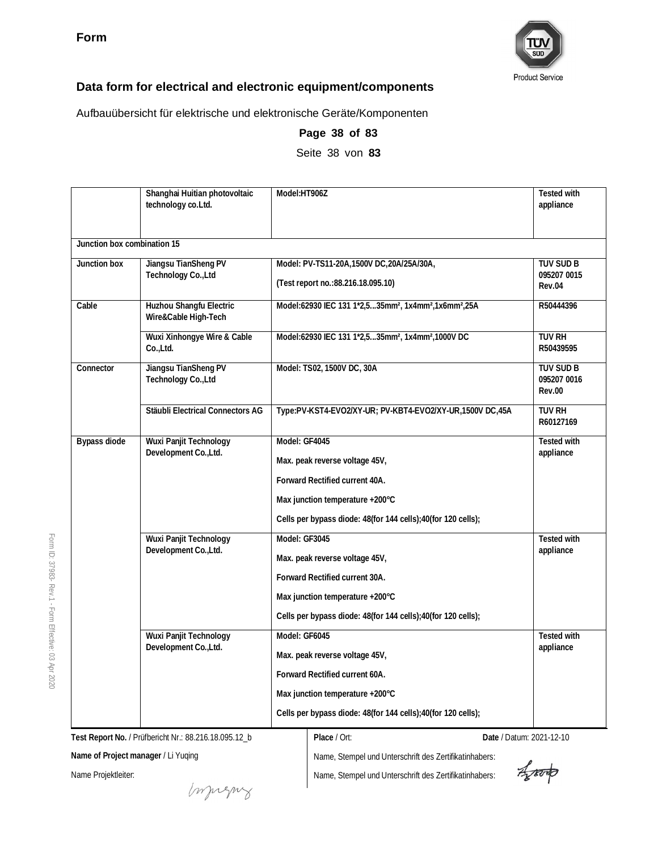

Aufbauübersicht für elektrische und elektronische Geräte/Komponenten

|                             | Shanghai Huitian photovoltaic<br>technology co. Ltd. | Model:HT906Z                                                                             | <b>Tested with</b><br>appliance                  |
|-----------------------------|------------------------------------------------------|------------------------------------------------------------------------------------------|--------------------------------------------------|
| Junction box combination 15 |                                                      |                                                                                          |                                                  |
| Junction box                | Jiangsu TianSheng PV                                 | Model: PV-TS11-20A, 1500V DC, 20A/25A/30A,                                               | TUV SUD B                                        |
|                             | Technology Co., Ltd                                  | (Test report no.: 88.216.18.095.10)                                                      | 095207 0015<br>Rev.04                            |
| Cable                       | Huzhou Shangfu Electric<br>Wire&Cable High-Tech      | Model:62930 IEC 131 1*2,535mm <sup>2</sup> , 1x4mm <sup>2</sup> ,1x6mm <sup>2</sup> ,25A | R50444396                                        |
|                             | Wuxi Xinhongye Wire & Cable<br>Co.,Ltd.              | Model:62930 IEC 131 1*2,535mm <sup>2</sup> , 1x4mm <sup>2</sup> ,1000V DC                | <b>TUV RH</b><br>R50439595                       |
| Connector                   | Jiangsu TianSheng PV<br>Technology Co., Ltd          | Model: TS02, 1500V DC, 30A                                                               | <b>TUV SUD B</b><br>095207 0016<br><b>Rev.00</b> |
|                             | Stäubli Electrical Connectors AG                     | Type:PV-KST4-EVO2/XY-UR; PV-KBT4-EVO2/XY-UR,1500V DC,45A                                 | TUV RH<br>R60127169                              |
| Bypass diode                | Wuxi Panjit Technology<br>Development Co., Ltd.      | Model: GF4045                                                                            | <b>Tested with</b>                               |
|                             |                                                      | Max. peak reverse voltage 45V,                                                           | appliance                                        |
|                             |                                                      | Forward Rectified current 40A.                                                           |                                                  |
|                             |                                                      | Max junction temperature +200°C                                                          |                                                  |
|                             |                                                      | Cells per bypass diode: 48(for 144 cells);40(for 120 cells);                             |                                                  |
|                             | Wuxi Panjit Technology<br>Development Co., Ltd.      | Model: GF3045                                                                            | <b>Tested with</b>                               |
|                             |                                                      | Max. peak reverse voltage 45V,                                                           | appliance                                        |
|                             |                                                      | Forward Rectified current 30A.                                                           |                                                  |
|                             |                                                      | Max junction temperature +200°C                                                          |                                                  |
|                             |                                                      | Cells per bypass diode: 48(for 144 cells); 40(for 120 cells);                            |                                                  |
|                             | Wuxi Panjit Technology                               | Model: GF6045                                                                            | Tested with                                      |
|                             | Development Co., Ltd.                                | Max. peak reverse voltage 45V,                                                           | appliance                                        |
|                             |                                                      | Forward Rectified current 60A.                                                           |                                                  |
|                             |                                                      | Max junction temperature +200°C                                                          |                                                  |
|                             |                                                      | Cells per bypass diode: 48(for 144 cells);40(for 120 cells);                             |                                                  |

**Page 38 of 83** Seite 38 von **83**

**Test Report No.** / Prüfbericht Nr.: 88.216.18.095.12\_b

**Name of Project manager** / Li Yuqing

Name Projektleiter:

Form ID: 37983-

Rev.1 - Form

Effective:  $\mathbb S$ Apr 2020

**Place** / Ort: **Date** / Datum: 2021-12-10

Agreento

money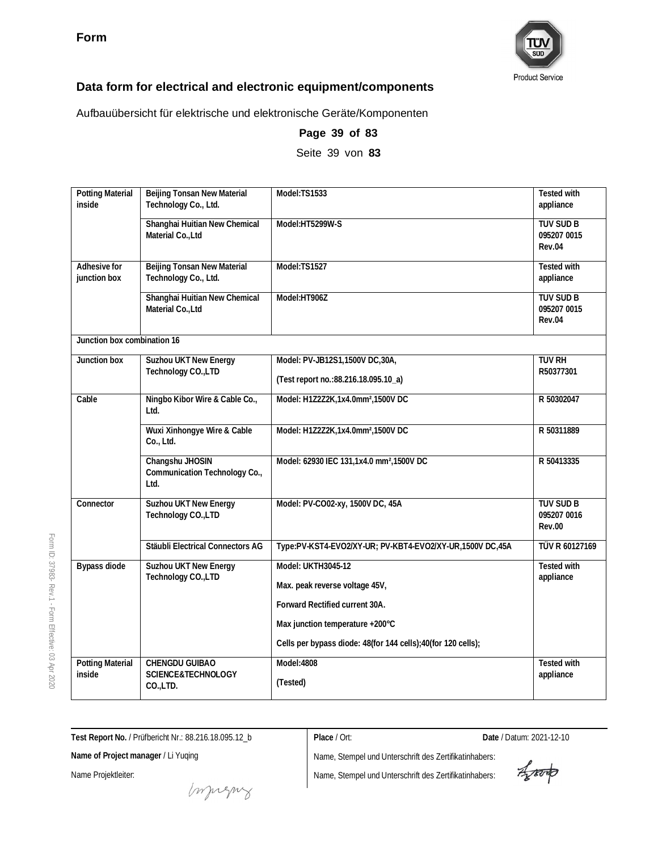

Aufbauübersicht für elektrische und elektronische Geräte/Komponenten

| <b>Potting Material</b><br>inside | Beijing Tonsan New Material<br>Technology Co., Ltd.      | Model:TS1533                                                 | <b>Tested with</b><br>appliance           |
|-----------------------------------|----------------------------------------------------------|--------------------------------------------------------------|-------------------------------------------|
|                                   | Shanghai Huitian New Chemical<br>Material Co., Ltd       | Model:HT5299W-S                                              | <b>TUV SUD B</b><br>095207 0015<br>Rev.04 |
| Adhesive for<br>junction box      | Beijing Tonsan New Material<br>Technology Co., Ltd.      | Model:TS1527                                                 | Tested with<br>appliance                  |
|                                   | Shanghai Huitian New Chemical<br>Material Co., Ltd       | Model:HT906Z                                                 | <b>TUV SUD B</b><br>095207 0015<br>Rev.04 |
| Junction box combination 16       |                                                          |                                                              |                                           |
| Junction box                      | Suzhou UKT New Energy                                    | Model: PV-JB12S1,1500V DC,30A,                               | TUV RH                                    |
|                                   | Technology CO., LTD                                      | (Test report no.: 88.216.18.095.10_a)                        | R50377301                                 |
| Cable                             | Ningbo Kibor Wire & Cable Co.,<br>Ltd.                   | Model: H1Z2Z2K, 1x4.0mm <sup>2</sup> , 1500V DC              | R 50302047                                |
|                                   | Wuxi Xinhongye Wire & Cable<br>Co., Ltd.                 | Model: H1Z2Z2K, 1x4.0mm <sup>2</sup> , 1500V DC              | R 50311889                                |
|                                   | Changshu JHOSIN<br>Communication Technology Co.,<br>Ltd. | Model: 62930 IEC 131,1x4.0 mm <sup>2</sup> ,1500V DC         | R 50413335                                |
| Connector                         | Suzhou UKT New Energy<br>Technology CO., LTD             | Model: PV-CO02-xy, 1500V DC, 45A                             | TUV SUD B<br>095207 0016<br><b>Rev.00</b> |
|                                   | Stäubli Electrical Connectors AG                         | Type:PV-KST4-EVO2/XY-UR; PV-KBT4-EVO2/XY-UR,1500V DC,45A     | TÜV R 60127169                            |
| Bypass diode                      | Suzhou UKT New Energy<br>Technology CO., LTD             | Model: UKTH3045-12                                           | <b>Tested with</b>                        |
|                                   |                                                          | Max. peak reverse voltage 45V,                               | appliance                                 |
|                                   |                                                          | Forward Rectified current 30A.                               |                                           |
|                                   |                                                          | Max junction temperature +200°C                              |                                           |
|                                   |                                                          | Cells per bypass diode: 48(for 144 cells);40(for 120 cells); |                                           |
| <b>Potting Material</b>           | CHENGDU GUIBAO                                           | Model:4808                                                   | <b>Tested with</b>                        |
| inside                            | SCIENCE&TECHNOLOGY<br>CO.,LTD.                           | (Tested)                                                     | appliance                                 |

**Page 39 of 83** Seite 39 von **83**

37983- Rev.1 - Form Effective:  $\mathbb S$ Apr

2020

Form ID:

**Test Report No.** / Prüfbericht Nr.: 88.216.18.095.12\_b

**Name of Project manager** / Li Yuqing

Name Projektleiter:

**Place** / Ort: **Date** / Datum: 2021-12-10

Aproto

muring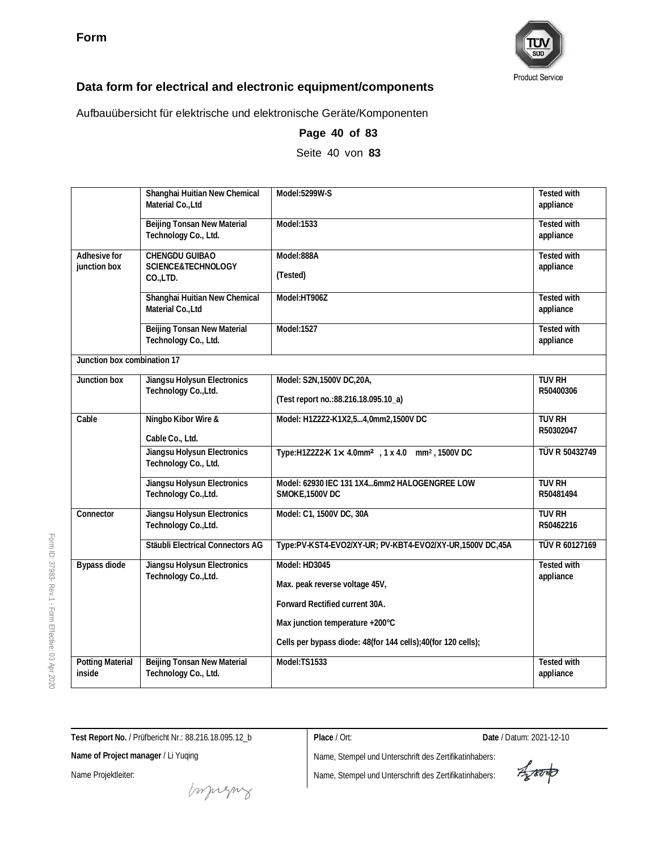

Aufbauübersicht für elektrische und elektronische Geräte/Komponenten

|                                   | Shanghai Huitian New Chemical<br>Material Co., Ltd      | Model:5299W-S                                                           | <b>Tested with</b><br>appliance |
|-----------------------------------|---------------------------------------------------------|-------------------------------------------------------------------------|---------------------------------|
|                                   | Beijing Tonsan New Material<br>Technology Co., Ltd.     | Model:1533                                                              | <b>Tested with</b><br>appliance |
| Adhesive for<br>junction box      | <b>CHENGDU GUIBAO</b><br>SCIENCE&TECHNOLOGY<br>CO.,LTD. | Model:888A<br>(Tested)                                                  | Tested with<br>appliance        |
|                                   | Shanghai Huitian New Chemical<br>Material Co., Ltd      | Model:HT906Z                                                            | <b>Tested with</b><br>appliance |
|                                   | Beijing Tonsan New Material<br>Technology Co., Ltd.     | Model:1527                                                              | <b>Tested with</b><br>appliance |
| Junction box combination 17       |                                                         |                                                                         |                                 |
| Junction box                      | Jiangsu Holysun Electronics<br>Technology Co., Ltd.     | Model: S2N, 1500V DC, 20A,<br>(Test report no.: 88.216.18.095.10_a)     | <b>TUV RH</b><br>R50400306      |
| Cable                             | Ningbo Kibor Wire &<br>Cable Co., Ltd.                  | Model: H1Z2Z2-K1X2,54,0mm2,1500V DC                                     | <b>TUV RH</b><br>R50302047      |
|                                   | Jiangsu Holysun Electronics<br>Technology Co., Ltd.     | Type:H1Z2Z2-K 1× 4.0mm <sup>2</sup> , 1× 4.0 mm <sup>2</sup> , 1500V DC | TÜV R 50432749                  |
|                                   | Jiangsu Holysun Electronics<br>Technology Co., Ltd.     | Model: 62930 IEC 131 1X46mm2 HALOGENGREE LOW<br>SMOKE, 1500V DC         | <b>TUV RH</b><br>R50481494      |
| Connector                         | Jiangsu Holysun Electronics<br>Technology Co., Ltd.     | Model: C1, 1500V DC, 30A                                                | TUV RH<br>R50462216             |
|                                   | Stäubli Electrical Connectors AG                        | Type:PV-KST4-EVO2/XY-UR; PV-KBT4-EVO2/XY-UR,1500V DC,45A                | TÜV R 60127169                  |
| Bypass diode                      | Jiangsu Holysun Electronics<br>Technology Co., Ltd.     | Model: HD3045<br>Max. peak reverse voltage 45V,                         | <b>Tested with</b><br>appliance |
|                                   |                                                         | Forward Rectified current 30A.                                          |                                 |
|                                   |                                                         | Max junction temperature +200°C                                         |                                 |
|                                   |                                                         | Cells per bypass diode: 48(for 144 cells);40(for 120 cells);            |                                 |
| <b>Potting Material</b><br>inside | Beijing Tonsan New Material<br>Technology Co., Ltd.     | Model:TS1533                                                            | <b>Tested with</b><br>appliance |

**Page 40 of 83**

Seite 40 von **83**

Form ID: 37983- Rev.1 - Form Effective:  $\mathbb S$ Apr 2020

**Test Report No.** / Prüfbericht Nr.: 88.216.18.095.12\_b

**Name of Project manager** / Li Yuqing

Name Projektleiter:

Name, Stempel und Unterschrift des Zertifikatinhabers: Name, Stempel und Unterschrift des Zertifikatinhabers:

**Place** / Ort: **Date** / Datum: 2021-12-10

Aporto

muring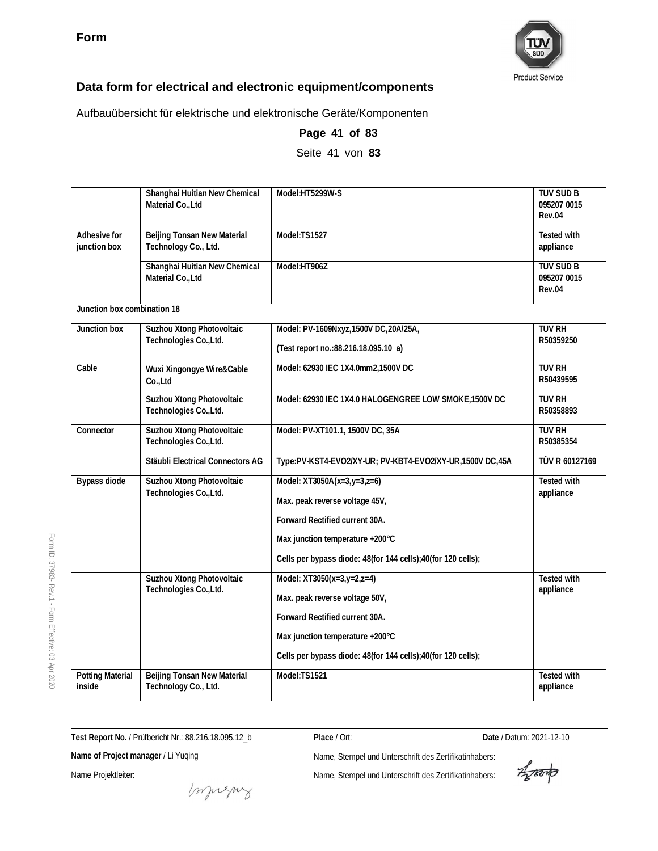

Aufbauübersicht für elektrische und elektronische Geräte/Komponenten

|                                   | Shanghai Huitian New Chemical<br>Material Co., Ltd  | Model:HT5299W-S                                                                                                                                                                                    | <b>TUV SUD B</b><br>095207 0015<br>Rev.04 |
|-----------------------------------|-----------------------------------------------------|----------------------------------------------------------------------------------------------------------------------------------------------------------------------------------------------------|-------------------------------------------|
| Adhesive for<br>junction box      | Beijing Tonsan New Material<br>Technology Co., Ltd. | Model:TS1527                                                                                                                                                                                       | <b>Tested with</b><br>appliance           |
|                                   | Shanghai Huitian New Chemical<br>Material Co., Ltd  | Model:HT906Z                                                                                                                                                                                       | <b>TUV SUD B</b><br>095207 0015<br>Rev.04 |
| Junction box combination 18       |                                                     |                                                                                                                                                                                                    |                                           |
| Junction box                      | Suzhou Xtong Photovoltaic<br>Technologies Co., Ltd. | Model: PV-1609Nxyz, 1500V DC, 20A/25A,<br>(Test report no.: 88.216.18.095.10_a)                                                                                                                    | <b>TUV RH</b><br>R50359250                |
| Cable                             | Wuxi Xingongye Wire&Cable<br>Co.,Ltd                | Model: 62930 IEC 1X4.0mm2,1500V DC                                                                                                                                                                 | <b>TUV RH</b><br>R50439595                |
|                                   | Suzhou Xtong Photovoltaic<br>Technologies Co., Ltd. | Model: 62930 IEC 1X4.0 HALOGENGREE LOW SMOKE, 1500V DC                                                                                                                                             | <b>TUV RH</b><br>R50358893                |
| Connector                         | Suzhou Xtong Photovoltaic<br>Technologies Co., Ltd. | Model: PV-XT101.1, 1500V DC, 35A                                                                                                                                                                   | <b>TUV RH</b><br>R50385354                |
|                                   | Stäubli Electrical Connectors AG                    | Type:PV-KST4-EVO2/XY-UR; PV-KBT4-EVO2/XY-UR,1500V DC,45A                                                                                                                                           | TÜV R 60127169                            |
| Bypass diode                      | Suzhou Xtong Photovoltaic<br>Technologies Co., Ltd. | Model: XT3050A(x=3,y=3,z=6)<br>Max. peak reverse voltage 45V,<br>Forward Rectified current 30A.<br>Max junction temperature +200°C<br>Cells per bypass diode: 48(for 144 cells);40(for 120 cells); | Tested with<br>appliance                  |
|                                   | Suzhou Xtong Photovoltaic<br>Technologies Co., Ltd. | Model: XT3050(x=3,y=2,z=4)<br>Max. peak reverse voltage 50V,<br>Forward Rectified current 30A.<br>Max junction temperature +200°C<br>Cells per bypass diode: 48(for 144 cells);40(for 120 cells);  | Tested with<br>appliance                  |
| <b>Potting Material</b><br>inside | Beijing Tonsan New Material<br>Technology Co., Ltd. | Model:TS1521                                                                                                                                                                                       | <b>Tested with</b><br>appliance           |

# **Page 41 of 83**

Seite 41 von **83**

**Test Report No.** / Prüfbericht Nr.: 88.216.18.095.12\_b

**Name of Project manager** / Li Yuqing

Name Projektleiter:

**Place** / Ort: **Date** / Datum: 2021-12-10

Aporto

muring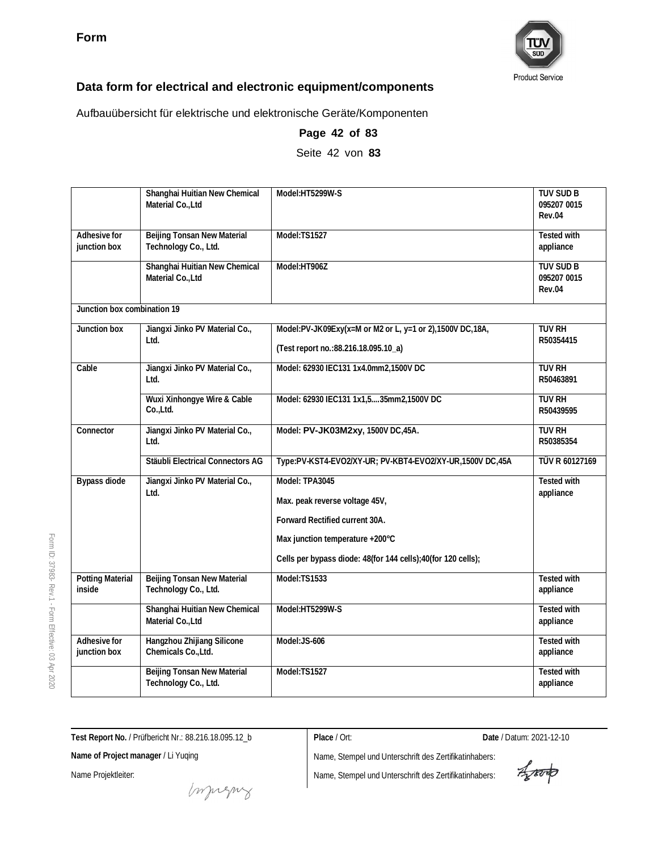

Aufbauübersicht für elektrische und elektronische Geräte/Komponenten

|                                   | Shanghai Huitian New Chemical<br>Material Co., Ltd  | Model:HT5299W-S                                                                                                                                                                       | TUV SUD B<br>095207 0015<br>Rev.04        |
|-----------------------------------|-----------------------------------------------------|---------------------------------------------------------------------------------------------------------------------------------------------------------------------------------------|-------------------------------------------|
| Adhesive for<br>junction box      | Beijing Tonsan New Material<br>Technology Co., Ltd. | Model:TS1527                                                                                                                                                                          | Tested with<br>appliance                  |
|                                   | Shanghai Huitian New Chemical<br>Material Co., Ltd  | Model:HT906Z                                                                                                                                                                          | <b>TUV SUD B</b><br>095207 0015<br>Rev.04 |
| Junction box combination 19       |                                                     |                                                                                                                                                                                       |                                           |
| Junction box                      | Jiangxi Jinko PV Material Co.,<br>Ltd.              | Model:PV-JK09Exy(x=M or M2 or L, y=1 or 2),1500V DC,18A,<br>(Test report no.: 88.216.18.095.10_a)                                                                                     | <b>TUV RH</b><br>R50354415                |
| Cable                             | Jiangxi Jinko PV Material Co.,<br>Ltd.              | Model: 62930 IEC131 1x4.0mm2,1500V DC                                                                                                                                                 | <b>TUV RH</b><br>R50463891                |
|                                   | Wuxi Xinhongye Wire & Cable<br>Co.,Ltd.             | Model: 62930 IEC131 1x1,535mm2,1500V DC                                                                                                                                               | <b>TUV RH</b><br>R50439595                |
| Connector                         | Jiangxi Jinko PV Material Co.,<br>Ltd.              | Model: PV-JK03M2xy, 1500V DC, 45A.                                                                                                                                                    | <b>TUV RH</b><br>R50385354                |
|                                   | Stäubli Electrical Connectors AG                    | Type:PV-KST4-EVO2/XY-UR; PV-KBT4-EVO2/XY-UR,1500V DC,45A                                                                                                                              | TÜV R 60127169                            |
| <b>Bypass diode</b>               | Jiangxi Jinko PV Material Co.,<br>Ltd.              | Model: TPA3045<br>Max. peak reverse voltage 45V,<br>Forward Rectified current 30A.<br>Max junction temperature +200°C<br>Cells per bypass diode: 48(for 144 cells);40(for 120 cells); | <b>Tested with</b><br>appliance           |
| <b>Potting Material</b><br>inside | Beijing Tonsan New Material<br>Technology Co., Ltd. | Model:TS1533                                                                                                                                                                          | Tested with<br>appliance                  |
|                                   | Shanghai Huitian New Chemical<br>Material Co., Ltd  | Model:HT5299W-S                                                                                                                                                                       | <b>Tested with</b><br>appliance           |
| Adhesive for<br>junction box      | Hangzhou Zhijiang Silicone<br>Chemicals Co., Ltd.   | Model:JS-606                                                                                                                                                                          | <b>Tested with</b><br>appliance           |
|                                   | Beijing Tonsan New Material<br>Technology Co., Ltd. | Model:TS1527                                                                                                                                                                          | <b>Tested with</b><br>appliance           |

## **Page 42 of 83**

Seite 42 von **83**

**Test Report No.** / Prüfbericht Nr.: 88.216.18.095.12\_b

**Name of Project manager** / Li Yuqing

Name Projektleiter:

**Place** / Ort: **Date** / Datum: 2021-12-10

Aporto

Name, Stempel und Unterschrift des Zertifikatinhabers: Name, Stempel und Unterschrift des Zertifikatinhabers:

money

Form ID: 37983- Rev.1 - Form Effective:  $\mathbb S$ Apr

2020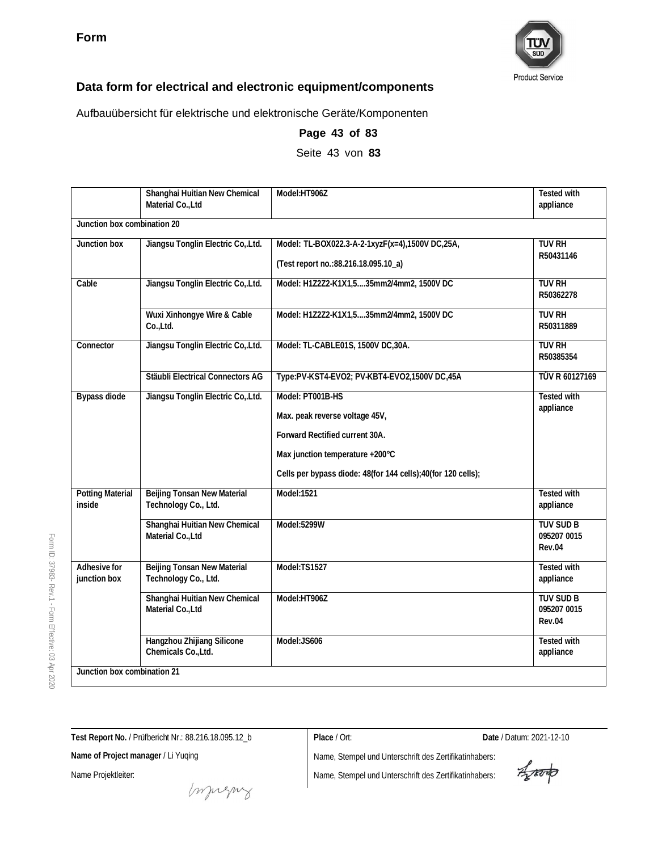

Aufbauübersicht für elektrische und elektronische Geräte/Komponenten

|                                   | Shanghai Huitian New Chemical<br>Material Co., Ltd  | Model:HT906Z                                                                                                                                                                            | Tested with<br>appliance                  |  |
|-----------------------------------|-----------------------------------------------------|-----------------------------------------------------------------------------------------------------------------------------------------------------------------------------------------|-------------------------------------------|--|
| Junction box combination 20       |                                                     |                                                                                                                                                                                         |                                           |  |
| Junction box                      | Jiangsu Tonglin Electric Co, Ltd.                   | Model: TL-BOX022.3-A-2-1xyzF(x=4),1500V DC,25A,<br>(Test report no.: 88.216.18.095.10_a)                                                                                                | <b>TUV RH</b><br>R50431146                |  |
| Cable                             | Jiangsu Tonglin Electric Co, Ltd.                   | Model: H1Z2Z2-K1X1,535mm2/4mm2, 1500V DC                                                                                                                                                | <b>TUV RH</b><br>R50362278                |  |
|                                   | Wuxi Xinhongye Wire & Cable<br>Co.,Ltd.             | Model: H1Z2Z2-K1X1,535mm2/4mm2, 1500V DC                                                                                                                                                | <b>TUV RH</b><br>R50311889                |  |
| Connector                         | Jiangsu Tonglin Electric Co, Ltd.                   | Model: TL-CABLE01S, 1500V DC,30A.                                                                                                                                                       | <b>TUV RH</b><br>R50385354                |  |
|                                   | Stäubli Electrical Connectors AG                    | Type:PV-KST4-EVO2; PV-KBT4-EVO2,1500V DC,45A                                                                                                                                            | TÜV R 60127169                            |  |
| <b>Bypass diode</b>               | Jiangsu Tonglin Electric Co, Ltd.                   | Model: PT001B-HS<br>Max. peak reverse voltage 45V,<br>Forward Rectified current 30A.<br>Max junction temperature +200°C<br>Cells per bypass diode: 48(for 144 cells);40(for 120 cells); | <b>Tested with</b><br>appliance           |  |
| <b>Potting Material</b><br>inside | Beijing Tonsan New Material<br>Technology Co., Ltd. | Model:1521                                                                                                                                                                              | Tested with<br>appliance                  |  |
|                                   | Shanghai Huitian New Chemical<br>Material Co., Ltd  | Model:5299W                                                                                                                                                                             | <b>TUV SUD B</b><br>095207 0015<br>Rev.04 |  |
| Adhesive for<br>junction box      | Beijing Tonsan New Material<br>Technology Co., Ltd. | Model:TS1527                                                                                                                                                                            | Tested with<br>appliance                  |  |
|                                   | Shanghai Huitian New Chemical<br>Material Co., Ltd  | Model:HT906Z                                                                                                                                                                            | <b>TUV SUD B</b><br>095207 0015<br>Rev.04 |  |
|                                   | Hangzhou Zhijiang Silicone<br>Chemicals Co., Ltd.   | Model:JS606                                                                                                                                                                             | <b>Tested with</b><br>appliance           |  |
|                                   | Junction box combination 21                         |                                                                                                                                                                                         |                                           |  |

**Page 43 of 83**

Seite 43 von **83**

**Test Report No.** / Prüfbericht Nr.: 88.216.18.095.12\_b

**Place** / Ort: **Date** / Datum: 2021-12-10

Aporto

**Name of Project manager** / Li Yuqing

Name Projektleiter:

muring

Name, Stempel und Unterschrift des Zertifikatinhabers: Name, Stempel und Unterschrift des Zertifikatinhabers:

2020

Form ID: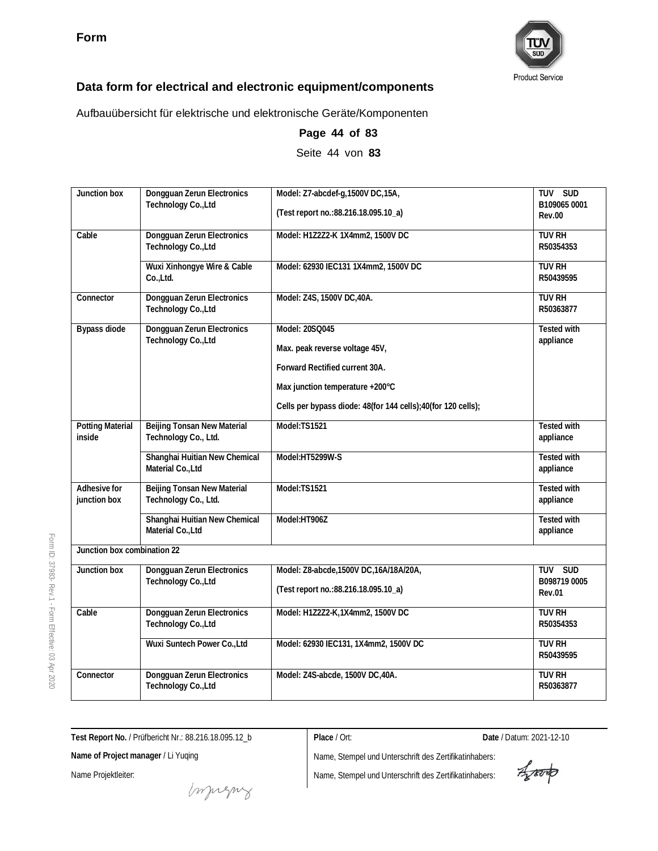

Aufbauübersicht für elektrische und elektronische Geräte/Komponenten

| Junction box                      | Dongguan Zerun Electronics<br>Technology Co., Ltd   | Model: Z7-abcdef-g, 1500V DC, 15A,<br>(Test report no.: 88.216.18.095.10_a)                                                                                                           | TUV SUD<br>B109065 0001<br><b>Rev.00</b> |
|-----------------------------------|-----------------------------------------------------|---------------------------------------------------------------------------------------------------------------------------------------------------------------------------------------|------------------------------------------|
| Cable                             | Dongguan Zerun Electronics<br>Technology Co., Ltd   | Model: H1Z2Z2-K 1X4mm2, 1500V DC                                                                                                                                                      | <b>TUV RH</b><br>R50354353               |
|                                   | Wuxi Xinhongye Wire & Cable<br>Co.,Ltd.             | Model: 62930 IEC131 1X4mm2, 1500V DC                                                                                                                                                  | <b>TUV RH</b><br>R50439595               |
| Connector                         | Dongguan Zerun Electronics<br>Technology Co., Ltd   | Model: Z4S, 1500V DC, 40A.                                                                                                                                                            | <b>TUV RH</b><br>R50363877               |
| Bypass diode                      | Dongguan Zerun Electronics<br>Technology Co., Ltd   | Model: 20SQ045<br>Max. peak reverse voltage 45V,<br>Forward Rectified current 30A.<br>Max junction temperature +200°C<br>Cells per bypass diode: 48(for 144 cells);40(for 120 cells); | <b>Tested with</b><br>appliance          |
| <b>Potting Material</b><br>inside | Beijing Tonsan New Material<br>Technology Co., Ltd. | Model:TS1521                                                                                                                                                                          | <b>Tested with</b><br>appliance          |
|                                   | Shanghai Huitian New Chemical<br>Material Co., Ltd  | Model:HT5299W-S                                                                                                                                                                       | <b>Tested with</b><br>appliance          |
| Adhesive for<br>junction box      | Beijing Tonsan New Material<br>Technology Co., Ltd. | Model:TS1521                                                                                                                                                                          | <b>Tested with</b><br>appliance          |
|                                   | Shanghai Huitian New Chemical<br>Material Co., Ltd  | Model:HT906Z                                                                                                                                                                          | Tested with<br>appliance                 |
| Junction box combination 22       |                                                     |                                                                                                                                                                                       |                                          |
| Junction box                      | Dongguan Zerun Electronics<br>Technology Co., Ltd   | Model: Z8-abcde, 1500V DC, 16A/18A/20A,<br>(Test report no.: 88.216.18.095.10_a)                                                                                                      | TUV SUD<br>B098719 0005<br>Rev.01        |
| Cable                             | Dongguan Zerun Electronics<br>Technology Co., Ltd   | Model: H1Z2Z2-K, 1X4mm2, 1500V DC                                                                                                                                                     | <b>TUV RH</b><br>R50354353               |
|                                   | Wuxi Suntech Power Co., Ltd                         | Model: 62930 IEC131, 1X4mm2, 1500V DC                                                                                                                                                 | <b>TUV RH</b><br>R50439595               |
| Connector                         | Dongguan Zerun Electronics<br>Technology Co., Ltd   | Model: Z4S-abcde, 1500V DC, 40A.                                                                                                                                                      | <b>TUV RH</b><br>R50363877               |

**Page 44 of 83**

Seite 44 von **83**

**Test Report No.** / Prüfbericht Nr.: 88.216.18.095.12\_b

Name, Stempel und Unterschrift des Zertifikatinhabers: Name, Stempel und Unterschrift des Zertifikatinhabers:

**Place** / Ort: **Date** / Datum: 2021-12-10

Aporto

muring

**Name of Project manager** / Li Yuqing

Name Projektleiter: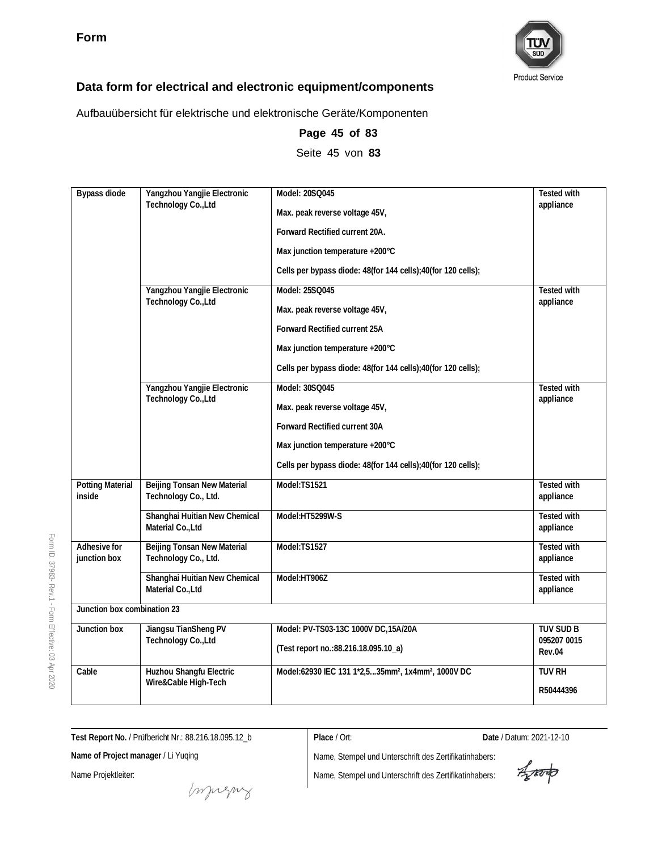

Aufbauübersicht für elektrische und elektronische Geräte/Komponenten

| Bypass diode                      | Yangzhou Yangjie Electronic                         | Model: 20SQ045                                                             | <b>Tested with</b>              |
|-----------------------------------|-----------------------------------------------------|----------------------------------------------------------------------------|---------------------------------|
|                                   | Technology Co., Ltd                                 | Max. peak reverse voltage 45V,                                             | appliance                       |
|                                   |                                                     | Forward Rectified current 20A.                                             |                                 |
|                                   |                                                     | Max junction temperature +200°C                                            |                                 |
|                                   |                                                     | Cells per bypass diode: 48(for 144 cells); 40(for 120 cells);              |                                 |
|                                   | Yangzhou Yangjie Electronic                         | Model: 25SQ045                                                             | <b>Tested with</b>              |
|                                   | Technology Co., Ltd                                 | Max. peak reverse voltage 45V,                                             | appliance                       |
|                                   |                                                     | Forward Rectified current 25A                                              |                                 |
|                                   |                                                     | Max junction temperature +200°C                                            |                                 |
|                                   |                                                     | Cells per bypass diode: 48(for 144 cells);40(for 120 cells);               |                                 |
|                                   | Yangzhou Yangjie Electronic                         | Model: 30SQ045                                                             | Tested with                     |
|                                   | Technology Co., Ltd                                 | Max. peak reverse voltage 45V,                                             | appliance                       |
|                                   |                                                     | Forward Rectified current 30A                                              |                                 |
|                                   |                                                     | Max junction temperature +200°C                                            |                                 |
|                                   |                                                     | Cells per bypass diode: 48(for 144 cells);40(for 120 cells);               |                                 |
| <b>Potting Material</b><br>inside | Beijing Tonsan New Material<br>Technology Co., Ltd. | Model:TS1521                                                               | <b>Tested with</b><br>appliance |
|                                   | Shanghai Huitian New Chemical<br>Material Co., Ltd  | Model:HT5299W-S                                                            | <b>Tested with</b><br>appliance |
| Adhesive for<br>junction box      | Beijing Tonsan New Material<br>Technology Co., Ltd. | Model:TS1527                                                               | Tested with<br>appliance        |
|                                   | Shanghai Huitian New Chemical<br>Material Co., Ltd  | Model:HT906Z                                                               | Tested with<br>appliance        |
| Junction box combination 23       |                                                     |                                                                            |                                 |
| Junction box                      | Jiangsu TianSheng PV                                | Model: PV-TS03-13C 1000V DC, 15A/20A                                       | <b>TUV SUD B</b>                |
|                                   | Technology Co., Ltd                                 | (Test report no.: 88.216.18.095.10_a)                                      | 095207 0015<br>Rev.04           |
| Cable                             | Huzhou Shangfu Electric                             | Model:62930 IEC 131 1*2,535mm <sup>2</sup> , 1x4mm <sup>2</sup> , 1000V DC | <b>TUV RH</b>                   |
|                                   | Wire&Cable High-Tech                                |                                                                            | R50444396                       |

**Page 45 of 83** Seite 45 von **83**

**Test Report No.** / Prüfbericht Nr.: 88.216.18.095.12\_b

**Place** / Ort: **Date** / Datum: 2021-12-10

**Name of Project manager** / Li Yuqing

Name Projektleiter:

Form ID: 37983-

Rev.1 - Form

Effective:  $\mathbb S$ Apr 2020

money

Aporto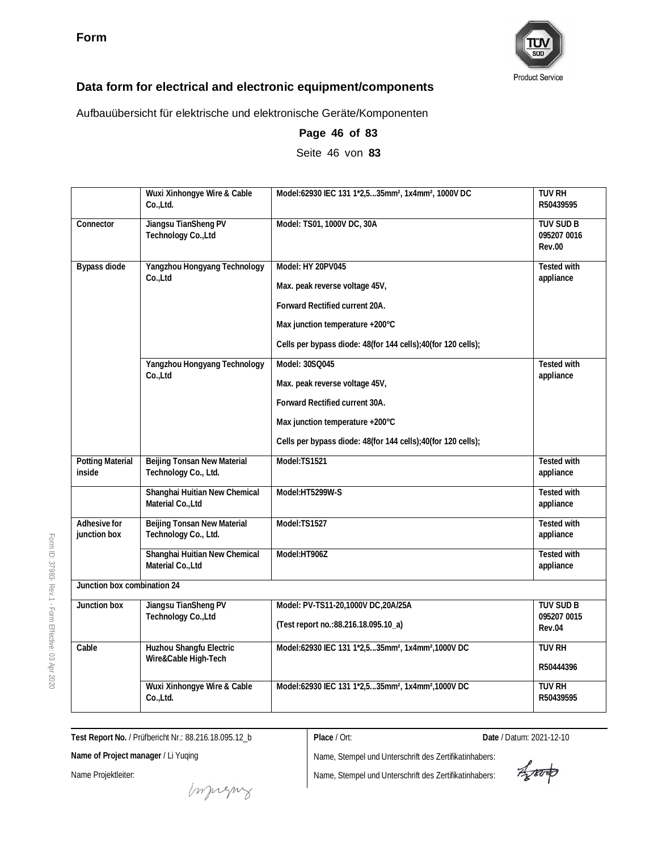

Aufbauübersicht für elektrische und elektronische Geräte/Komponenten

|                                   | Wuxi Xinhongye Wire & Cable<br>Co.,Ltd.             | Model:62930 IEC 131 1*2,535mm <sup>2</sup> , 1x4mm <sup>2</sup> , 1000V DC                                                                                                                | <b>TUV RH</b><br>R50439595                |
|-----------------------------------|-----------------------------------------------------|-------------------------------------------------------------------------------------------------------------------------------------------------------------------------------------------|-------------------------------------------|
| Connector                         | Jiangsu TianSheng PV<br>Technology Co., Ltd         | Model: TS01, 1000V DC, 30A                                                                                                                                                                | TUV SUD B<br>095207 0016<br><b>Rev.00</b> |
| <b>Bypass diode</b>               | Yangzhou Hongyang Technology<br>Co.,Ltd             | Model: HY 20PV045<br>Max. peak reverse voltage 45V,<br>Forward Rectified current 20A.<br>Max junction temperature +200°C<br>Cells per bypass diode: 48(for 144 cells); 40(for 120 cells); | Tested with<br>appliance                  |
|                                   | Yangzhou Hongyang Technology<br>Co.,Ltd             | Model: 30SQ045<br>Max. peak reverse voltage 45V,<br>Forward Rectified current 30A.<br>Max junction temperature +200°C<br>Cells per bypass diode: 48(for 144 cells);40(for 120 cells);     | <b>Tested with</b><br>appliance           |
| <b>Potting Material</b><br>inside | Beijing Tonsan New Material<br>Technology Co., Ltd. | Model:TS1521                                                                                                                                                                              | Tested with<br>appliance                  |
|                                   | Shanghai Huitian New Chemical<br>Material Co., Ltd  | Model:HT5299W-S                                                                                                                                                                           | Tested with<br>appliance                  |
| Adhesive for<br>junction box      | Beijing Tonsan New Material<br>Technology Co., Ltd. | Model:TS1527                                                                                                                                                                              | <b>Tested with</b><br>appliance           |
|                                   | Shanghai Huitian New Chemical<br>Material Co., Ltd  | Model:HT906Z                                                                                                                                                                              | <b>Tested with</b><br>appliance           |
| Junction box combination 24       |                                                     |                                                                                                                                                                                           |                                           |
| Junction box                      | Jiangsu TianSheng PV<br>Technology Co., Ltd         | Model: PV-TS11-20,1000V DC,20A/25A<br>(Test report no.: 88.216.18.095.10_a)                                                                                                               | <b>TUV SUD B</b><br>095207 0015<br>Rev.04 |
| Cable                             | Huzhou Shangfu Electric<br>Wire&Cable High-Tech     | Model:62930 IEC 131 1*2,535mm <sup>2</sup> , 1x4mm <sup>2</sup> ,1000V DC                                                                                                                 | <b>TUV RH</b><br>R50444396                |
|                                   | Wuxi Xinhongye Wire & Cable<br>Co.,Ltd.             | Model:62930 IEC 131 1*2,535mm <sup>2</sup> , 1x4mm <sup>2</sup> ,1000V DC                                                                                                                 | <b>TUV RH</b><br>R50439595                |

**Page 46 of 83**

Seite 46 von **83**

**Test Report No.** / Prüfbericht Nr.: 88.216.18.095.12\_b

**Place** / Ort: **Date** / Datum: 2021-12-10

**Name of Project manager** / Li Yuqing

Name Projektleiter:

Impregnz

Name, Stempel und Unterschrift des Zertifikatinhabers: Name, Stempel und Unterschrift des Zertifikatinhabers:

Aparto

Form ID: 37983-

Rev.1 - Form

Effective:  $\mathbb S$ Apr 2020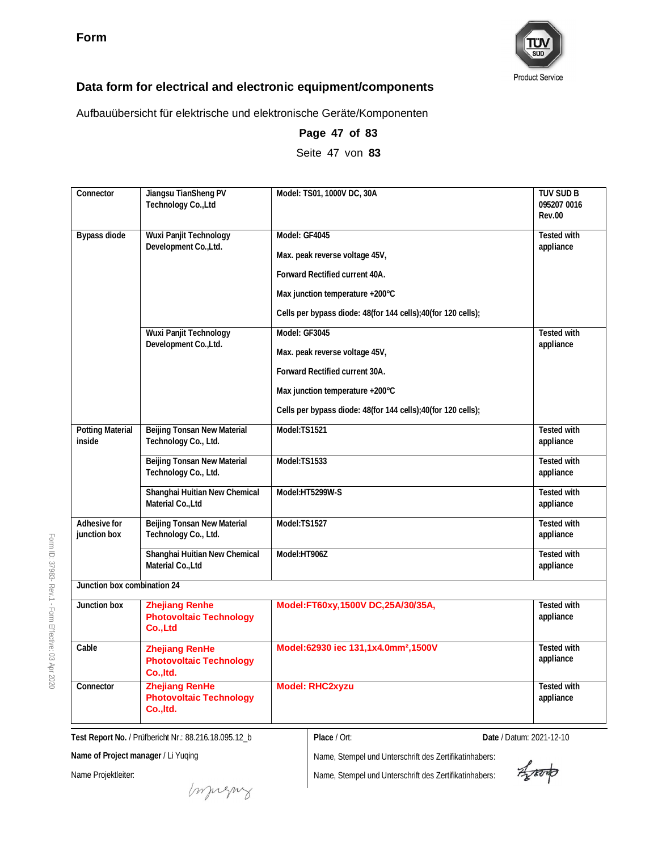

Aufbauübersicht für elektrische und elektronische Geräte/Komponenten

| Connector                         | Jiangsu TianSheng PV<br>Technology Co., Ltd                          | Model: TS01, 1000V DC, 30A                                   | <b>TUV SUD B</b><br>095207 0016<br><b>Rev.00</b> |
|-----------------------------------|----------------------------------------------------------------------|--------------------------------------------------------------|--------------------------------------------------|
| Bypass diode                      | Wuxi Panjit Technology                                               | Model: GF4045                                                | Tested with                                      |
|                                   | Development Co., Ltd.                                                | Max. peak reverse voltage 45V,                               | appliance                                        |
|                                   |                                                                      | Forward Rectified current 40A.                               |                                                  |
|                                   |                                                                      | Max junction temperature +200°C                              |                                                  |
|                                   |                                                                      | Cells per bypass diode: 48(for 144 cells);40(for 120 cells); |                                                  |
|                                   | Wuxi Panjit Technology                                               | Model: GF3045                                                | Tested with                                      |
|                                   | Development Co., Ltd.                                                | Max. peak reverse voltage 45V,                               | appliance                                        |
|                                   |                                                                      | Forward Rectified current 30A.                               |                                                  |
|                                   |                                                                      | Max junction temperature +200°C                              |                                                  |
|                                   |                                                                      | Cells per bypass diode: 48(for 144 cells);40(for 120 cells); |                                                  |
| <b>Potting Material</b><br>inside | Beijing Tonsan New Material<br>Technology Co., Ltd.                  | Model:TS1521                                                 | <b>Tested with</b><br>appliance                  |
|                                   | <b>Beijing Tonsan New Material</b><br>Technology Co., Ltd.           | Model:TS1533                                                 | Tested with<br>appliance                         |
|                                   | Shanghai Huitian New Chemical<br>Material Co., Ltd                   | Model:HT5299W-S                                              | Tested with<br>appliance                         |
| Adhesive for<br>junction box      | Beijing Tonsan New Material<br>Technology Co., Ltd.                  | Model:TS1527                                                 | Tested with<br>appliance                         |
|                                   | Shanghai Huitian New Chemical<br>Material Co., Ltd                   | Model:HT906Z                                                 | Tested with<br>appliance                         |
| Junction box combination 24       |                                                                      |                                                              |                                                  |
| Junction box                      | <b>Zhejiang Renhe</b><br><b>Photovoltaic Technology</b><br>Co., Ltd  | Model:FT60xy,1500V DC,25A/30/35A,                            | Tested with<br>appliance                         |
| Cable                             | <b>Zhejiang RenHe</b><br><b>Photovoltaic Technology</b><br>Co., Itd. | Model:62930 iec 131,1x4.0mm <sup>2</sup> ,1500V              | Tested with<br>appliance                         |
| Connector                         | <b>Zhejiang RenHe</b><br><b>Photovoltaic Technology</b><br>Co., Itd. | <b>Model: RHC2xyzu</b>                                       | Tested with<br>appliance                         |

**Page 47 of 83** Seite 47 von **83**

**Test Report No.** / Prüfbericht Nr.: 88.216.18.095.12\_b

**Place** / Ort: **Date** / Datum: 2021-12-10

**Name of Project manager** / Li Yuqing

Name Projektleiter:

Form ID: 37983-

Rev.1 - Form

Effective:  $\mathbb S$ Apr 2020

Name, Stempel und Unterschrift des Zertifikatinhabers:

Aparto

muring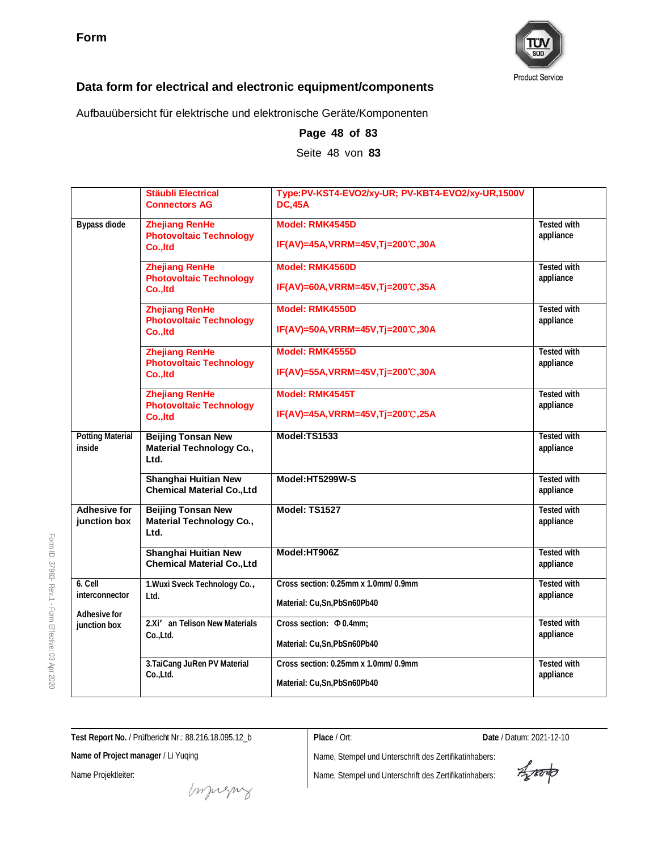

Aufbauübersicht für elektrische und elektronische Geräte/Komponenten

|                                                           | Stäubli Electrical<br><b>Connectors AG</b>                           | Type:PV-KST4-EVO2/xy-UR; PV-KBT4-EVO2/xy-UR,1500V<br><b>DC.45A</b>   |                                 |
|-----------------------------------------------------------|----------------------------------------------------------------------|----------------------------------------------------------------------|---------------------------------|
| Bypass diode                                              | <b>Zhejiang RenHe</b><br><b>Photovoltaic Technology</b><br>Co., Itd  | Model: RMK4545D<br>IF(AV)=45A, VRRM=45V, Tj=200℃, 30A                | Tested with<br>appliance        |
|                                                           | <b>Zhejiang RenHe</b><br><b>Photovoltaic Technology</b><br>Co., Itd  | Model: RMK4560D<br>IF(AV)=60A, VRRM=45V, Tj=200℃, 35A                | Tested with<br>appliance        |
|                                                           | <b>Zhejiang RenHe</b><br><b>Photovoltaic Technology</b>              | Model: RMK4550D                                                      | Tested with<br>appliance        |
|                                                           | Co., Itd                                                             | IF(AV)=50A, VRRM=45V, Tj=200℃, 30A                                   |                                 |
|                                                           | <b>Zhejiang RenHe</b><br><b>Photovoltaic Technology</b><br>Co., Itd  | Model: RMK4555D<br>IF(AV)=55A, VRRM=45V, Tj=200℃, 30A                | <b>Tested with</b><br>appliance |
|                                                           | <b>Zhejiang RenHe</b><br><b>Photovoltaic Technology</b><br>Co., Itd  | Model: RMK4545T<br>IF(AV)=45A, VRRM=45V, Tj=200℃, 25A                | Tested with<br>appliance        |
| <b>Potting Material</b><br>inside                         | <b>Beijing Tonsan New</b><br><b>Material Technology Co.,</b><br>Ltd. | Model:TS1533                                                         | <b>Tested with</b><br>appliance |
|                                                           | Shanghai Huitian New<br><b>Chemical Material Co., Ltd</b>            | Model:HT5299W-S                                                      | <b>Tested with</b><br>appliance |
| <b>Adhesive for</b><br>junction box                       | <b>Beijing Tonsan New</b><br><b>Material Technology Co.,</b><br>Ltd. | Model: TS1527                                                        | Tested with<br>appliance        |
|                                                           | Shanghai Huitian New<br><b>Chemical Material Co., Ltd</b>            | Model:HT906Z                                                         | <b>Tested with</b><br>appliance |
| 6. Cell<br>interconnector<br>Adhesive for<br>junction box | 1. Wuxi Sveck Technology Co.,<br>Ltd.                                | Cross section: 0.25mm x 1.0mm/ 0.9mm<br>Material: Cu, Sn, PbSn60Pb40 | <b>Tested with</b><br>appliance |
|                                                           | 2.Xi' an Telison New Materials<br>Co.,Ltd.                           | Cross section: $\Phi$ 0.4mm;<br>Material: Cu, Sn, PbSn60Pb40         | Tested with<br>appliance        |
|                                                           | 3. TaiCang JuRen PV Material<br>Co.,Ltd.                             | Cross section: 0.25mm x 1.0mm/ 0.9mm<br>Material: Cu, Sn, PbSn60Pb40 | Tested with<br>appliance        |

**Page 48 of 83** Seite 48 von **83**

Form ID: 37983- Rev.1 - Form Effective:  $\mathbb S$ Apr 2020

**Test Report No.** / Prüfbericht Nr.: 88.216.18.095.12\_b

**Name of Project manager** / Li Yuqing

Name Projektleiter:

**Place** / Ort: **Date** / Datum: 2021-12-10

Aporto

muring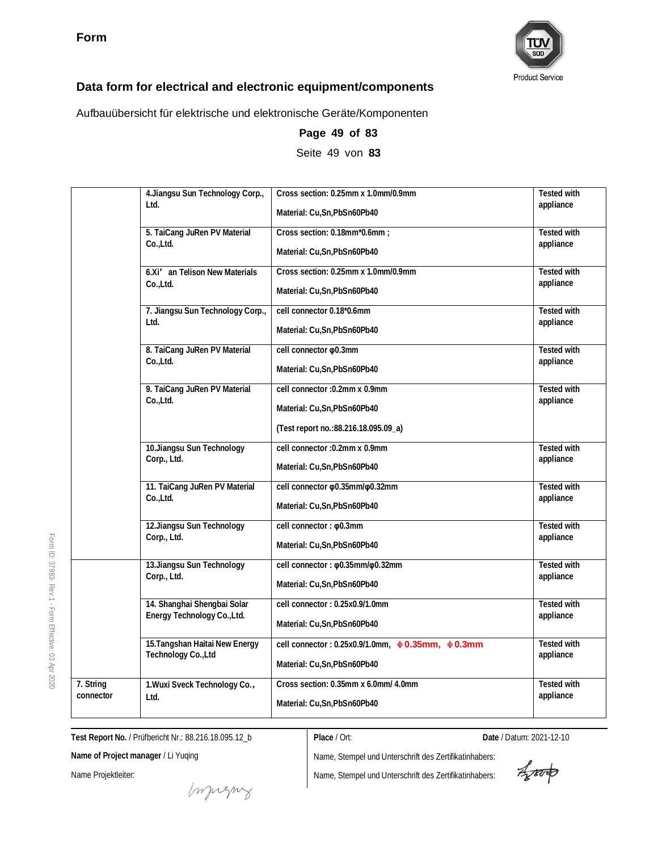

Aufbauübersicht für elektrische und elektronische Geräte/Komponenten

|             | 4. Jiangsu Sun Technology Corp.,<br>Ltd. | Cross section: 0.25mm x 1.0mm/0.9mm                         | <b>Tested with</b><br>appliance |
|-------------|------------------------------------------|-------------------------------------------------------------|---------------------------------|
|             |                                          | Material: Cu, Sn, PbSn60Pb40                                |                                 |
|             | 5. TaiCang JuRen PV Material             | Cross section: 0.18mm*0.6mm;                                | <b>Tested with</b>              |
|             | Co.,Ltd.                                 | Material: Cu, Sn, PbSn60Pb40                                | appliance                       |
|             | 6.Xi' an Telison New Materials           | Cross section: 0.25mm x 1.0mm/0.9mm                         | <b>Tested with</b>              |
|             | Co.,Ltd.                                 | Material: Cu,Sn,PbSn60Pb40                                  | appliance                       |
|             | 7. Jiangsu Sun Technology Corp.,         | cell connector 0.18*0.6mm                                   | Tested with                     |
| Ltd.        |                                          | Material: Cu,Sn,PbSn60Pb40                                  | appliance                       |
|             | 8. TaiCang JuRen PV Material             | cell connector $\varphi$ 0.3mm                              | <b>Tested with</b>              |
|             | Co.,Ltd.                                 | Material: Cu,Sn,PbSn60Pb40                                  | appliance                       |
|             | 9. TaiCang JuRen PV Material             | cell connector : 0.2mm x 0.9mm                              | <b>Tested with</b>              |
|             | Co.,Ltd.                                 | Material: Cu, Sn, PbSn60Pb40                                | appliance                       |
|             |                                          | (Test report no.: 88.216.18.095.09_a)                       |                                 |
|             | 10.Jiangsu Sun Technology                | cell connector : 0.2mm x 0.9mm                              | Tested with                     |
| Corp., Ltd. |                                          | Material: Cu, Sn, PbSn60Pb40                                | appliance                       |
|             | 11. TaiCang JuRen PV Material            | cell connector $\varphi$ 0.35mm/ $\varphi$ 0.32mm           | <b>Tested with</b>              |
|             | Co.,Ltd.                                 | Material: Cu,Sn,PbSn60Pb40                                  | appliance                       |
|             | 12. Jiangsu Sun Technology               | cell connector: $\phi$ 0.3mm                                | <b>Tested with</b>              |
|             | Corp., Ltd.                              | Material: Cu, Sn, PbSn60Pb40                                | appliance                       |
|             | 13. Jiangsu Sun Technology               | cell connector: $\varphi$ 0.35mm/ $\varphi$ 0.32mm          | <b>Tested with</b>              |
|             | Corp., Ltd.                              | Material: Cu,Sn,PbSn60Pb40                                  | appliance                       |
|             | 14. Shanghai Shengbai Solar              | cell connector: 0.25x0.9/1.0mm                              | <b>Tested with</b>              |
|             | Energy Technology Co., Ltd.              | Material: Cu, Sn, PbSn60Pb40                                | appliance                       |
|             | 15. Tangshan Haitai New Energy           | cell connector: 0.25x0.9/1.0mm, $\phi$ 0.35mm, $\phi$ 0.3mm | <b>Tested with</b>              |
|             | Technology Co., Ltd                      | Material: Cu,Sn,PbSn60Pb40                                  | appliance                       |
| 7. String   | 1. Wuxi Sveck Technology Co.,            | Cross section: 0.35mm x 6.0mm/ 4.0mm                        | <b>Tested with</b>              |
| connector   | Ltd.                                     | Material: Cu, Sn, PbSn60Pb40                                | appliance                       |

**Page 49 of 83**

Seite 49 von **83**

**Test Report No.** / Prüfbericht Nr.: 88.216.18.095.12\_b

**Place** / Ort: **Date** / Datum: 2021-12-10

**Name of Project manager** / Li Yuqing

Name Projektleiter:

muring

Aparto

Form ID: 37983- Rev.1 - Form Effective:  $\mathbb S$ Apr 2020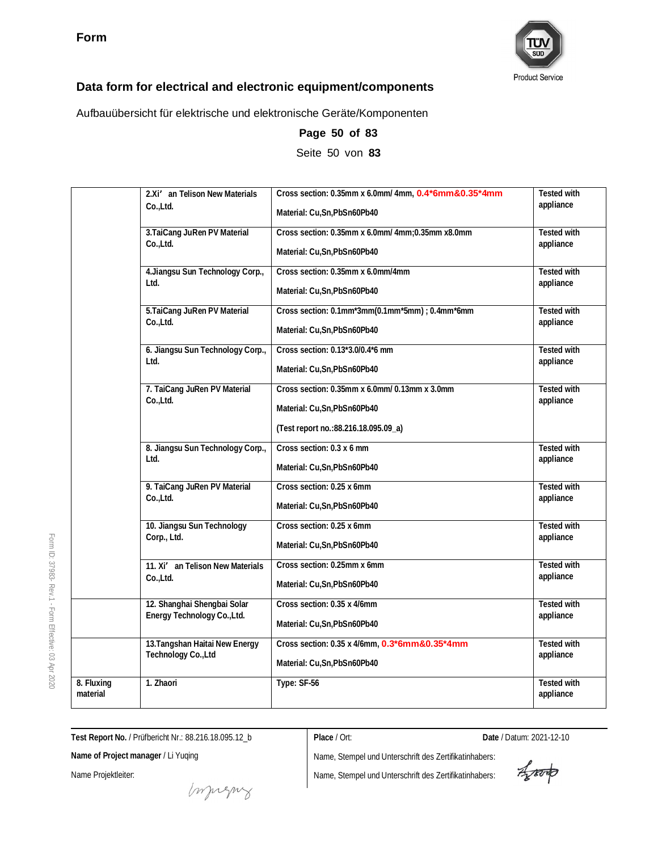

Aufbauübersicht für elektrische und elektronische Geräte/Komponenten

|                                                             | 2.Xi' an Telison New Materials           | Cross section: 0.35mm x 6.0mm/ 4mm, 0.4*6mm&0.35*4mm                                                                   | <b>Tested with</b>              |
|-------------------------------------------------------------|------------------------------------------|------------------------------------------------------------------------------------------------------------------------|---------------------------------|
|                                                             | Co.,Ltd.                                 | Material: Cu, Sn, PbSn60Pb40                                                                                           | appliance                       |
|                                                             | 3. TaiCang JuRen PV Material             | Cross section: 0.35mm x 6.0mm/ 4mm; 0.35mm x8.0mm                                                                      | <b>Tested with</b>              |
|                                                             | Co.,Ltd.                                 | Material: Cu, Sn, PbSn60Pb40                                                                                           | appliance                       |
|                                                             | 4. Jiangsu Sun Technology Corp.,         | Cross section: 0.35mm x 6.0mm/4mm                                                                                      | <b>Tested with</b>              |
|                                                             | Ltd.                                     | Material: Cu,Sn,PbSn60Pb40                                                                                             | appliance                       |
|                                                             | 5. TaiCang JuRen PV Material             | Cross section: 0.1mm*3mm(0.1mm*5mm) ; 0.4mm*6mm                                                                        | <b>Tested with</b>              |
|                                                             | Co.,Ltd.                                 | Material: Cu.Sn.PbSn60Pb40                                                                                             | appliance                       |
|                                                             | 6. Jiangsu Sun Technology Corp.,         | Cross section: 0.13*3.0/0.4*6 mm                                                                                       | <b>Tested with</b>              |
|                                                             | Ltd.                                     | Material: Cu, Sn, PbSn60Pb40                                                                                           | appliance                       |
|                                                             | 7. TaiCang JuRen PV Material<br>Co.,Ltd. | Cross section: 0.35mm x 6.0mm/ 0.13mm x 3.0mm<br>Material: Cu, Sn, PbSn60Pb40<br>(Test report no.: 88.216.18.095.09_a) | <b>Tested with</b><br>appliance |
|                                                             | 8. Jiangsu Sun Technology Corp.,         | Cross section: 0.3 x 6 mm                                                                                              | <b>Tested with</b>              |
|                                                             | $1$ td.                                  | Material: Cu,Sn,PbSn60Pb40                                                                                             | appliance                       |
|                                                             | 9. TaiCang JuRen PV Material             | Cross section: 0.25 x 6mm                                                                                              | <b>Tested with</b>              |
|                                                             | Co.,Ltd.                                 | Material: Cu, Sn, PbSn60Pb40                                                                                           | appliance                       |
|                                                             | 10. Jiangsu Sun Technology               | Cross section: 0.25 x 6mm                                                                                              | <b>Tested with</b>              |
|                                                             | Corp., Ltd.                              | Material: Cu, Sn, PbSn60Pb40                                                                                           | appliance                       |
|                                                             | 11. Xi' an Telison New Materials         | Cross section: 0.25mm x 6mm                                                                                            | <b>Tested with</b>              |
|                                                             | Co.,Ltd.                                 | Material: Cu, Sn, PbSn60Pb40                                                                                           | appliance                       |
|                                                             | 12. Shanghai Shengbai Solar              | Cross section: 0.35 x 4/6mm                                                                                            | <b>Tested with</b>              |
|                                                             | Energy Technology Co., Ltd.              | Material: Cu, Sn, PbSn60Pb40                                                                                           | appliance                       |
|                                                             | 13. Tangshan Haitai New Energy           | Cross section: 0.35 x 4/6mm, 0.3*6mm&0.35*4mm                                                                          | Tested with                     |
|                                                             | Technology Co., Ltd                      | Material: Cu, Sn, PbSn60Pb40                                                                                           | appliance                       |
| $\overline{\overline{\mathbf{8}}\cdot}$ Fluxing<br>material | 1. Zhaori                                | Type: SF-56                                                                                                            | <b>Tested with</b><br>appliance |

**Page 50 of 83**

Seite 50 von **83**

**Test Report No.** / Prüfbericht Nr.: 88.216.18.095.12\_b

**Place** / Ort: **Date** / Datum: 2021-12-10

**Name of Project manager** / Li Yuqing

Name Projektleiter:

money

Aporto

Form ID: 37983- Rev.1 - Form Effective:  $\mathbb S$ Apr 2020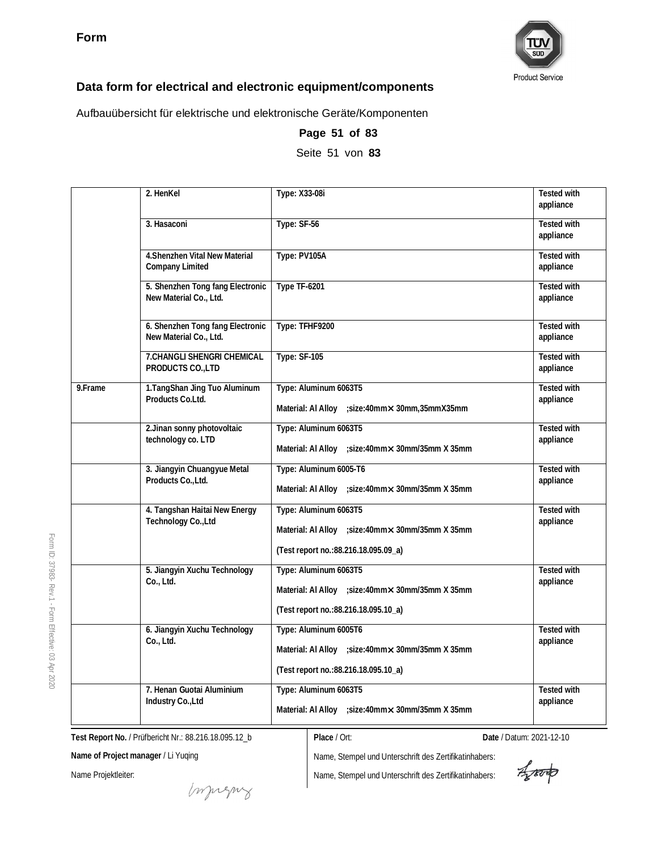

Aufbauübersicht für elektrische und elektronische Geräte/Komponenten

|         | 2. HenKel                                                  | Type: X33-08i                                                                                                                     | <b>Tested with</b><br>appliance |
|---------|------------------------------------------------------------|-----------------------------------------------------------------------------------------------------------------------------------|---------------------------------|
|         | 3. Hasaconi                                                | Type: SF-56                                                                                                                       | Tested with<br>appliance        |
|         | 4. Shenzhen Vital New Material<br>Company Limited          | Type: PV105A                                                                                                                      | <b>Tested with</b><br>appliance |
|         | 5. Shenzhen Tong fang Electronic<br>New Material Co., Ltd. | <b>Type TF-6201</b>                                                                                                               | <b>Tested with</b><br>appliance |
|         | 6. Shenzhen Tong fang Electronic<br>New Material Co., Ltd. | Type: TFHF9200                                                                                                                    | <b>Tested with</b><br>appliance |
|         | 7.CHANGLI SHENGRI CHEMICAL<br>PRODUCTS CO., LTD            | <b>Type: SF-105</b>                                                                                                               | Tested with<br>appliance        |
| 9.Frame | 1. TangShan Jing Tuo Aluminum<br>Products Co.Ltd.          | Type: Aluminum 6063T5<br>Material: Al Alloy ; size: 40mm x 30mm, 35mm X35mm                                                       | <b>Tested with</b><br>appliance |
|         | 2. Jinan sonny photovoltaic<br>technology co. LTD          | Type: Aluminum 6063T5<br>Material: Al Alloy ; size: 40mm $\times$ 30mm/35mm X 35mm                                                | <b>Tested with</b><br>appliance |
|         | 3. Jiangyin Chuangyue Metal<br>Products Co., Ltd.          | Type: Aluminum 6005-T6<br>Material: Al Alloy ; size: 40mm $\times$ 30mm/35mm $\times$ 35mm                                        | <b>Tested with</b><br>appliance |
|         | 4. Tangshan Haitai New Energy<br>Technology Co., Ltd       | Type: Aluminum 6063T5<br>Material: Al Alloy ; size: 40mm $\times$ 30mm/35mm $\times$ 35mm<br>(Test report no.:88.216.18.095.09_a) | Tested with<br>appliance        |
|         | 5. Jiangyin Xuchu Technology<br>Co., Ltd.                  | Type: Aluminum 6063T5<br>Material: Al Alloy ; size: 40mm x 30mm/35mm X 35mm<br>(Test report no.:88.216.18.095.10_a)               | Tested with<br>appliance        |
|         | 6. Jiangyin Xuchu Technology<br>Co., Ltd.                  | Type: Aluminum 6005T6<br>Material: AI Alloy ; size: 40mm x 30mm/35mm X 35mm<br>(Test report no.: 88.216.18.095.10_a)              | <b>Tested with</b><br>appliance |
|         | 7. Henan Guotai Aluminium<br>Industry Co., Ltd             | Type: Aluminum 6063T5<br>Material: Al Alloy ; size: 40mm $\times$ 30mm/35mm $\times$ 35mm                                         | <b>Tested with</b><br>appliance |

**Page 51 of 83**

Seite 51 von **83**

**Test Report No.** / Prüfbericht Nr.: 88.216.18.095.12\_b

**Name of Project manager** / Li Yuqing

Name Projektleiter:

Form ID: 37983-

Rev.1 - Form

Effective:  $\mathbb S$ Apr 2020

Name, Stempel und Unterschrift des Zertifikatinhabers:

Name, Stempel und Unterschrift des Zertifikatinhabers:

**Place** / Ort: **Date** / Datum: 2021-12-10

Aparto

muring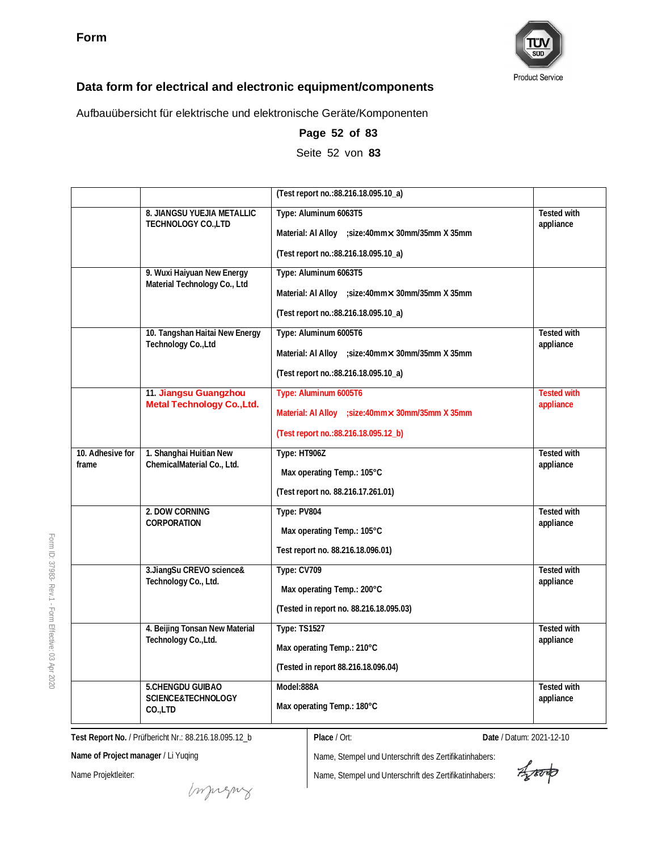

Aufbauübersicht für elektrische und elektronische Geräte/Komponenten

|                           |                                                            | (Test report no.: 88.216.18.095.10_a)                                                                                             |                                 |
|---------------------------|------------------------------------------------------------|-----------------------------------------------------------------------------------------------------------------------------------|---------------------------------|
|                           | 8. JIANGSU YUEJIA METALLIC<br>TECHNOLOGY CO., LTD          | Type: Aluminum 6063T5<br>Material: Al Alloy ; size: 40mm $\times$ 30mm/35mm $\times$ 35mm<br>(Test report no.:88.216.18.095.10_a) | <b>Tested with</b><br>appliance |
|                           | 9. Wuxi Haiyuan New Energy<br>Material Technology Co., Ltd | Type: Aluminum 6063T5<br>Material: Al Alloy ; size: 40mm x 30mm/35mm X 35mm<br>(Test report no.:88.216.18.095.10_a)               |                                 |
|                           | 10. Tangshan Haitai New Energy<br>Technology Co., Ltd      | Type: Aluminum 6005T6<br>Material: Al Alloy ; size: 40mm x 30mm/35mm X 35mm<br>(Test report no.:88.216.18.095.10_a)               | <b>Tested with</b><br>appliance |
|                           | 11. Jiangsu Guangzhou<br><b>Metal Technology Co., Ltd.</b> | Type: Aluminum 6005T6<br>Material: Al Alloy ; size: 40mm x 30mm/35mm X 35mm<br>(Test report no.: 88.216.18.095.12_b)              | <b>Tested with</b><br>appliance |
| 10. Adhesive for<br>frame | 1. Shanghai Huitian New<br>ChemicalMaterial Co., Ltd.      | Type: HT906Z<br>Max operating Temp.: 105°C<br>(Test report no. 88.216.17.261.01)                                                  | Tested with<br>appliance        |
|                           | 2. DOW CORNING<br>CORPORATION                              | Type: PV804<br>Max operating Temp.: 105°C<br>Test report no. 88.216.18.096.01)                                                    | <b>Tested with</b><br>appliance |
|                           | 3.JiangSu CREVO science&<br>Technology Co., Ltd.           | Type: CV709<br>Max operating Temp.: 200°C<br>(Tested in report no. 88.216.18.095.03)                                              | Tested with<br>appliance        |
|                           | 4. Beijing Tonsan New Material<br>Technology Co., Ltd.     | <b>Type: TS1527</b><br>Max operating Temp.: 210°C<br>(Tested in report 88.216.18.096.04)                                          | <b>Tested with</b><br>appliance |
|                           | 5.CHENGDU GUIBAO<br>SCIENCE&TECHNOLOGY<br>CO.,LTD          | Model:888A<br>Max operating Temp.: 180°C                                                                                          | Tested with<br>appliance        |

**Page 52 of 83** Seite 52 von **83**

**Test Report No.** / Prüfbericht Nr.: 88.216.18.095.12\_b

**Name of Project manager** / Li Yuqing

Name Projektleiter:

Form ID: 37983-

Rev.1 - Form

Effective:  $\mathbb S$ Apr 2020

> Name, Stempel und Unterschrift des Zertifikatinhabers: Name, Stempel und Unterschrift des Zertifikatinhabers:

**Place** / Ort: **Date** / Datum: 2021-12-10

Aproto

Impregnz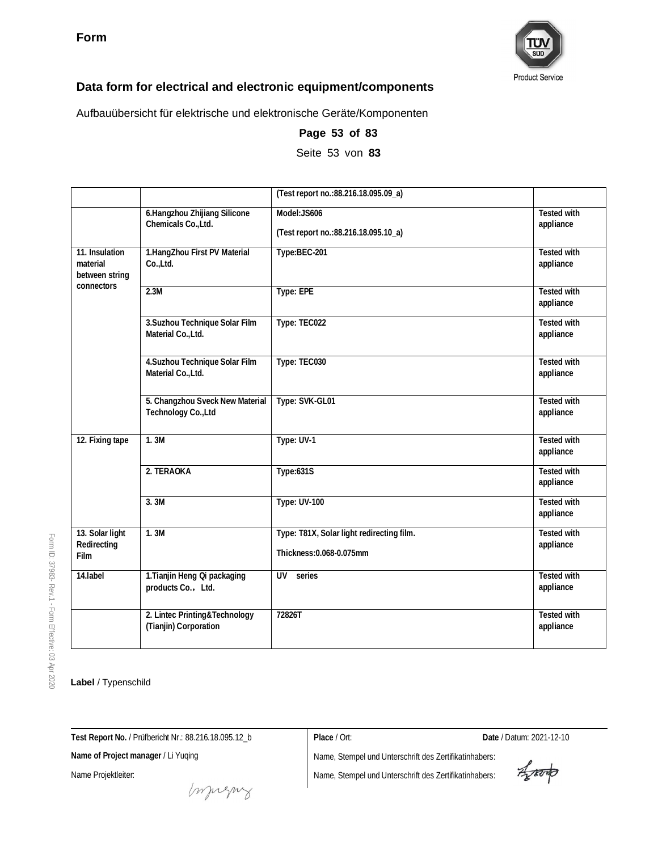

Aufbauübersicht für elektrische und elektronische Geräte/Komponenten

|                                              |                                                        | (Test report no.:88.216.18.095.09_a)                                  |                                 |
|----------------------------------------------|--------------------------------------------------------|-----------------------------------------------------------------------|---------------------------------|
|                                              | 6.Hangzhou Zhijiang Silicone<br>Chemicals Co., Ltd.    | Model:JS606<br>(Test report no.: 88.216.18.095.10_a)                  | <b>Tested with</b><br>appliance |
| 11. Insulation<br>material<br>between string | 1.HangZhou First PV Material<br>Co.,Ltd.               | Type:BEC-201                                                          | <b>Tested with</b><br>appliance |
| connectors                                   | 2.3M                                                   | Type: EPE                                                             | <b>Tested with</b><br>appliance |
|                                              | 3. Suzhou Technique Solar Film<br>Material Co., Ltd.   | Type: TEC022                                                          | <b>Tested with</b><br>appliance |
|                                              | 4. Suzhou Technique Solar Film<br>Material Co., Ltd.   | Type: TEC030                                                          | Tested with<br>appliance        |
|                                              | 5. Changzhou Sveck New Material<br>Technology Co., Ltd | Type: SVK-GL01                                                        | <b>Tested with</b><br>appliance |
| 12. Fixing tape                              | 1.3M                                                   | Type: UV-1                                                            | <b>Tested with</b><br>appliance |
|                                              | 2. TERAOKA                                             | Type:631S                                                             | <b>Tested with</b><br>appliance |
|                                              | 3. 3M                                                  | <b>Type: UV-100</b>                                                   | <b>Tested with</b><br>appliance |
| 13. Solar light<br>Redirecting<br>Film       | 1.3M                                                   | Type: T81X, Solar light redirecting film.<br>Thickness: 0.068-0.075mm | <b>Tested with</b><br>appliance |
| 14.label                                     | 1. Tianjin Heng Qi packaging<br>products Co., Ltd.     | UV<br>series                                                          | <b>Tested with</b><br>appliance |
|                                              | 2. Lintec Printing&Technology<br>(Tianjin) Corporation | 72826T                                                                | <b>Tested with</b><br>appliance |

### **Page 53 of 83**

Seite 53 von **83**

Form ID: 37983- Rev.1 - Form Effective:  $\mathbb S$ Apr 2020

### **Label** / Typenschild

**Test Report No.** / Prüfbericht Nr.: 88.216.18.095.12\_b

**Place** / Ort: **Date** / Datum: 2021-12-10

Agreento

**Name of Project manager** / Li Yuqing

Name Projektleiter:

money

Name, Stempel und Unterschrift des Zertifikatinhabers: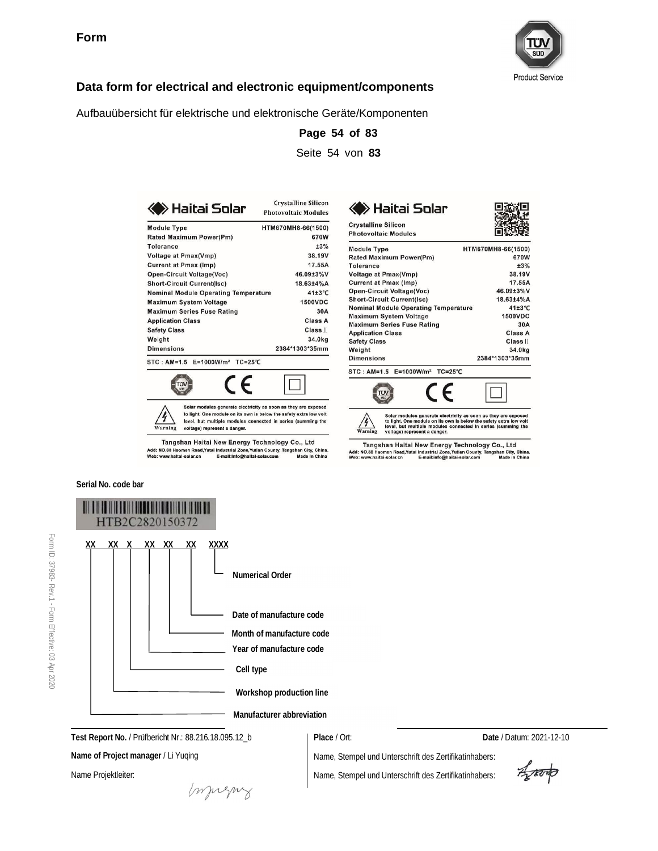

П

670W

 $+3%$ 

38.19V

17.55A

46.09±3%V

18.63±4%A 41±3°C

1500VDC

Class A

Class II 34.0kg

2384\*1303\*35mm

Є

30A

г

HTM670MH8-66(1500)

### **Data form for electrical and electronic equipment/components**

Aufbauübersicht für elektrische und elektronische Geräte/Komponenten

| ≽ Haitai Solar                              | <b>Crystalline Silicon</b><br><b>Photovoltaic Modules</b> | <b>Baitai Solar</b>                                                |
|---------------------------------------------|-----------------------------------------------------------|--------------------------------------------------------------------|
| <b>Module Type</b>                          | HTM670MH8-66(1500)                                        | <b>Crystalline Silicon</b><br><b>Photovoltaic Modules</b>          |
| Rated Maximum Power(Pm)<br><b>Tolerance</b> | 670W<br>±3%                                               |                                                                    |
| <b>Voltage at Pmax(Vmp)</b>                 | 38.19V                                                    | <b>Module Type</b>                                                 |
| <b>Current at Pmax (Imp)</b>                | 17.55A                                                    | Rated Maximum Power(Pm)<br><b>Tolerance</b>                        |
| Open-Circuit Voltage(Voc)                   | 46.09±3%V                                                 | <b>Voltage at Pmax(Vmp)</b>                                        |
| <b>Short-Circuit Current(Isc)</b>           | 18.63±4%A                                                 | <b>Current at Pmax (Imp)</b>                                       |
| <b>Nominal Module Operating Temperature</b> | 41±3°C                                                    | Open-Circuit Voltage(Voc)                                          |
| <b>Maximum System Voltage</b>               | <b>1500VDC</b>                                            | <b>Short-Circuit Current(Isc)</b>                                  |
| <b>Maximum Series Fuse Rating</b>           | 30A                                                       | <b>Nominal Module Operating Temperature</b>                        |
| <b>Application Class</b>                    | Class A                                                   | <b>Maximum System Voltage</b><br><b>Maximum Series Fuse Rating</b> |
| <b>Safety Class</b>                         | Class II                                                  | <b>Application Class</b>                                           |
| Weight                                      | 34.0kg                                                    | <b>Safety Class</b>                                                |
| <b>Dimensions</b>                           | 2384*1303*35mm                                            | Weight                                                             |
| STC: AM=1.5 E=1000W/m <sup>2</sup> TC=25°C  |                                                           | <b>Dimensions</b>                                                  |
|                                             |                                                           | $STC: AM=1.5$<br>$E = 1000W/m2$<br>$TC = 25^{\circ}C$              |



Tangshan Haitai New Energy Technology Co., Ltd Add: NO.88 Haomen Road,Yutai Industrial Zone,Yutian County, Tangshan City, China.<br>Web: www.haltal-solar.cn E-mail:Info@haltal-solar.com Made In China

Solar modules generate electricity as soon as they are exposed<br>to light. One module on its own is below the safety extra low volt<br>level, but multiple modules connected in series (summing the<br>voltage) represent a danger.  $\frac{4}{\sqrt{2}}$ Tangshan Haitai New Energy Technology Co., Ltd<br>Add: NO.88 Haomen Road, Yutai Industrial Zone, Yutian County, Tangshan City, China<br>Web: www.haitai-solar.cn E-mail:info@haitai-solar.com Made in China

**Page 54 of 83** Seite 54 von **83**

TUV

**Serial No. code bar**



**Test Report No.** / Prüfbericht Nr.: 88.216.18.095.12\_b

**Name of Project manager** / Li Yuqing

Name Projektleiter:

**Place** / Ort: **Date** / Datum: 2021-12-10

Name, Stempel und Unterschrift des Zertifikatinhabers: Name, Stempel und Unterschrift des Zertifikatinhabers:

Aporto

mongue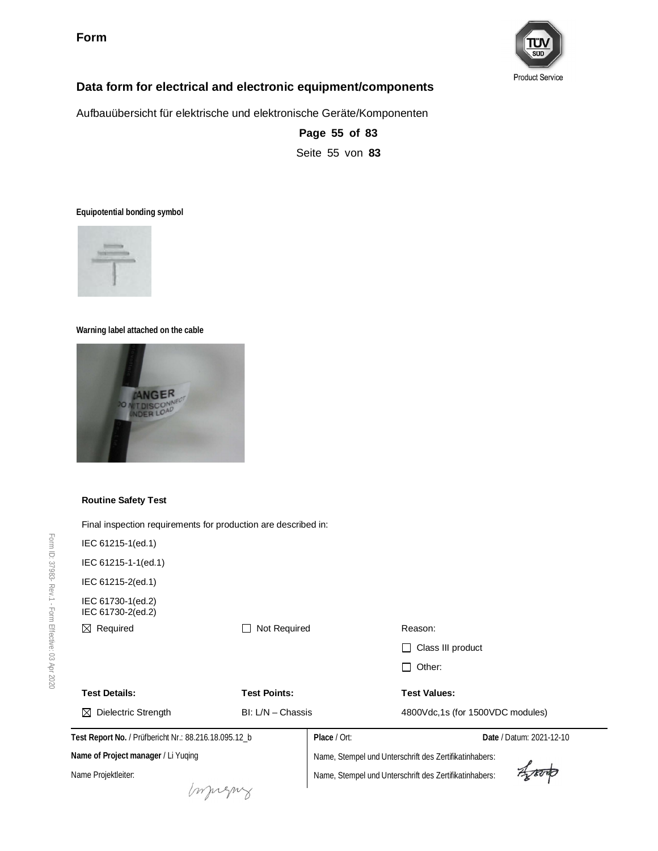**Form**



### **Data form for electrical and electronic equipment/components**

Aufbauübersicht für elektrische und elektronische Geräte/Komponenten

**Page 55 of 83** Seite 55 von **83**

**Equipotential bonding symbol**



#### **Warning label attached on the cable**



#### **Routine Safety Test**

Final inspection requirements for production are described in:

| IEC 61215-1(ed.1)                                     |                     |              |                                                        |                          |
|-------------------------------------------------------|---------------------|--------------|--------------------------------------------------------|--------------------------|
| IEC 61215-1-1(ed.1)                                   |                     |              |                                                        |                          |
| IEC 61215-2(ed.1)                                     |                     |              |                                                        |                          |
| IEC 61730-1(ed.2)<br>IEC 61730-2(ed.2)                |                     |              |                                                        |                          |
| Required<br>⊠                                         | Not Required        |              | Reason:                                                |                          |
|                                                       |                     |              | Class III product                                      |                          |
|                                                       |                     |              | Other:                                                 |                          |
| <b>Test Details:</b>                                  | <b>Test Points:</b> |              | <b>Test Values:</b>                                    |                          |
| Dielectric Strength<br>⊠                              | $BI: L/N - Chassis$ |              | 4800Vdc,1s (for 1500VDC modules)                       |                          |
| Test Report No. / Prüfbericht Nr.: 88.216.18.095.12_b |                     | Place / Ort: |                                                        | Date / Datum: 2021-12-10 |
| Name of Project manager / Li Yuqing                   |                     |              | Name, Stempel und Unterschrift des Zertifikatinhabers: |                          |
| Name Projektleiter:                                   |                     |              | Name, Stempel und Unterschrift des Zertifikatinhabers: |                          |
|                                                       |                     |              |                                                        |                          |
|                                                       |                     |              |                                                        |                          |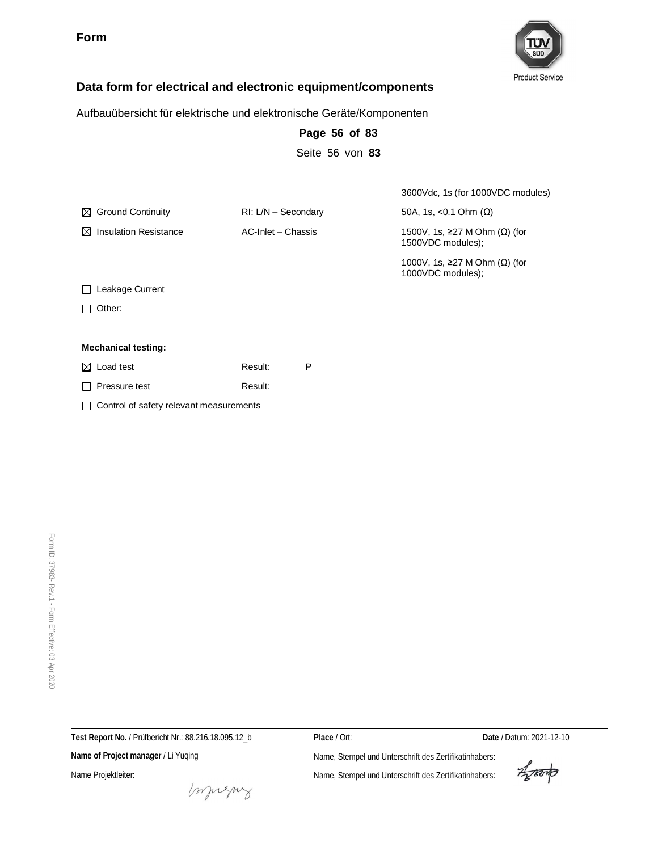**Form**



### **Data form for electrical and electronic equipment/components**

Aufbauübersicht für elektrische und elektronische Geräte/Komponenten

|                                                    |                       | Seite 56 von 83 |                                                    |
|----------------------------------------------------|-----------------------|-----------------|----------------------------------------------------|
|                                                    |                       |                 | 3600Vdc, 1s (for 1000VDC modules)                  |
| $\boxtimes$ Ground Continuity                      | $RI: L/N -$ Secondary |                 | 50A, 1s, <0.1 Ohm $(\Omega)$                       |
| <b>Insulation Resistance</b><br>M                  | AC-Inlet - Chassis    |                 | 1500V, 1s, ≥27 M Ohm (Ω) (for<br>1500VDC modules); |
|                                                    |                       |                 | 1000V, 1s, ≥27 M Ohm (Ω) (for<br>1000VDC modules); |
| Leakage Current                                    |                       |                 |                                                    |
| Other:                                             |                       |                 |                                                    |
| <b>Mechanical testing:</b>                         |                       |                 |                                                    |
| $\boxtimes$ Load test                              | Result:               | P               |                                                    |
| Pressure test                                      | Result:               |                 |                                                    |
| Control of safety relevant measurements<br>$\perp$ |                       |                 |                                                    |
|                                                    |                       |                 |                                                    |

**Page 56 of 83**

Form ID: 37983- Rev.1 - Form Effective:  $\mathbb S$ Apr 2020

**Test Report No.** / Prüfbericht Nr.: 88.216.18.095.12\_b

**Name of Project manager** / Li Yuqing

Name Projektleiter:

**Place** / Ort: **Date** / Datum: 2021-12-10

Aporto

money

Name, Stempel und Unterschrift des Zertifikatinhabers: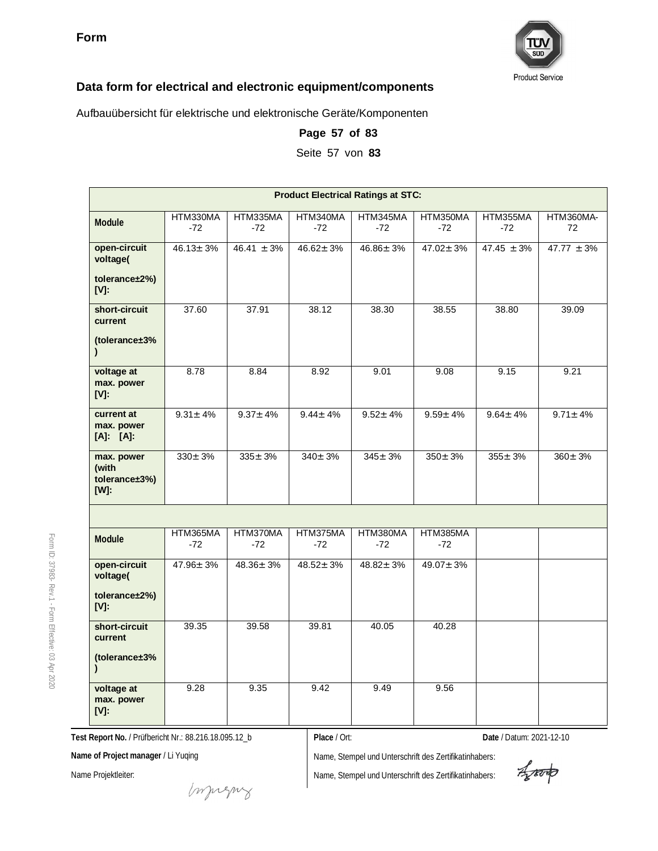

Aufbauübersicht für elektrische und elektronische Geräte/Komponenten

| Page 57 of 83 |
|---------------|
|---------------|

Seite 57 von **83**

|                                                 | <b>Product Electrical Ratings at STC:</b> |                   |                   |                   |                   |                   |                 |
|-------------------------------------------------|-------------------------------------------|-------------------|-------------------|-------------------|-------------------|-------------------|-----------------|
| Module                                          | HTM330MA<br>$-72$                         | HTM335MA<br>-72   | HTM340MA<br>$-72$ | HTM345MA<br>$-72$ | HTM350MA<br>$-72$ | HTM355MA<br>$-72$ | HTM360MA-<br>72 |
| open-circuit<br>voltage(                        | $46.13 \pm 3\%$                           | $46.41 \pm 3\%$   | $46.62 \pm 3\%$   | $46.86 \pm 3\%$   | $47.02 \pm 3\%$   | $47.45 \pm 3\%$   | $47.77 \pm 3\%$ |
| tolerance±2%)<br>$[V]$ :                        |                                           |                   |                   |                   |                   |                   |                 |
| short-circuit<br>current                        | 37.60                                     | 37.91             | 38.12             | 38.30             | 38.55             | 38.80             | 39.09           |
| (tolerance±3%<br>$\mathcal{L}$                  |                                           |                   |                   |                   |                   |                   |                 |
| voltage at<br>max. power<br>$[V]$ :             | 8.78                                      | 8.84              | 8.92              | 9.01              | 9.08              | 9.15              | 9.21            |
| current at<br>max. power<br>$[A]$ : $[A]$ :     | $9.31 \pm 4\%$                            | $9.37 \pm 4\%$    | $9.44 \pm 4\%$    | $9.52 \pm 4\%$    | $9.59 + 4%$       | $9.64 \pm 4\%$    | $9.71 \pm 4\%$  |
| max. power<br>(with<br>tolerance±3%)<br>$[W]$ : | $330 \pm 3%$                              | $335 \pm 3%$      | $340 \pm 3%$      | $345 \pm 3%$      | $350 \pm 3%$      | $355 \pm 3\%$     | $360 \pm 3%$    |
|                                                 |                                           |                   |                   |                   |                   |                   |                 |
| Module                                          | HTM365MA<br>$-72$                         | HTM370MA<br>$-72$ | HTM375MA<br>$-72$ | HTM380MA<br>$-72$ | HTM385MA<br>$-72$ |                   |                 |
| open-circuit<br>voltage(                        | $47.96 \pm 3\%$                           | $48.36 \pm 3\%$   | $48.52 \pm 3\%$   | $48.82 \pm 3\%$   | $49.07 \pm 3\%$   |                   |                 |
| tolerance±2%)<br>$[V]$ :                        |                                           |                   |                   |                   |                   |                   |                 |
| short-circuit<br>current                        | 39.35                                     | 39.58             | 39.81             | 40.05             | 40.28             |                   |                 |
| (tolerance±3%<br>$\mathbf{I}$                   |                                           |                   |                   |                   |                   |                   |                 |
| voltage at<br>max. power<br>$[V]$ :             | 9.28                                      | 9.35              | 9.42              | 9.49              | 9.56              |                   |                 |

**Test Report No.** / Prüfbericht Nr.: 88.216.18.095.12\_b

**Place** / Ort: **Date** / Datum: 2021-12-10

**Name of Project manager** / Li Yuqing

Name Projektleiter:

Name, Stempel und Unterschrift des Zertifikatinhabers:

Name, Stempel und Unterschrift des Zertifikatinhabers:

Aporto

37983- Rev.1 - Form Effective:  $\mathbb S$ Apr 2020

Form ID: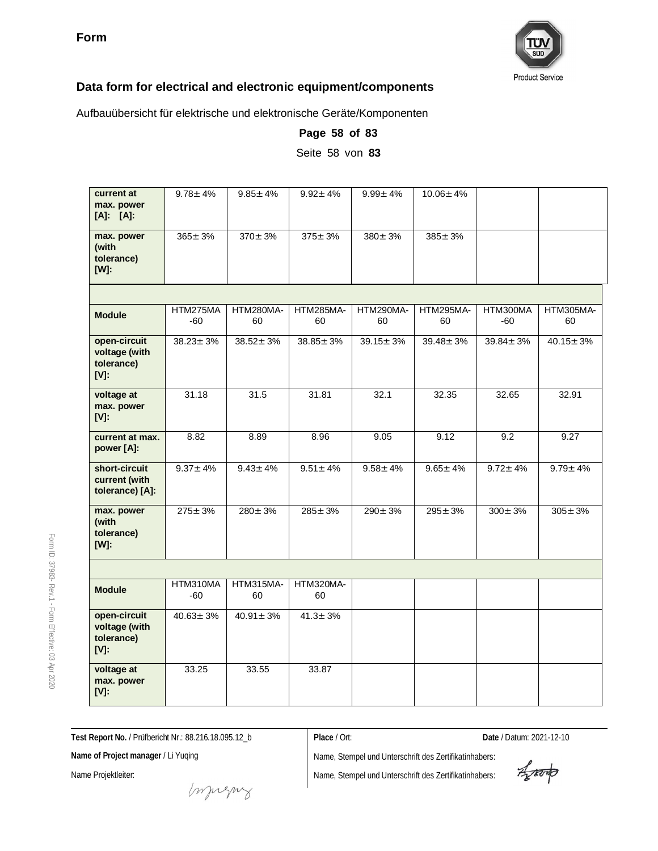

Aufbauübersicht für elektrische und elektronische Geräte/Komponenten

| current at<br>max. power<br>$[A]$ : $[A]$ :            | $9.78 \pm 4\%$  | $9.85 \pm 4\%$  | $9.92 \pm 4\%$  | $9.99 \pm 4\%$  | $10.06 \pm 4\%$ |                 |                 |
|--------------------------------------------------------|-----------------|-----------------|-----------------|-----------------|-----------------|-----------------|-----------------|
| max. power<br>(with<br>tolerance)<br>$[W]$ :           | $365 \pm 3%$    | $370 \pm 3%$    | $375 \pm 3%$    | $380 \pm 3\%$   | $385 \pm 3%$    |                 |                 |
|                                                        |                 |                 |                 |                 |                 |                 |                 |
| <b>Module</b>                                          | HTM275MA<br>-60 | HTM280MA-<br>60 | HTM285MA-<br>60 | HTM290MA-<br>60 | HTM295MA-<br>60 | HTM300MA<br>-60 | HTM305MA-<br>60 |
| open-circuit<br>voltage (with<br>tolerance)<br>$[V]$ : | $38.23 \pm 3\%$ | $38.52 \pm 3\%$ | $38.85 \pm 3\%$ | $39.15 \pm 3\%$ | $39.48 \pm 3\%$ | $39.84 \pm 3\%$ | $40.15 \pm 3\%$ |
| voltage at<br>max. power<br>$[V]$ :                    | 31.18           | 31.5            | 31.81           | 32.1            | 32.35           | 32.65           | 32.91           |
| current at max.<br>power [A]:                          | 8.82            | 8.89            | 8.96            | 9.05            | 9.12            | 9.2             | 9.27            |
| short-circuit<br>current (with<br>tolerance) [A]:      | $9.37 \pm 4\%$  | $9.43 \pm 4\%$  | $9.51 \pm 4\%$  | $9.58 \pm 4\%$  | $9.65 \pm 4\%$  | $9.72 \pm 4\%$  | $9.79 \pm 4\%$  |
| max. power<br>(with<br>tolerance)<br>$[W]$ :           | $275 \pm 3%$    | $280 \pm 3\%$   | $285 \pm 3\%$   | $290 \pm 3\%$   | $295 \pm 3%$    | $300 \pm 3\%$   | $305 \pm 3%$    |
|                                                        |                 |                 |                 |                 |                 |                 |                 |
| <b>Module</b>                                          | HTM310MA<br>-60 | HTM315MA-<br>60 | HTM320MA-<br>60 |                 |                 |                 |                 |
| open-circuit<br>voltage (with<br>tolerance)<br>$[V]$ : | $40.63 \pm 3\%$ | $40.91 \pm 3\%$ | $41.3 \pm 3\%$  |                 |                 |                 |                 |
| voltage at<br>max. power<br>$[V]$ :                    | 33.25           | 33.55           | 33.87           |                 |                 |                 |                 |

**Page 58 of 83** Seite 58 von **83**

**Test Report No.** / Prüfbericht Nr.: 88.216.18.095.12\_b

**Place** / Ort: **Date** / Datum: 2021-12-10

**Name of Project manager** / Li Yuqing

Name Projektleiter:

Form ID: 37983-

Rev.1 - Form

Effective:  $\mathbb S$ Apr 2020

Aporto

mongue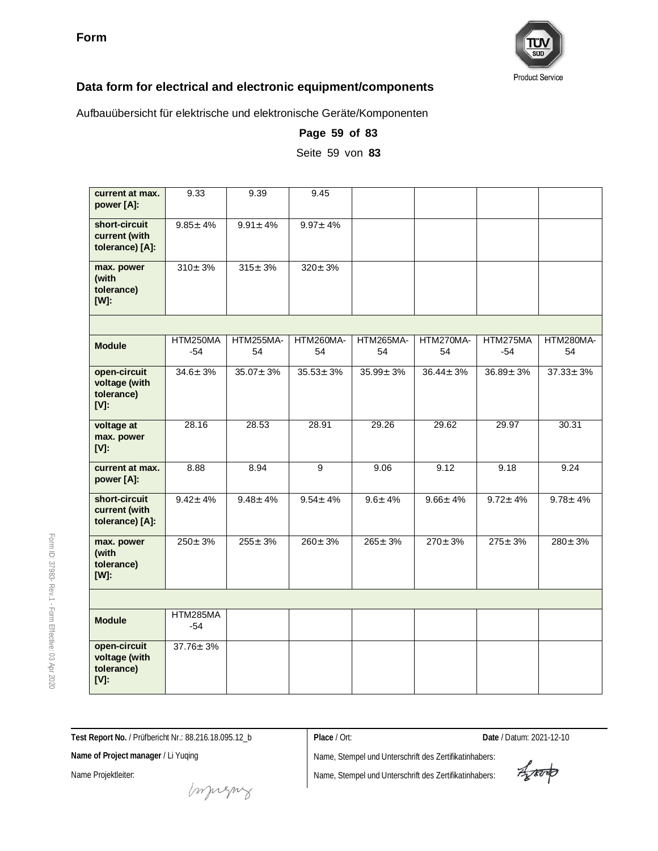

Aufbauübersicht für elektrische und elektronische Geräte/Komponenten

| current at max.<br>power [A]:                          | $\overline{9}.33$ | 9.39            | 9.45            |                 |                 |                 |                 |
|--------------------------------------------------------|-------------------|-----------------|-----------------|-----------------|-----------------|-----------------|-----------------|
| short-circuit<br>current (with<br>tolerance) [A]:      | $9.85 \pm 4\%$    | $9.91 \pm 4\%$  | $9.97 \pm 4\%$  |                 |                 |                 |                 |
| max. power<br>(with<br>tolerance)<br>$[W]$ :           | $310 \pm 3\%$     | $315 \pm 3%$    | $320 \pm 3%$    |                 |                 |                 |                 |
|                                                        |                   |                 |                 |                 |                 |                 |                 |
| <b>Module</b>                                          | HTM250MA<br>$-54$ | HTM255MA-<br>54 | HTM260MA-<br>54 | HTM265MA-<br>54 | HTM270MA-<br>54 | HTM275MA<br>-54 | HTM280MA-<br>54 |
| open-circuit<br>voltage (with<br>tolerance)<br>$[V]$ : | $34.6 \pm 3\%$    | $35.07 \pm 3\%$ | $35.53 \pm 3\%$ | $35.99 \pm 3\%$ | $36.44 \pm 3\%$ | $36.89 \pm 3\%$ | $37.33 \pm 3\%$ |
| voltage at<br>max. power<br>$[V]$ :                    | 28.16             | 28.53           | 28.91           | 29.26           | 29.62           | 29.97           | 30.31           |
| current at max.<br>power [A]:                          | 8.88              | 8.94            | 9               | 9.06            | 9.12            | 9.18            | 9.24            |
| short-circuit<br>current (with<br>tolerance) [A]:      | $9.42 \pm 4\%$    | $9.48 \pm 4\%$  | $9.54 \pm 4\%$  | $9.6 \pm 4\%$   | $9.66 \pm 4\%$  | $9.72 \pm 4\%$  | $9.78 \pm 4\%$  |
| max. power<br>(with<br>tolerance)<br>$[W]$ :           | $250 + 3%$        | $255 \pm 3 \%$  | $260 + 3%$      | $265 + 3%$      | $270 + 3%$      | $275 + 3%$      | $280 \pm 3%$    |
|                                                        |                   |                 |                 |                 |                 |                 |                 |
| <b>Module</b>                                          | HTM285MA<br>-54   |                 |                 |                 |                 |                 |                 |
| open-circuit<br>voltage (with<br>tolerance)<br>$[V]$ : | $37.76 \pm 3\%$   |                 |                 |                 |                 |                 |                 |

**Page 59 of 83**

Seite 59 von **83**

**Test Report No.** / Prüfbericht Nr.: 88.216.18.095.12\_b

**Place** / Ort: **Date** / Datum: 2021-12-10

**Name of Project manager** / Li Yuqing

Name Projektleiter:

Name, Stempel und Unterschrift des Zertifikatinhabers: Name, Stempel und Unterschrift des Zertifikatinhabers:

Aporto

money

Form ID: 37983- Rev.1 - Form Effective:  $\mathbb S$ Apr 2020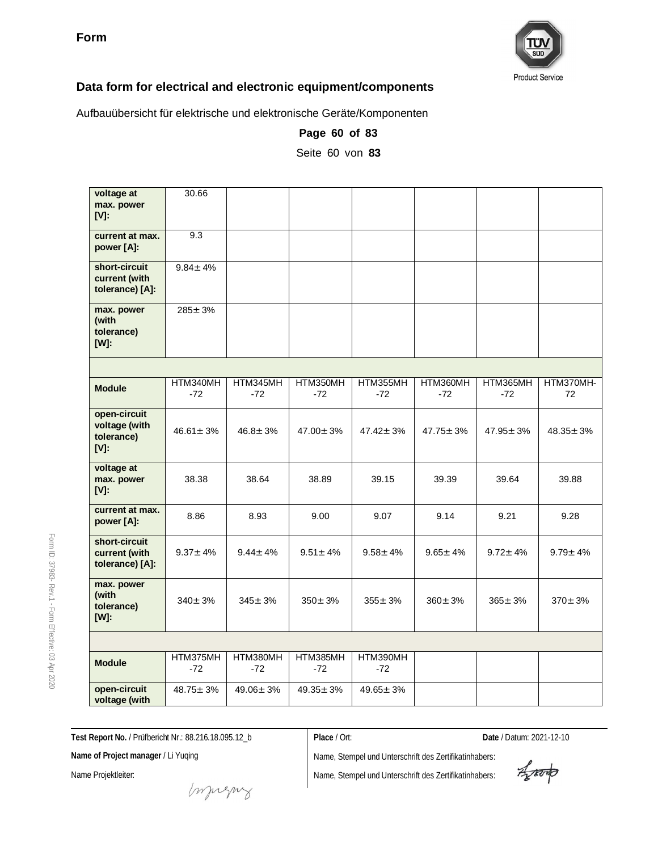

Aufbauübersicht für elektrische und elektronische Geräte/Komponenten

| voltage at<br>max. power<br>$[V]$ :                    | 30.66             |                   |                   |                   |                   |                   |                 |
|--------------------------------------------------------|-------------------|-------------------|-------------------|-------------------|-------------------|-------------------|-----------------|
| current at max.<br>power [A]:                          | 9.3               |                   |                   |                   |                   |                   |                 |
| short-circuit<br>current (with<br>tolerance) [A]:      | $9.84 \pm 4\%$    |                   |                   |                   |                   |                   |                 |
| max. power<br>(with<br>tolerance)<br>$[W]$ :           | $285 \pm 3\%$     |                   |                   |                   |                   |                   |                 |
|                                                        |                   |                   |                   |                   |                   |                   |                 |
| <b>Module</b>                                          | HTM340MH<br>$-72$ | HTM345MH<br>$-72$ | HTM350MH<br>$-72$ | HTM355MH<br>$-72$ | HTM360MH<br>$-72$ | HTM365MH<br>$-72$ | HTM370MH-<br>72 |
| open-circuit<br>voltage (with<br>tolerance)<br>$[V]$ : | $46.61 \pm 3%$    | $46.8 \pm 3\%$    | $47.00 \pm 3\%$   | $47.42 \pm 3%$    | $47.75 \pm 3\%$   | $47.95 \pm 3\%$   | $48.35 \pm 3\%$ |
| voltage at<br>max. power<br>[V]:                       | 38.38             | 38.64             | 38.89             | 39.15             | 39.39             | 39.64             | 39.88           |
| current at max.<br>power [A]:                          | 8.86              | 8.93              | 9.00              | 9.07              | 9.14              | 9.21              | 9.28            |
| short-circuit<br>current (with<br>tolerance) [A]:      | $9.37 \pm 4\%$    | $9.44 \pm 4\%$    | $9.51 \pm 4\%$    | $9.58 \pm 4\%$    | $9.65 \pm 4\%$    | $9.72 \pm 4\%$    | $9.79 \pm 4\%$  |
| max. power<br>(with<br>tolerance)<br>$[W]$ :           | $340 + 3%$        | $345 + 3%$        | $350 + 3%$        | $355 \pm 3%$      | $360 \pm 3%$      | $365 \pm 3\%$     | $370 \pm 3%$    |
|                                                        |                   |                   |                   |                   |                   |                   |                 |
| <b>Module</b>                                          | HTM375MH<br>$-72$ | HTM380MH<br>$-72$ | HTM385MH<br>$-72$ | HTM390MH<br>$-72$ |                   |                   |                 |
| open-circuit<br>voltage (with                          | $48.75 \pm 3\%$   | $49.06 \pm 3\%$   | $49.35 \pm 3\%$   | $49.65 \pm 3\%$   |                   |                   |                 |

**Page 60 of 83**

Seite 60 von **83**

**Test Report No.** / Prüfbericht Nr.: 88.216.18.095.12\_b

**Place** / Ort: **Date** / Datum: 2021-12-10

**Name of Project manager** / Li Yuqing

Name Projektleiter:

muring

Aporto

Form ID: 37983- Rev.1 - Form Effective:  $\mathbb S$ Apr 2020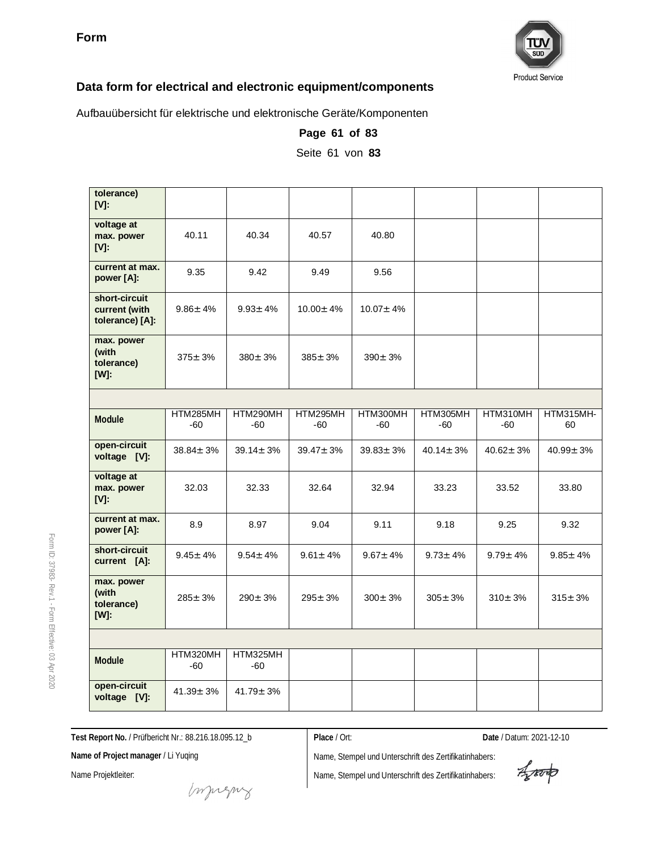

Aufbauübersicht für elektrische und elektronische Geräte/Komponenten

|                                                   | Seite 61 von 83 |                 |                   |                   |                 |                 |                 |  |  |
|---------------------------------------------------|-----------------|-----------------|-------------------|-------------------|-----------------|-----------------|-----------------|--|--|
|                                                   |                 |                 |                   |                   |                 |                 |                 |  |  |
| tolerance)<br>$[V]$ :                             |                 |                 |                   |                   |                 |                 |                 |  |  |
| voltage at<br>max. power<br>$[V]$ :               | 40.11           | 40.34           | 40.57             | 40.80             |                 |                 |                 |  |  |
| current at max.<br>power [A]:                     | 9.35            | 9.42            | 9.49              | 9.56              |                 |                 |                 |  |  |
| short-circuit<br>current (with<br>tolerance) [A]: | $9.86 \pm 4\%$  | $9.93 \pm 4\%$  | $10.00 \pm 4\%$   | $10.07 \pm 4\%$   |                 |                 |                 |  |  |
| max. power<br>(with<br>tolerance)<br>$[W]$ :      | $375 \pm 3%$    | $380 \pm 3%$    | $385 \pm 3\%$     | $390 \pm 3\%$     |                 |                 |                 |  |  |
|                                                   |                 |                 |                   |                   |                 |                 |                 |  |  |
| Module                                            | HTM285MH<br>-60 | HTM290MH<br>-60 | HTM295MH<br>$-60$ | HTM300MH<br>$-60$ | HTM305MH<br>-60 | HTM310MH<br>-60 | HTM315MH-<br>60 |  |  |
| open-circuit<br>voltage [V]:                      | $38.84 \pm 3\%$ | $39.14 \pm 3\%$ | $39.47 \pm 3\%$   | $39.83 \pm 3\%$   | $40.14 \pm 3\%$ | $40.62 \pm 3\%$ | $40.99 \pm 3\%$ |  |  |
| voltage at<br>max. power<br>[V]:                  | 32.03           | 32.33           | 32.64             | 32.94             | 33.23           | 33.52           | 33.80           |  |  |
| current at max.<br>power [A]:                     | 8.9             | 8.97            | 9.04              | 9.11              | 9.18            | 9.25            | 9.32            |  |  |
| short-circuit<br>current [A]:                     | $9.45 \pm 4\%$  | $9.54 \pm 4\%$  | $9.61 \pm 4\%$    | $9.67 \pm 4\%$    | $9.73 \pm 4\%$  | $9.79 \pm 4\%$  | $9.85 \pm 4\%$  |  |  |
| max. power<br>(with<br>tolerance)<br>$[W]$ :      | $285 \pm 3%$    | $290 \pm 3%$    | $295 \pm 3\%$     | $300 \pm 3%$      | $305 \pm 3%$    | $310 \pm 3\%$   | $315 \pm 3%$    |  |  |
|                                                   |                 |                 |                   |                   |                 |                 |                 |  |  |
| <b>Module</b>                                     | HTM320MH<br>-60 | HTM325MH<br>-60 |                   |                   |                 |                 |                 |  |  |
| open-circuit<br>voltage [V]:                      | $41.39 \pm 3\%$ | $41.79 \pm 3\%$ |                   |                   |                 |                 |                 |  |  |

**Page 61 of 83**

**Test Report No.** / Prüfbericht Nr.: 88.216.18.095.12\_b

**Place** / Ort: **Date** / Datum: 2021-12-10

**Name of Project manager** / Li Yuqing

Name Projektleiter:

Form ID: 37983-

Rev.1 - Form

Effective:  $\mathbb S$ Apr 2020

Name, Stempel und Unterschrift des Zertifikatinhabers:

Aporto

money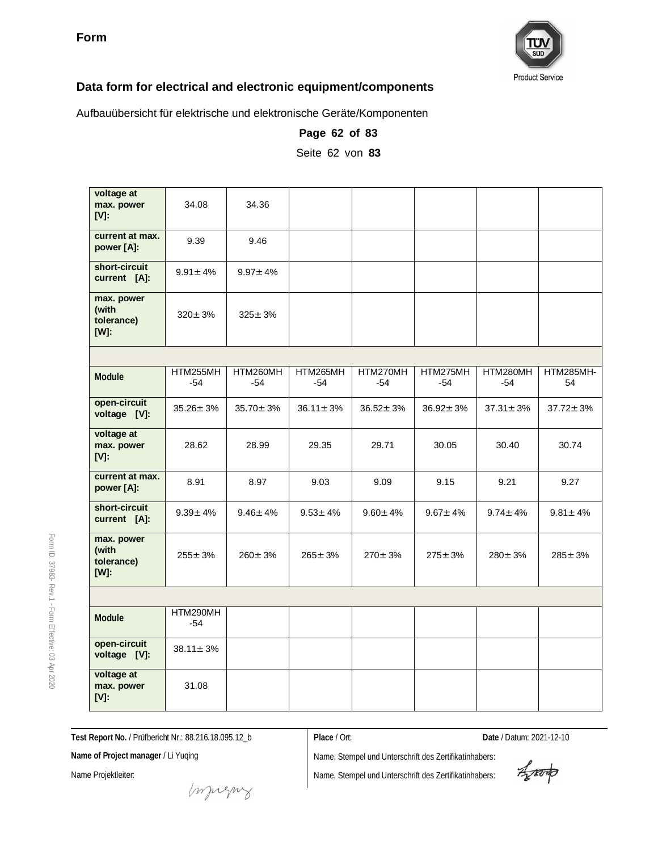

Aufbauübersicht für elektrische und elektronische Geräte/Komponenten

| voltage at<br>max. power<br>$[V]$ :          | 34.08             | 34.36           |                 |                 |                 |                 |                 |
|----------------------------------------------|-------------------|-----------------|-----------------|-----------------|-----------------|-----------------|-----------------|
| current at max.<br>power [A]:                | 9.39              | 9.46            |                 |                 |                 |                 |                 |
| short-circuit<br>current [A]:                | $9.91 \pm 4\%$    | $9.97 \pm 4\%$  |                 |                 |                 |                 |                 |
| max. power<br>(with<br>tolerance)<br>$[W]$ : | $320 \pm 3%$      | $325 \pm 3%$    |                 |                 |                 |                 |                 |
|                                              |                   |                 |                 |                 |                 |                 |                 |
| Module                                       | HTM255MH<br>-54   | HTM260MH<br>-54 | HTM265MH<br>-54 | HTM270MH<br>-54 | HTM275MH<br>-54 | HTM280MH<br>-54 | HTM285MH-<br>54 |
| open-circuit<br>voltage [V]:                 | $35.26 \pm 3\%$   | $35.70 \pm 3\%$ | $36.11 \pm 3\%$ | $36.52 \pm 3\%$ | $36.92 \pm 3\%$ | $37.31 \pm 3\%$ | $37.72 \pm 3\%$ |
| voltage at<br>max. power<br>$[V]$ :          | 28.62             | 28.99           | 29.35           | 29.71           | 30.05           | 30.40           | 30.74           |
| current at max.<br>power [A]:                | 8.91              | 8.97            | 9.03            | 9.09            | 9.15            | 9.21            | 9.27            |
| short-circuit<br>current [A]:                | $9.39 \pm 4\%$    | $9.46 \pm 4\%$  | $9.53 \pm 4\%$  | $9.60 \pm 4\%$  | $9.67 \pm 4\%$  | $9.74 \pm 4\%$  | $9.81 \pm 4\%$  |
| max. power<br>(with<br>tolerance)<br>$[W]$ : | $255 \pm 3%$      | $260 \pm 3%$    | $265 \pm 3%$    | $270 \pm 3\%$   | $275 \pm 3%$    | $280 \pm 3 \%$  | $285 \pm 3\%$   |
|                                              |                   |                 |                 |                 |                 |                 |                 |
| Module                                       | HTM290MH<br>$-54$ |                 |                 |                 |                 |                 |                 |
| open-circuit<br>voltage [V]:                 | $38.11 \pm 3\%$   |                 |                 |                 |                 |                 |                 |
| voltage at<br>max. power<br>$[V]$ :          | 31.08             |                 |                 |                 |                 |                 |                 |

**Page 62 of 83** Seite 62 von **83**

**Test Report No.** / Prüfbericht Nr.: 88.216.18.095.12\_b

**Place** / Ort: **Date** / Datum: 2021-12-10

**Name of Project manager** / Li Yuqing

Name Projektleiter:

muring

Name, Stempel und Unterschrift des Zertifikatinhabers: Name, Stempel und Unterschrift des Zertifikatinhabers:

Aparto

37983- Rev.1 - Form Effective:  $\mathbb S$ Apr 2020

Form ID: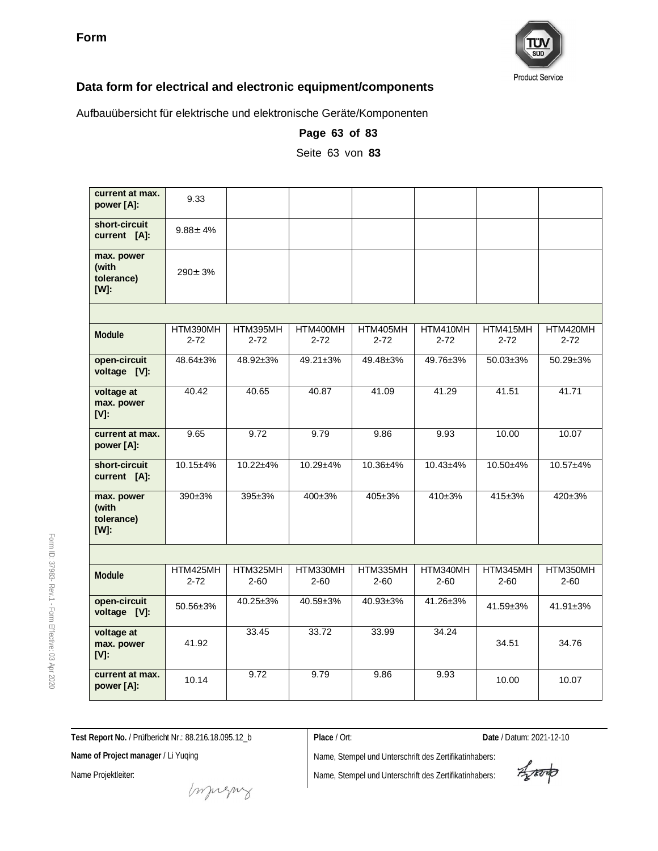

Aufbauübersicht für elektrische und elektronische Geräte/Komponenten

| current at max.<br>power [A]:                | 9.33                 |                      |                      |                      |                      |                      |                      |
|----------------------------------------------|----------------------|----------------------|----------------------|----------------------|----------------------|----------------------|----------------------|
| short-circuit<br>current [A]:                | $9.88 \pm 4\%$       |                      |                      |                      |                      |                      |                      |
| max. power<br>(with<br>tolerance)<br>$[W]$ : | $290 \pm 3%$         |                      |                      |                      |                      |                      |                      |
|                                              |                      |                      |                      |                      |                      |                      |                      |
| Module                                       | HTM390MH<br>$2 - 72$ | HTM395MH<br>$2 - 72$ | HTM400MH<br>$2 - 72$ | HTM405MH<br>$2 - 72$ | HTM410MH<br>$2 - 72$ | HTM415MH<br>$2 - 72$ | HTM420MH<br>$2 - 72$ |
| open-circuit<br>voltage [V]:                 | 48.64±3%             | 48.92±3%             | $49.21 \pm 3\%$      | 49.48±3%             | 49.76±3%             | $50.03 \pm 3\%$      | $50.29 \pm 3\%$      |
| voltage at<br>max. power<br>$[V]$ :          | 40.42                | 40.65                | 40.87                | 41.09                | 41.29                | 41.51                | 41.71                |
| current at max.<br>power [A]:                | 9.65                 | 9.72                 | 9.79                 | 9.86                 | 9.93                 | 10.00                | 10.07                |
| short-circuit<br>current [A]:                | $10.15 + 4%$         | $10.22 + 4%$         | $10.29 + 4%$         | 10.36±4%             | $10.43 + 4%$         | 10.50±4%             | $10.57 + 4%$         |
| max. power<br>(with<br>tolerance)<br>[W]:    | $390+3%$             | 395±3%               | 400±3%               | 405±3%               | 410±3%               | $415 \pm 3%$         | $420 \pm 3\%$        |
|                                              |                      |                      |                      |                      |                      |                      |                      |
| Module                                       | HTM425MH<br>$2 - 72$ | HTM325MH<br>$2 - 60$ | HTM330MH<br>$2 - 60$ | HTM335MH<br>$2 - 60$ | HTM340MH<br>$2 - 60$ | HTM345MH<br>$2 - 60$ | HTM350MH<br>$2 - 60$ |
| open-circuit<br>voltage [V]:                 | 50.56±3%             | 40.25±3%             | 40.59±3%             | 40.93±3%             | 41.26±3%             | 41.59±3%             | $41.91 \pm 3\%$      |
| voltage at<br>max. power<br>$[V]$ :          | 41.92                | 33.45                | 33.72                | 33.99                | 34.24                | 34.51                | 34.76                |
| current at max.<br>power [A]:                | 10.14                | 9.72                 | 9.79                 | 9.86                 | 9.93                 | 10.00                | 10.07                |

**Page 63 of 83**

Seite 63 von **83**

**Test Report No.** / Prüfbericht Nr.: 88.216.18.095.12\_b

**Place** / Ort: **Date** / Datum: 2021-12-10

**Name of Project manager** / Li Yuqing

Name Projektleiter:

Name, Stempel und Unterschrift des Zertifikatinhabers: Name, Stempel und Unterschrift des Zertifikatinhabers:

Aporto

Form ID: 37983-

Rev.1 - Form

Effective:  $\mathbb S$ Apr 2020

mongue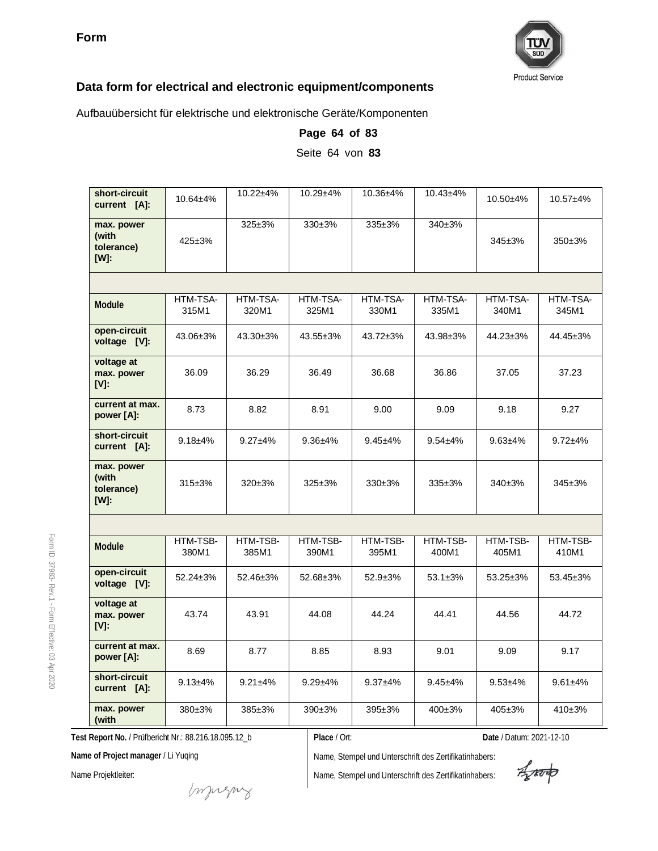

Aufbauübersicht für elektrische und elektronische Geräte/Komponenten

| short-circuit<br>current [A]:                    | $10.64 + 4%$      | $10.22 + 4%$      | $10.29 + 4%$      | 10.36±4%          | $10.43 + 4%$      | $10.50 + 4%$      | $10.57 + 4%$      |
|--------------------------------------------------|-------------------|-------------------|-------------------|-------------------|-------------------|-------------------|-------------------|
| max. power<br>(with<br>tolerance)<br>[W]:        | $425 \pm 3%$      | $325 \pm 3\%$     | 330±3%            | $335 \pm 3%$      | 340±3%            | 345±3%            | 350±3%            |
|                                                  |                   |                   |                   |                   |                   |                   |                   |
| Module                                           | HTM-TSA-<br>315M1 | HTM-TSA-<br>320M1 | HTM-TSA-<br>325M1 | HTM-TSA-<br>330M1 | HTM-TSA-<br>335M1 | HTM-TSA-<br>340M1 | HTM-TSA-<br>345M1 |
| open-circuit<br>voltage [V]:                     | 43.06±3%          | 43.30±3%          | 43.55±3%          | 43.72±3%          | 43.98±3%          | 44.23±3%          | 44.45±3%          |
| voltage at<br>max. power<br>IV:                  | 36.09             | 36.29             | 36.49             | 36.68             | 36.86             | 37.05             | 37.23             |
| current at max.<br>power [A]:                    | 8.73              | 8.82              | 8.91              | 9.00              | 9.09              | 9.18              | 9.27              |
| short-circuit<br>current [A]:                    | $9.18 + 4\%$      | $9.27 + 4%$       | $9.36 + 4%$       | $9.45 + 4%$       | $9.54 + 4%$       | $9.63 + 4%$       | $9.72 + 4%$       |
| max. power<br>(with<br>tolerance)<br><b>IWI:</b> | $315 \pm 3%$      | 320±3%            | 325±3%            | $330+3%$          | 335±3%            | 340±3%            | 345±3%            |
|                                                  |                   |                   |                   |                   |                   |                   |                   |
| Module                                           | HTM-TSB-<br>380M1 | HTM-TSB-<br>385M1 | HTM-TSB-<br>390M1 | HTM-TSB-<br>395M1 | HTM-TSB-<br>400M1 | HTM-TSB-<br>405M1 | HTM-TSB-<br>410M1 |
| open-circuit<br>voltage [V]:                     | 52.24±3%          | 52.46±3%          | 52.68±3%          | $52.9 + 3%$       | $53.1 + 3%$       | $53.25 \pm 3\%$   | 53.45±3%          |
| voltage at<br>max. power<br>$[V]$ :              | 43.74             | 43.91             | 44.08             | 44.24             | 44.41             | 44.56             | 44.72             |
| current at max.<br>power [A]:                    | 8.69              | 8.77              | 8.85              | 8.93              | 9.01              | 9.09              | 9.17              |
| short-circuit<br>current [A]:                    | $9.13 + 4%$       | $9.21 + 4%$       | $9.29 + 4%$       | $9.37 + 4%$       | $9.45 + 4%$       | $9.53 + 4%$       | $9.61 + 4%$       |
| max. power<br>(with                              | 380±3%            | $385 \pm 3\%$     | $390+3%$          | $395 \pm 3\%$     | $400 \pm 3\%$     | $405 \pm 3\%$     | 410±3%            |

**Page 64 of 83**

Seite 64 von **83**

**Test Report No.** / Prüfbericht Nr.: 88.216.18.095.12\_b

**Place** / Ort: **Date** / Datum: 2021-12-10

**Name of Project manager** / Li Yuqing

Name Projektleiter:

muring

Aparto

Form ID: 37983- Rev.1 - Form Effective:  $\mathbb S$ Apr 2020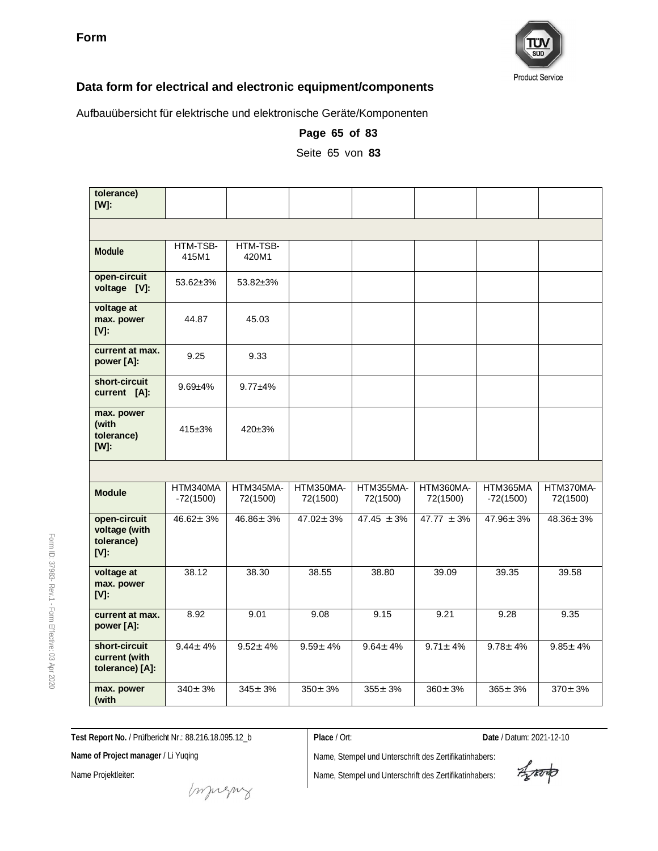

Aufbauübersicht für elektrische und elektronische Geräte/Komponenten

| tolerance)<br>$[W]$ :                                  |                         |                       |                       |                       |                       |                         |                       |
|--------------------------------------------------------|-------------------------|-----------------------|-----------------------|-----------------------|-----------------------|-------------------------|-----------------------|
|                                                        |                         |                       |                       |                       |                       |                         |                       |
| Module                                                 | HTM-TSB-<br>415M1       | HTM-TSB-<br>420M1     |                       |                       |                       |                         |                       |
| open-circuit<br>voltage [V]:                           | 53.62±3%                | $53.82 \pm 3\%$       |                       |                       |                       |                         |                       |
| voltage at<br>max. power<br>$[V]$ :                    | 44.87                   | 45.03                 |                       |                       |                       |                         |                       |
| current at max.<br>power [A]:                          | 9.25                    | 9.33                  |                       |                       |                       |                         |                       |
| short-circuit<br>current [A]:                          | $9.69 + 4%$             | $9.77 + 4%$           |                       |                       |                       |                         |                       |
| max. power<br>(with<br>tolerance)<br>$[W]$ :           | 415±3%                  | $420 \pm 3\%$         |                       |                       |                       |                         |                       |
|                                                        |                         |                       |                       |                       |                       |                         |                       |
| <b>Module</b>                                          | HTM340MA<br>$-72(1500)$ | HTM345MA-<br>72(1500) | HTM350MA-<br>72(1500) | HTM355MA-<br>72(1500) | HTM360MA-<br>72(1500) | HTM365MA<br>$-72(1500)$ | HTM370MA-<br>72(1500) |
| open-circuit<br>voltage (with<br>tolerance)<br>$[V]$ : | $46.62 \pm 3%$          | $46.86 \pm 3\%$       | $47.02 + 3%$          | $47.45 \pm 3\%$       | $47.77 \pm 3\%$       | $47.96 \pm 3\%$         | $48.36 \pm 3\%$       |
| voltage at<br>max. power<br>$[V]$ :                    | 38.12                   | 38.30                 | 38.55                 | 38.80                 | 39.09                 | 39.35                   | 39.58                 |
| current at max.<br>power [A]:                          | 8.92                    | 9.01                  | 9.08                  | 9.15                  | 9.21                  | 9.28                    | 9.35                  |
| short-circuit<br>current (with<br>tolerance) [A]:      | $9.44 \pm 4\%$          | $9.52 \pm 4\%$        | $9.59 \pm 4\%$        | $9.64 \pm 4\%$        | $9.71 \pm 4\%$        | $9.78 \pm 4\%$          | $9.85 \pm 4\%$        |
| max. power<br>(with                                    | $340 \pm 3%$            | $345 \pm 3\%$         | $350 \pm 3%$          | $355 \pm 3%$          | $360 \pm 3%$          | $365 \pm 3%$            | $370 \pm 3%$          |

**Page 65 of 83**

Seite 65 von **83**

**Test Report No.** / Prüfbericht Nr.: 88.216.18.095.12\_b

Name, Stempel und Unterschrift des Zertifikatinhabers: Name, Stempel und Unterschrift des Zertifikatinhabers:

**Place** / Ort: **Date** / Datum: 2021-12-10

**Name of Project manager** / Li Yuqing

Name Projektleiter:

mongue

Rev.1 - Form Effective:  $\mathbb S$ Apr 2020

Form ID: 37983-

Aporto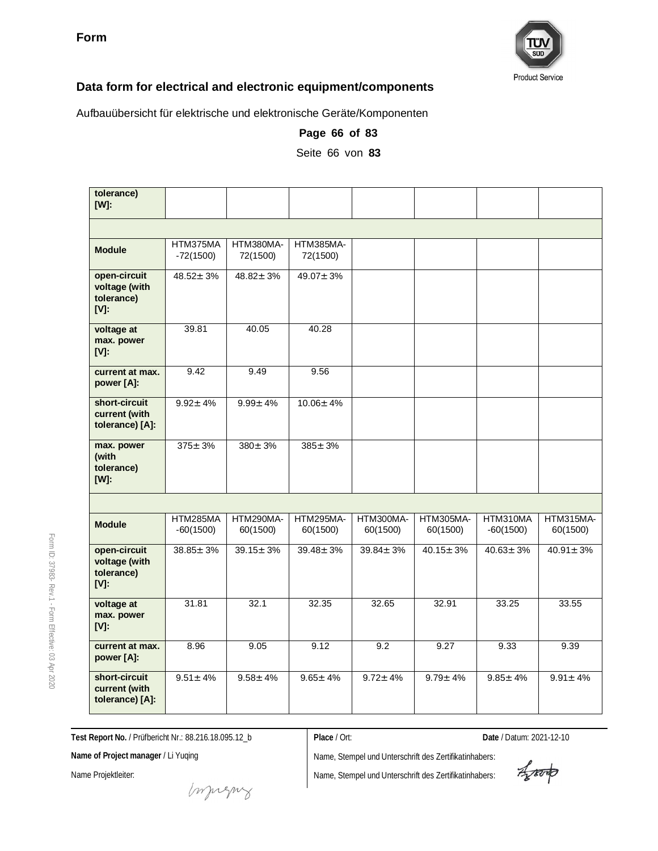

Aufbauübersicht für elektrische und elektronische Geräte/Komponenten

| tolerance)<br>$[W]$ :                                  |                         |                       |                       |                       |                       |                         |                       |
|--------------------------------------------------------|-------------------------|-----------------------|-----------------------|-----------------------|-----------------------|-------------------------|-----------------------|
|                                                        |                         |                       |                       |                       |                       |                         |                       |
| <b>Module</b>                                          | HTM375MA<br>$-72(1500)$ | HTM380MA-<br>72(1500) | HTM385MA-<br>72(1500) |                       |                       |                         |                       |
| open-circuit<br>voltage (with<br>tolerance)<br>$[V]$ : | $48.52 \pm 3\%$         | $48.82 \pm 3\%$       | $49.07 \pm 3\%$       |                       |                       |                         |                       |
| voltage at<br>max. power<br>$[V]$ :                    | 39.81                   | 40.05                 | 40.28                 |                       |                       |                         |                       |
| current at max.<br>power [A]:                          | 9.42                    | 9.49                  | 9.56                  |                       |                       |                         |                       |
| short-circuit<br>current (with<br>tolerance) [A]:      | $9.92 \pm 4\%$          | $9.99 \pm 4\%$        | $10.06 \pm 4\%$       |                       |                       |                         |                       |
| max. power<br>(with<br>tolerance)<br>$[W]$ :           | $375 \pm 3%$            | $380 \pm 3%$          | $385 \pm 3%$          |                       |                       |                         |                       |
|                                                        |                         |                       |                       |                       |                       |                         |                       |
| <b>Module</b>                                          | HTM285MA<br>$-60(1500)$ | HTM290MA-<br>60(1500) | HTM295MA-<br>60(1500) | HTM300MA-<br>60(1500) | HTM305MA-<br>60(1500) | HTM310MA<br>$-60(1500)$ | HTM315MA-<br>60(1500) |
| open-circuit<br>voltage (with<br>tolerance)<br>$[V]$ : | $38.85 \pm 3\%$         | $39.15 \pm 3\%$       | $39.48 \pm 3\%$       | $39.84 \pm 3\%$       | $40.15 \pm 3\%$       | $40.63 \pm 3\%$         | $40.91 \pm 3\%$       |
| voltage at<br>max. power<br>$[V]$ :                    | 31.81                   | 32.1                  | 32.35                 | 32.65                 | 32.91                 | 33.25                   | 33.55                 |
| current at max.<br>power [A]:                          | 8.96                    | 9.05                  | 9.12                  | 9.2                   | 9.27                  | 9.33                    | 9.39                  |
| short-circuit<br>current (with<br>tolerance) [A]:      | $9.51 \pm 4\%$          | $9.58 \pm 4\%$        | $9.65 \pm 4\%$        | $9.72 \pm 4\%$        | $9.79 \pm 4\%$        | $9.85 \pm 4\%$          | $9.91 \pm 4\%$        |

**Page 66 of 83**

Seite 66 von **83**

**Test Report No.** / Prüfbericht Nr.: 88.216.18.095.12\_b

muring

**Place** / Ort: **Date** / Datum: 2021-12-10

**Name of Project manager** / Li Yuqing

Name Projektleiter:

Form ID: 37983-

Rev.1 - Form

Effective:  $\mathbb S$ Apr 2020

Aporto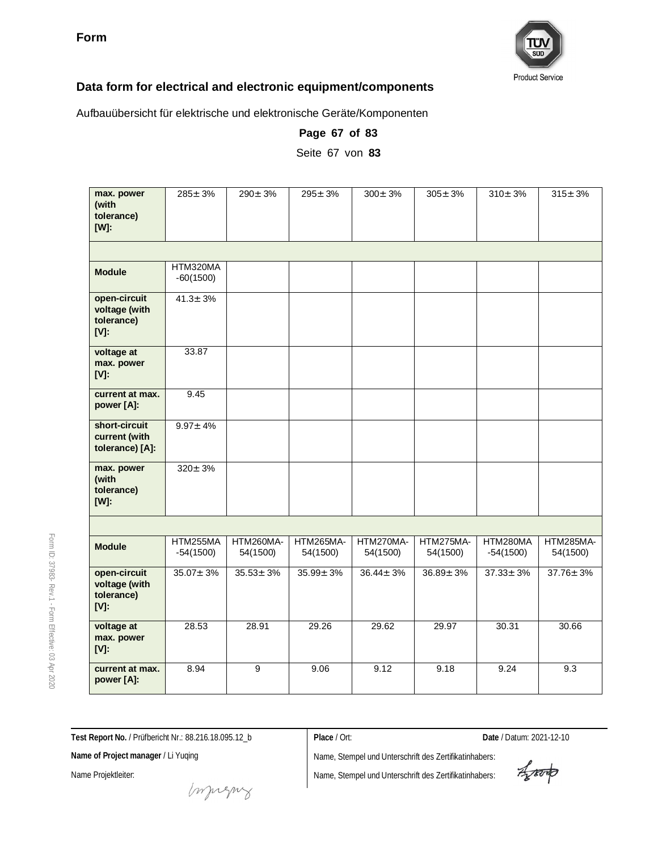

Aufbauübersicht für elektrische und elektronische Geräte/Komponenten

| max. power<br>(with<br>tolerance)<br>$[W]$ :           | $285 \pm 3\%$           | $290 \pm 3\%$         | $295 \pm 3\%$         | $300 \pm 3\%$         | $305 \pm 3\%$         | $310 \pm 3\%$           | $315 \pm 3\%$         |
|--------------------------------------------------------|-------------------------|-----------------------|-----------------------|-----------------------|-----------------------|-------------------------|-----------------------|
|                                                        |                         |                       |                       |                       |                       |                         |                       |
| <b>Module</b>                                          | HTM320MA<br>$-60(1500)$ |                       |                       |                       |                       |                         |                       |
| open-circuit<br>voltage (with<br>tolerance)<br>$[V]$ : | $41.3 \pm 3\%$          |                       |                       |                       |                       |                         |                       |
| voltage at<br>max. power<br>$[V]$ :                    | 33.87                   |                       |                       |                       |                       |                         |                       |
| current at max.<br>power [A]:                          | 9.45                    |                       |                       |                       |                       |                         |                       |
| short-circuit<br>current (with<br>tolerance) [A]:      | $9.97 \pm 4\%$          |                       |                       |                       |                       |                         |                       |
| max. power<br>(with<br>tolerance)<br>$[W]$ :           | $320 \pm 3%$            |                       |                       |                       |                       |                         |                       |
|                                                        |                         |                       |                       |                       |                       |                         |                       |
| <b>Module</b>                                          | HTM255MA<br>$-54(1500)$ | HTM260MA-<br>54(1500) | HTM265MA-<br>54(1500) | HTM270MA-<br>54(1500) | HTM275MA-<br>54(1500) | HTM280MA<br>$-54(1500)$ | HTM285MA-<br>54(1500) |
| open-circuit<br>voltage (with<br>tolerance)<br>$[V]$ : | $35.07 \pm 3\%$         | $35.53 \pm 3\%$       | $35.99 \pm 3\%$       | $36.44 \pm 3\%$       | $36.89 \pm 3\%$       | $37.33 \pm 3\%$         | $37.76 \pm 3\%$       |
| voltage at<br>max. power<br>$[V]$ :                    | 28.53                   | 28.91                 | 29.26                 | 29.62                 | 29.97                 | 30.31                   | 30.66                 |
| current at max.<br>power [A]:                          | 8.94                    | $\overline{9}$        | 9.06                  | 9.12                  | 9.18                  | 9.24                    | $\overline{9.3}$      |

**Page 67 of 83**

Seite 67 von **83**

**Test Report No.** / Prüfbericht Nr.: 88.216.18.095.12\_b

**Place** / Ort: **Date** / Datum: 2021-12-10

**Name of Project manager** / Li Yuqing

Name Projektleiter:

Form ID: 37983-

Rev.1 - Form

Effective:  $\mathbb S$ Apr 2020

Aproto

mongue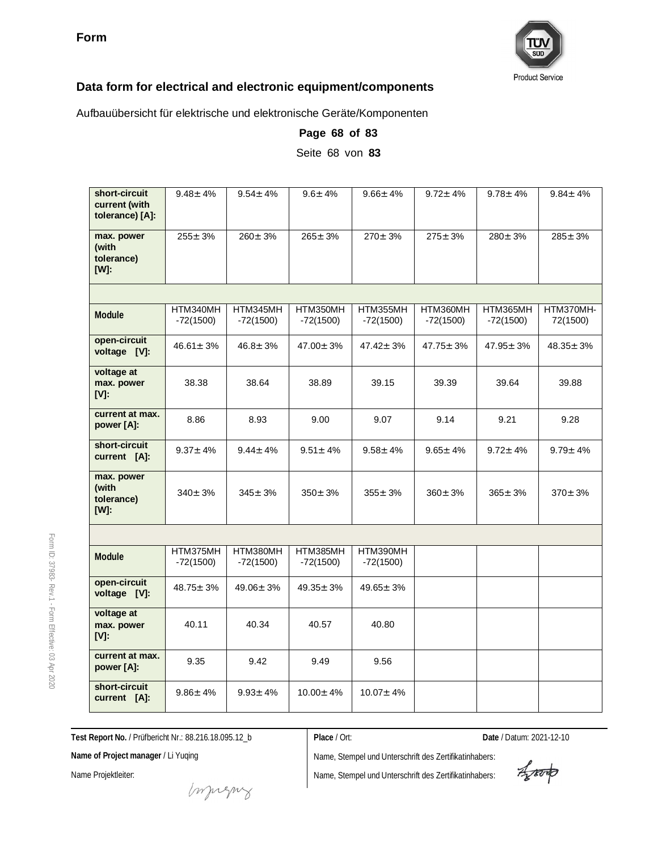

Aufbauübersicht für elektrische und elektronische Geräte/Komponenten

| short-circuit<br>current (with<br>tolerance) [A]: | $9.48 \pm 4\%$          | $9.54 \pm 4\%$          | $9.6 \pm 4\%$           | $9.66 \pm 4\%$          | $9.72 \pm 4\%$          | $9.78 \pm 4\%$          | $9.84 \pm 4\%$        |
|---------------------------------------------------|-------------------------|-------------------------|-------------------------|-------------------------|-------------------------|-------------------------|-----------------------|
| max. power<br>(with<br>tolerance)<br>$[W]$ :      | $255 \pm 3%$            | $260 \pm 3%$            | $265 \pm 3%$            | $270 \pm 3%$            | $275 \pm 3%$            | $280 \pm 3\%$           | $285 \pm 3%$          |
|                                                   |                         |                         |                         |                         |                         |                         |                       |
| Module                                            | HTM340MH<br>-72(1500)   | HTM345MH<br>$-72(1500)$ | HTM350MH<br>$-72(1500)$ | HTM355MH<br>$-72(1500)$ | HTM360MH<br>$-72(1500)$ | HTM365MH<br>$-72(1500)$ | HTM370MH-<br>72(1500) |
| open-circuit<br>voltage [V]:                      | $46.61 \pm 3\%$         | $46.8 \pm 3\%$          | $47.00 \pm 3\%$         | $47.42 \pm 3%$          | $47.75 \pm 3\%$         | $47.95 \pm 3\%$         | $48.35 + 3%$          |
| voltage at<br>max. power<br>$[V]$ :               | 38.38                   | 38.64                   | 38.89                   | 39.15                   | 39.39                   | 39.64                   | 39.88                 |
| current at max.<br>power [A]:                     | 8.86                    | 8.93                    | 9.00                    | 9.07                    | 9.14                    | 9.21                    | 9.28                  |
| short-circuit<br>current [A]:                     | $9.37 \pm 4\%$          | $9.44 \pm 4\%$          | $9.51 \pm 4\%$          | $9.58 \pm 4\%$          | $9.65 \pm 4\%$          | $9.72 \pm 4\%$          | $9.79 \pm 4\%$        |
| max. power<br>(with<br>tolerance)<br>$[W]$ :      | $340 \pm 3%$            | $345 \pm 3%$            | $350 \pm 3\%$           | $355 \pm 3\%$           | $360 \pm 3%$            | $365 \pm 3%$            | $370 \pm 3\%$         |
|                                                   |                         |                         |                         |                         |                         |                         |                       |
| Module                                            | HTM375MH<br>$-72(1500)$ | HTM380MH<br>$-72(1500)$ | HTM385MH<br>$-72(1500)$ | HTM390MH<br>$-72(1500)$ |                         |                         |                       |
| open-circuit<br>voltage [V]:                      | $48.75 \pm 3\%$         | $49.06 \pm 3\%$         | $49.35 \pm 3\%$         | $49.65 \pm 3\%$         |                         |                         |                       |
| voltage at<br>max. power<br>IV:                   | 40.11                   | 40.34                   | 40.57                   | 40.80                   |                         |                         |                       |
| current at max.<br>power [A]:                     | 9.35                    | 9.42                    | 9.49                    | 9.56                    |                         |                         |                       |
| short-circuit<br>current [A]:                     | $9.86 \pm 4\%$          | $9.93 \pm 4\%$          | $10.00 \pm 4\%$         | $10.07 \pm 4\%$         |                         |                         |                       |

**Page 68 of 83** Seite 68 von **83**

**Test Report No.** / Prüfbericht Nr.: 88.216.18.095.12\_b

**Place** / Ort: **Date** / Datum: 2021-12-10

**Name of Project manager** / Li Yuqing

Name Projektleiter:

Form ID: 37983-

Rev.1 - Form

Effective:  $\mathbb S$ Apr 2020

Aporto

money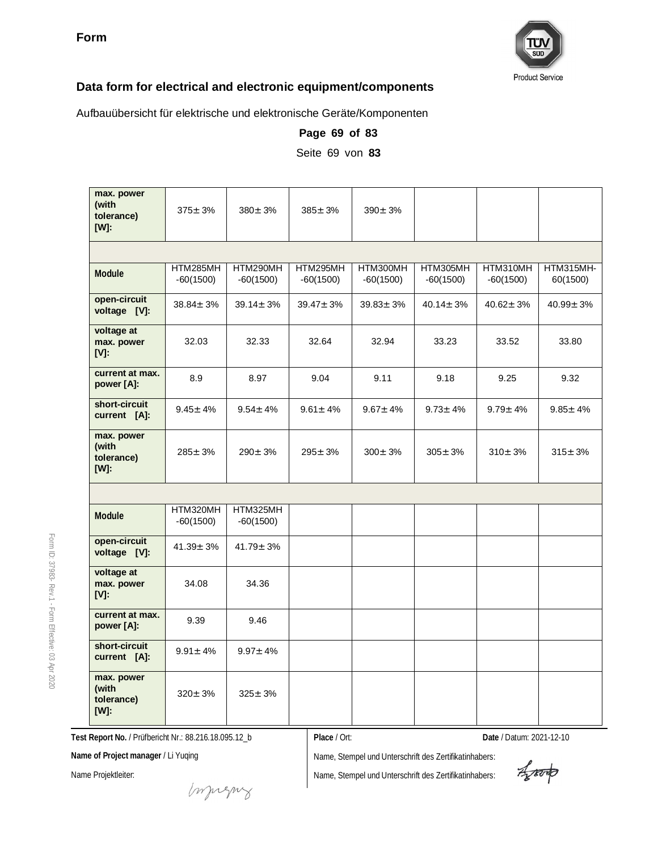

Aufbauübersicht für elektrische und elektronische Geräte/Komponenten

| max. power<br>(with<br>tolerance)<br>$[W]$ : | $375 \pm 3\%$           | $380 \pm 3\%$           | $385 \pm 3\%$           | $390 \pm 3\%$           |                         |                         |                       |
|----------------------------------------------|-------------------------|-------------------------|-------------------------|-------------------------|-------------------------|-------------------------|-----------------------|
|                                              |                         |                         |                         |                         |                         |                         |                       |
| Module                                       | HTM285MH<br>$-60(1500)$ | HTM290MH<br>$-60(1500)$ | HTM295MH<br>$-60(1500)$ | HTM300MH<br>$-60(1500)$ | HTM305MH<br>$-60(1500)$ | HTM310MH<br>$-60(1500)$ | HTM315MH-<br>60(1500) |
| open-circuit<br>voltage [V]:                 | $38.84 \pm 3\%$         | $39.14 \pm 3\%$         | $39.47 \pm 3\%$         | $39.83 \pm 3\%$         | $40.14 \pm 3\%$         | $40.62 \pm 3%$          | $40.99 \pm 3\%$       |
| voltage at<br>max. power<br>$[V]$ :          | 32.03                   | 32.33                   | 32.64                   | 32.94                   | 33.23                   | 33.52                   | 33.80                 |
| current at max.<br>power [A]:                | 8.9                     | 8.97                    | 9.04                    | 9.11                    | 9.18                    | 9.25                    | 9.32                  |
| short-circuit<br>current [A]:                | $9.45 \pm 4\%$          | $9.54 \pm 4\%$          | $9.61 \pm 4\%$          | $9.67 \pm 4\%$          | $9.73 \pm 4\%$          | $9.79 \pm 4\%$          | $9.85 \pm 4\%$        |
| max. power<br>(with<br>tolerance)<br>$[W]$ : | $285 \pm 3%$            | $290 \pm 3%$            | $295 \pm 3%$            | $300 \pm 3%$            | $305 \pm 3%$            | $310 \pm 3\%$           | $315 \pm 3\%$         |
|                                              |                         |                         |                         |                         |                         |                         |                       |
| Module                                       | HTM320MH<br>$-60(1500)$ | HTM325MH<br>$-60(1500)$ |                         |                         |                         |                         |                       |
| open-circuit<br>voltage [V]:                 | $41.39 \pm 3%$          | $41.79 \pm 3\%$         |                         |                         |                         |                         |                       |
| voltage at<br>max. power<br>$[V]$ :          | 34.08                   | 34.36                   |                         |                         |                         |                         |                       |
| current at max.<br>power [A]:                | 9.39                    | 9.46                    |                         |                         |                         |                         |                       |
| short-circuit<br>current [A]:                | $9.91 \pm 4\%$          | $9.97 \pm 4\%$          |                         |                         |                         |                         |                       |
| max. power<br>(with<br>tolerance)<br>$[W]$ : | $320 \pm 3%$            | $325 \pm 3%$            |                         |                         |                         |                         |                       |

**Page 69 of 83** Seite 69 von **83**

**Test Report No.** / Prüfbericht Nr.: 88.216.18.095.12\_b

**Place** / Ort: **Date** / Datum: 2021-12-10

**Name of Project manager** / Li Yuqing

Name Projektleiter:

Name, Stempel und Unterschrift des Zertifikatinhabers:

Aparto

Form ID: 37983- Rev.1 - Form Effective:  $\mathbb S$ Apr 2020

Imprezny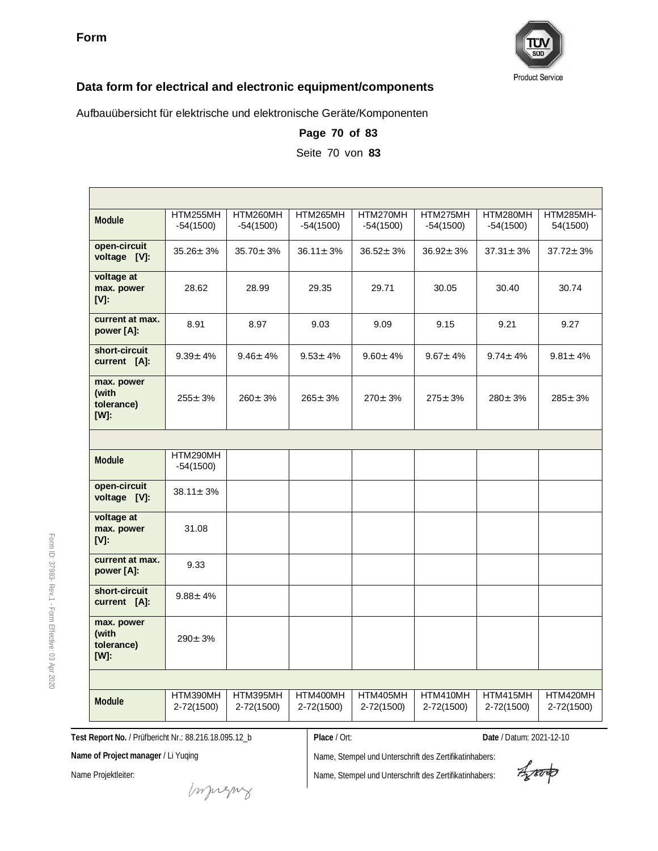

Aufbauübersicht für elektrische und elektronische Geräte/Komponenten

| Module                                       | HTM255MH<br>$-54(1500)$ | HTM260MH<br>$-54(1500)$ | HTM265MH<br>$-54(1500)$ | HTM270MH<br>$-54(1500)$ | HTM275MH<br>$-54(1500)$ | HTM280MH<br>$-54(1500)$ | HTM285MH-<br>54(1500)  |
|----------------------------------------------|-------------------------|-------------------------|-------------------------|-------------------------|-------------------------|-------------------------|------------------------|
| open-circuit<br>voltage [V]:                 | $35.26 \pm 3\%$         | $35.70 \pm 3\%$         | $36.11 \pm 3\%$         | $36.52 \pm 3\%$         | $36.92 \pm 3\%$         | $37.31 \pm 3\%$         | $37.72 \pm 3\%$        |
| voltage at<br>max. power<br>$[V]$ :          | 28.62                   | 28.99                   | 29.35                   | 29.71                   | 30.05                   | 30.40                   | 30.74                  |
| current at max.<br>power [A]:                | 8.91                    | 8.97                    | 9.03                    | 9.09                    | 9.15                    | 9.21                    | 9.27                   |
| short-circuit<br>current [A]:                | $9.39 \pm 4\%$          | $9.46 \pm 4\%$          | $9.53 \pm 4\%$          | $9.60 + 4%$             | $9.67 \pm 4\%$          | $9.74 \pm 4\%$          | $9.81 \pm 4\%$         |
| max. power<br>(with<br>tolerance)<br>$[W]$ : | $255 \pm 3%$            | $260 \pm 3%$            | $265 \pm 3%$            | $270 \pm 3%$            | $275 \pm 3%$            | $280 \pm 3\%$           | $285 \pm 3%$           |
|                                              |                         |                         |                         |                         |                         |                         |                        |
| Module                                       | HTM290MH<br>$-54(1500)$ |                         |                         |                         |                         |                         |                        |
| open-circuit<br>voltage [V]:                 | $38.11 \pm 3\%$         |                         |                         |                         |                         |                         |                        |
| voltage at<br>max. power<br>$[V]$ :          | 31.08                   |                         |                         |                         |                         |                         |                        |
| current at max.<br>power [A]:                | 9.33                    |                         |                         |                         |                         |                         |                        |
| short-circuit<br>current [A]:                | $9.88 \pm 4\%$          |                         |                         |                         |                         |                         |                        |
| max. power<br>(with<br>tolerance)<br>$[W]$ : | $290 \pm 3%$            |                         |                         |                         |                         |                         |                        |
|                                              |                         |                         |                         |                         |                         |                         |                        |
| Module                                       | HTM390MH<br>2-72(1500)  | HTM395MH<br>2-72(1500)  | HTM400MH<br>2-72(1500)  | HTM405MH<br>2-72(1500)  | HTM410MH<br>2-72(1500)  | HTM415MH<br>2-72(1500)  | HTM420MH<br>2-72(1500) |

**Page 70 of 83** Seite 70 von **83**

**Test Report No.** / Prüfbericht Nr.: 88.216.18.095.12\_b

**Place** / Ort: **Date** / Datum: 2021-12-10

**Name of Project manager** / Li Yuqing

Name Projektleiter:

Form ID: 37983-

Rev.1 - Form

Effective:  $\mathbb S$ Apr 2020

Name, Stempel und Unterschrift des Zertifikatinhabers:

Aporto

muring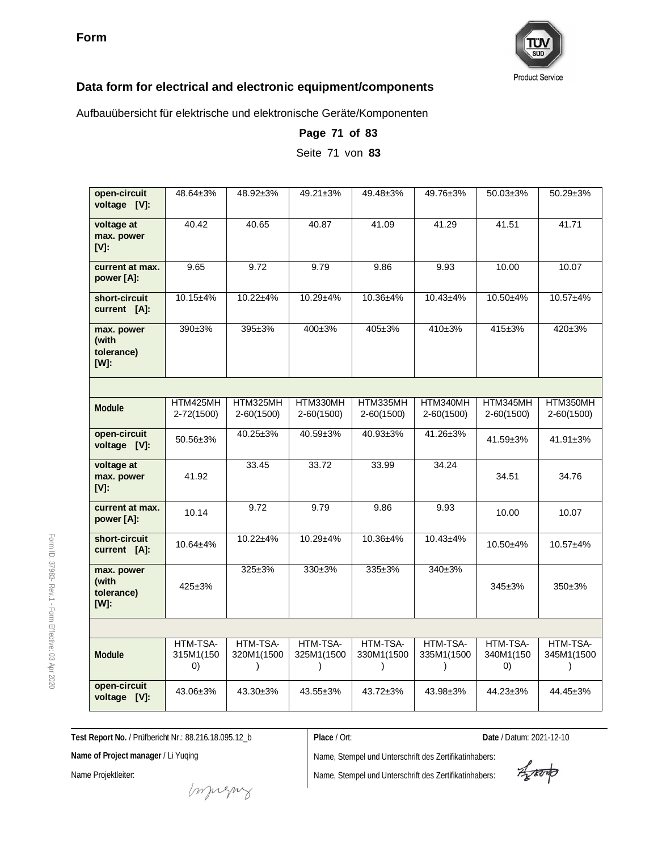

Aufbauübersicht für elektrische und elektronische Geräte/Komponenten

| open-circuit<br>voltage [V]:              | 48.64±3%                     | 48.92±3%                            | 49.21±3%                            | 49.48±3%                            | 49.76±3%                            | $50.03 \pm 3\%$             | 50.29±3%                 |
|-------------------------------------------|------------------------------|-------------------------------------|-------------------------------------|-------------------------------------|-------------------------------------|-----------------------------|--------------------------|
| voltage at<br>max. power<br>[V]:          | 40.42                        | 40.65                               | 40.87                               | 41.09                               | 41.29                               | 41.51                       | 41.71                    |
| current at max.<br>power [A]:             | 9.65                         | 9.72                                | 9.79                                | 9.86                                | 9.93                                | 10.00                       | 10.07                    |
| short-circuit<br>current [A]:             | $10.15 + 4%$                 | 10.22±4%                            | $10.29 + 4%$                        | 10.36±4%                            | $10.43 + 4%$                        | 10.50±4%                    | $10.57 + 4%$             |
| max. power<br>(with<br>tolerance)<br>[W]: | 390±3%                       | 395±3%                              | $400 \pm 3\%$                       | 405±3%                              | $410+3%$                            | 415±3%                      | $420 \pm 3%$             |
|                                           |                              |                                     |                                     |                                     |                                     |                             |                          |
| <b>Module</b>                             | HTM425MH<br>$2 - 72(1500)$   | HTM325MH<br>$2-60(1500)$            | HTM330MH<br>2-60(1500)              | HTM335MH<br>$2-60(1500)$            | HTM340MH<br>$2 - 60(1500)$          | HTM345MH<br>$2 - 60(1500)$  | HTM350MH<br>$2-60(1500)$ |
| open-circuit<br>voltage [V]:              | $50.56 \pm 3\%$              | $40.25 \pm 3\%$                     | 40.59±3%                            | $40.93 \pm 3\%$                     | $41.26 \pm 3\%$                     | 41.59±3%                    | $41.91 \pm 3\%$          |
| voltage at<br>max. power<br>[V]:          | 41.92                        | 33.45                               | 33.72                               | 33.99                               | 34.24                               | 34.51                       | 34.76                    |
| current at max.<br>power [A]:             | 10.14                        | 9.72                                | 9.79                                | 9.86                                | 9.93                                | 10.00                       | 10.07                    |
| short-circuit<br>current [A]:             | $10.64 + 4%$                 | $10.22 + 4%$                        | $10.29 + 4%$                        | $10.36 + 4%$                        | $10.43 + 4%$                        | $10.50 + 4%$                | $10.57 + 4%$             |
| max. power<br>(with<br>tolerance)<br>[W]: | $425 \pm 3%$                 | $325 \pm 3%$                        | $330+3%$                            | 335±3%                              | 340±3%                              | $345 \pm 3%$                | 350±3%                   |
|                                           |                              |                                     |                                     |                                     |                                     |                             |                          |
| Module                                    | HTM-TSA-<br>315M1(150<br>(0) | HTM-TSA-<br>320M1(1500<br>$\lambda$ | HTM-TSA-<br>325M1(1500<br>$\lambda$ | HTM-TSA-<br>330M1(1500<br>$\lambda$ | HTM-TSA-<br>335M1(1500<br>$\lambda$ | HTM-TSA-<br>340M1(150<br>0) | HTM-TSA-<br>345M1(1500   |
| open-circuit<br>voltage [V]:              | 43.06±3%                     | 43.30±3%                            | 43.55±3%                            | 43.72±3%                            | 43.98±3%                            | 44.23±3%                    | 44.45±3%                 |

**Page 71 of 83** Seite 71 von **83**

**Test Report No.** / Prüfbericht Nr.: 88.216.18.095.12\_b

**Place** / Ort: **Date** / Datum: 2021-12-10

**Name of Project manager** / Li Yuqing

Name Projektleiter:

Name, Stempel und Unterschrift des Zertifikatinhabers:

Name, Stempel und Unterschrift des Zertifikatinhabers:

Aporto

Form ID: 37983- Rev.1 - Form Effective:  $\mathbb S$ Apr 2020

money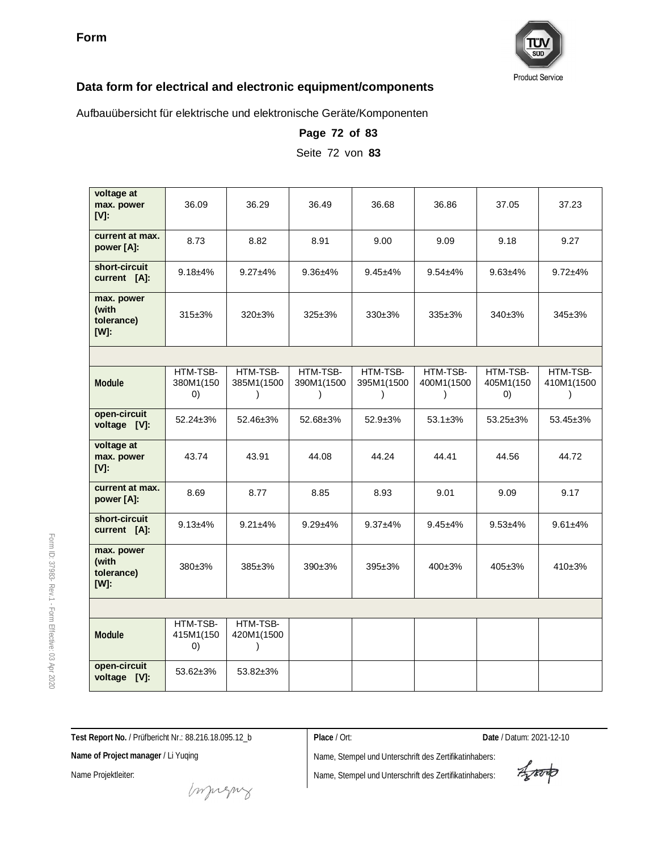

Aufbauübersicht für elektrische und elektronische Geräte/Komponenten

| voltage at<br>max. power<br>[V]:             | 36.09                        | 36.29                               | 36.49                               | 36.68                               | 36.86                               | 37.05                        | 37.23                  |
|----------------------------------------------|------------------------------|-------------------------------------|-------------------------------------|-------------------------------------|-------------------------------------|------------------------------|------------------------|
| current at max.<br>power [A]:                | 8.73                         | 8.82                                | 8.91                                | 9.00                                | 9.09                                | 9.18                         | 9.27                   |
| short-circuit<br>current [A]:                | $9.18 + 4%$                  | $9.27 + 4%$                         | $9.36 + 4%$                         | $9.45 + 4%$                         | $9.54 + 4%$                         | $9.63 + 4%$                  | $9.72 + 4%$            |
| max. power<br>(with<br>tolerance)<br>$[W]$ : | $315 \pm 3\%$                | $320\pm3%$                          | $325 \pm 3%$                        | $330+3%$                            | $335+3%$                            | 340±3%                       | $345 \pm 3\%$          |
|                                              |                              |                                     |                                     |                                     |                                     |                              |                        |
| Module                                       | HTM-TSB-<br>380M1(150<br>(0) | HTM-TSB-<br>385M1(1500<br>$\lambda$ | HTM-TSB-<br>390M1(1500<br>$\lambda$ | HTM-TSB-<br>395M1(1500<br>$\lambda$ | HTM-TSB-<br>400M1(1500<br>$\lambda$ | HTM-TSB-<br>405M1(150<br>(0) | HTM-TSB-<br>410M1(1500 |
| open-circuit<br>voltage [V]:                 | $52.24 \pm 3\%$              | 52.46±3%                            | $52.68 \pm 3\%$                     | $52.9 \pm 3\%$                      | $53.1 \pm 3\%$                      | $53.25 \pm 3\%$              | $53.45 \pm 3\%$        |
| voltage at<br>max. power<br>$[V]$ :          | 43.74                        | 43.91                               | 44.08                               | 44.24                               | 44.41                               | 44.56                        | 44.72                  |
| current at max.<br>power [A]:                | 8.69                         | 8.77                                | 8.85                                | 8.93                                | 9.01                                | 9.09                         | 9.17                   |
| short-circuit<br>current [A]:                | $9.13 + 4\%$                 | $9.21 + 4%$                         | $9.29 + 4%$                         | $9.37 + 4\%$                        | $9.45 + 4%$                         | $9.53 + 4%$                  | $9.61 + 4%$            |
| max. power<br>(with<br>tolerance)<br>$[W]$ : | 380±3%                       | 385±3%                              | $390+3%$                            | $395 \pm 3\%$                       | $400\pm3%$                          | $405 \pm 3\%$                | 410±3%                 |
|                                              |                              |                                     |                                     |                                     |                                     |                              |                        |
| Module                                       | HTM-TSB-<br>415M1(150<br>(0) | HTM-TSB-<br>420M1(1500<br>$\lambda$ |                                     |                                     |                                     |                              |                        |
| open-circuit<br>voltage [V]:                 | 53.62±3%                     | 53.82±3%                            |                                     |                                     |                                     |                              |                        |

**Page 72 of 83**

Seite 72 von **83**

**Test Report No.** / Prüfbericht Nr.: 88.216.18.095.12\_b

**Place** / Ort: **Date** / Datum: 2021-12-10

**Name of Project manager** / Li Yuqing

Name Projektleiter:

Form ID: 37983-

Rev.1 - Form

Effective:  $\mathbb S$ Apr 2020

Name, Stempel und Unterschrift des Zertifikatinhabers:

Aproto

money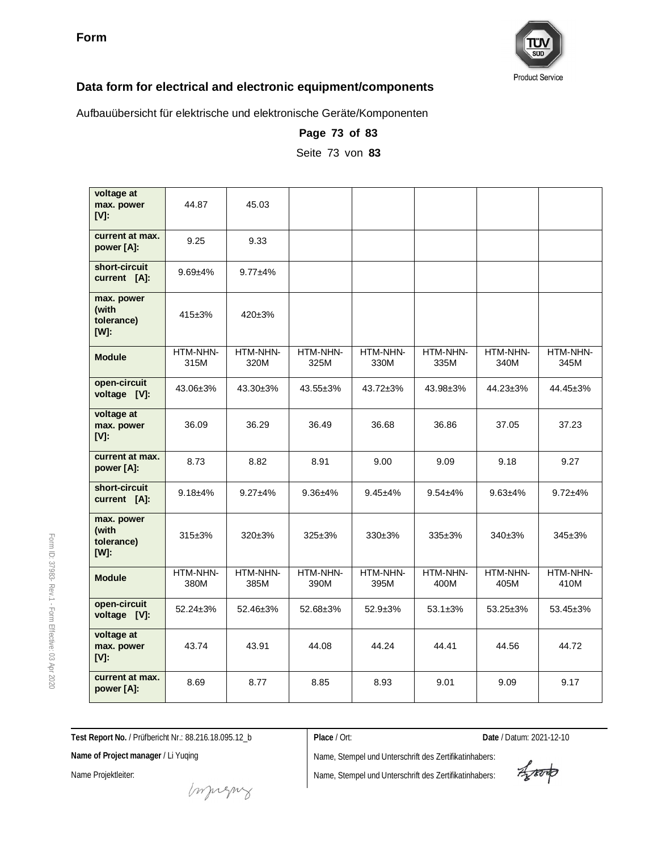

Aufbauübersicht für elektrische und elektronische Geräte/Komponenten

| voltage at<br>max. power<br>$[V]$ :              | 44.87            | 45.03            |                  |                  |                  |                  |                  |
|--------------------------------------------------|------------------|------------------|------------------|------------------|------------------|------------------|------------------|
| current at max.<br>power [A]:                    | 9.25             | 9.33             |                  |                  |                  |                  |                  |
| short-circuit<br>current [A]:                    | $9.69 + 4%$      | $9.77 + 4%$      |                  |                  |                  |                  |                  |
| max. power<br>(with<br>tolerance)<br>[W]:        | $415 \pm 3%$     | $420 \pm 3%$     |                  |                  |                  |                  |                  |
| <b>Module</b>                                    | HTM-NHN-<br>315M | HTM-NHN-<br>320M | HTM-NHN-<br>325M | HTM-NHN-<br>330M | HTM-NHN-<br>335M | HTM-NHN-<br>340M | HTM-NHN-<br>345M |
| open-circuit<br>voltage [V]:                     | 43.06±3%         | 43.30±3%         | 43.55±3%         | 43.72±3%         | 43.98±3%         | 44.23±3%         | 44.45±3%         |
| voltage at<br>max. power<br>$[V]$ :              | 36.09            | 36.29            | 36.49            | 36.68            | 36.86            | 37.05            | 37.23            |
| current at max.<br>power [A]:                    | 8.73             | 8.82             | 8.91             | 9.00             | 9.09             | 9.18             | 9.27             |
| short-circuit<br>current [A]:                    | $9.18 + 4%$      | $9.27 + 4%$      | $9.36 + 4%$      | $9.45 + 4%$      | $9.54 + 4%$      | $9.63 + 4%$      | $9.72 + 4%$      |
| max. power<br>(with<br>tolerance)<br><b>TWI:</b> | $315 + 3%$       | $320 \pm 3\%$    | $325 \pm 3\%$    | 330±3%           | $335 \pm 3\%$    | 340±3%           | $345 \pm 3\%$    |
| <b>Module</b>                                    | HTM-NHN-<br>380M | HTM-NHN-<br>385M | HTM-NHN-<br>390M | HTM-NHN-<br>395M | HTM-NHN-<br>400M | HTM-NHN-<br>405M | HTM-NHN-<br>410M |
| open-circuit<br>voltage [V]:                     | $52.24 \pm 3\%$  | 52.46±3%         | 52.68±3%         | $52.9 + 3%$      | $53.1 \pm 3\%$   | 53.25±3%         | 53.45±3%         |
| voltage at<br>max. power<br>[V]:                 | 43.74            | 43.91            | 44.08            | 44.24            | 44.41            | 44.56            | 44.72            |
| current at max.<br>power [A]:                    | 8.69             | 8.77             | 8.85             | 8.93             | 9.01             | 9.09             | 9.17             |

**Page 73 of 83**

Seite 73 von **83**

**Test Report No.** / Prüfbericht Nr.: 88.216.18.095.12\_b

**Place** / Ort: **Date** / Datum: 2021-12-10

**Name of Project manager** / Li Yuqing

Name Projektleiter:

mongue

Name, Stempel und Unterschrift des Zertifikatinhabers: Name, Stempel und Unterschrift des Zertifikatinhabers:

Aporto

Form ID: 37983- Rev.1 - Form Effective:  $\mathbb S$ Apr 2020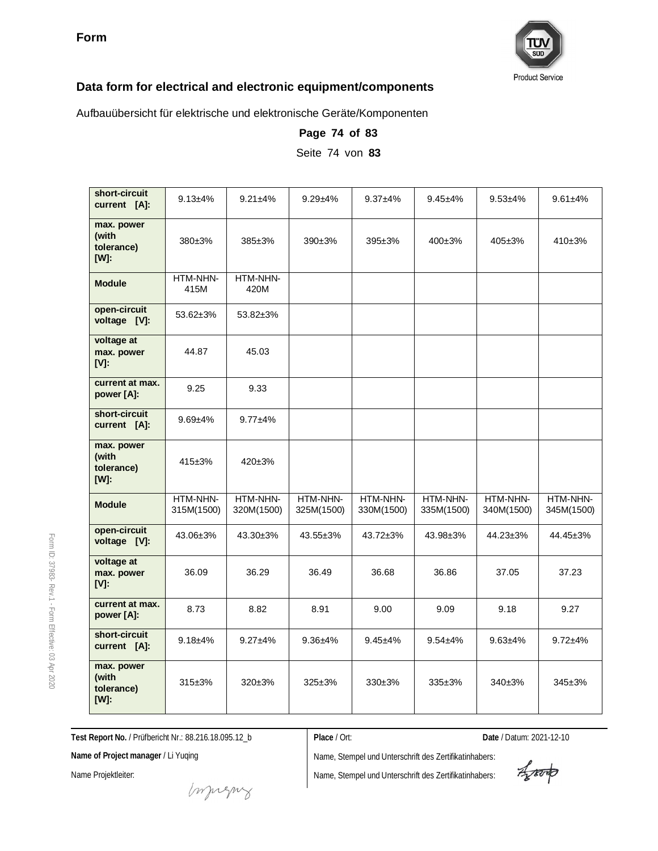

Aufbauübersicht für elektrische und elektronische Geräte/Komponenten

| short-circuit<br>current [A]:                | $9.13 + 4\%$           | $9.21 + 4\%$           | $9.29 + 4\%$           | $9.37 + 4\%$           | $9.45 + 4%$            | $9.53 + 4%$            | $9.61 + 4%$            |
|----------------------------------------------|------------------------|------------------------|------------------------|------------------------|------------------------|------------------------|------------------------|
| max. power<br>(with<br>tolerance)<br>[W]:    | $380+3%$               | $385 \pm 3\%$          | $390+3%$               | $395 \pm 3\%$          | 400±3%                 | $405 \pm 3%$           | 410±3%                 |
| <b>Module</b>                                | HTM-NHN-<br>415M       | HTM-NHN-<br>420M       |                        |                        |                        |                        |                        |
| open-circuit<br>voltage [V]:                 | $53.62 \pm 3\%$        | 53.82±3%               |                        |                        |                        |                        |                        |
| voltage at<br>max. power<br>$[V]$ :          | 44.87                  | 45.03                  |                        |                        |                        |                        |                        |
| current at max.<br>power [A]:                | 9.25                   | 9.33                   |                        |                        |                        |                        |                        |
| short-circuit<br>current [A]:                | $9.69 + 4%$            | $9.77 + 4%$            |                        |                        |                        |                        |                        |
| max. power<br>(with<br>tolerance)<br>[W]:    | $415 \pm 3\%$          | $420 \pm 3\%$          |                        |                        |                        |                        |                        |
| <b>Module</b>                                | HTM-NHN-<br>315M(1500) | HTM-NHN-<br>320M(1500) | HTM-NHN-<br>325M(1500) | HTM-NHN-<br>330M(1500) | HTM-NHN-<br>335M(1500) | HTM-NHN-<br>340M(1500) | HTM-NHN-<br>345M(1500) |
| open-circuit<br>voltage [V]:                 | 43.06±3%               | $43.30 \pm 3\%$        | 43.55±3%               | 43.72±3%               | 43.98±3%               | $44.23 \pm 3\%$        | 44.45±3%               |
| voltage at<br>max. power<br>$[V]$ :          | 36.09                  | 36.29                  | 36.49                  | 36.68                  | 36.86                  | 37.05                  | 37.23                  |
| current at max.<br>power [A]:                | 8.73                   | 8.82                   | 8.91                   | 9.00                   | 9.09                   | 9.18                   | 9.27                   |
| short-circuit<br>current [A]:                | $9.18 + 4%$            | $9.27 + 4%$            | $9.36 + 4%$            | $9.45 + 4%$            | $9.54 + 4%$            | $9.63 + 4%$            | $9.72 + 4%$            |
| max. power<br>(with<br>tolerance)<br>$[W]$ : | $315 \pm 3\%$          | $320 \pm 3\%$          | $325 \pm 3%$           | $330+3%$               | $335 \pm 3\%$          | $340+3%$               | $345 \pm 3\%$          |

**Page 74 of 83** Seite 74 von **83**

**Test Report No.** / Prüfbericht Nr.: 88.216.18.095.12\_b

**Place** / Ort: **Date** / Datum: 2021-12-10

**Name of Project manager** / Li Yuqing

Name Projektleiter:

Form ID: 37983-

Rev.1 - Form

Effective:  $\mathbb S$ Apr 2020

> Name, Stempel und Unterschrift des Zertifikatinhabers: Name, Stempel und Unterschrift des Zertifikatinhabers:

Aparto

muring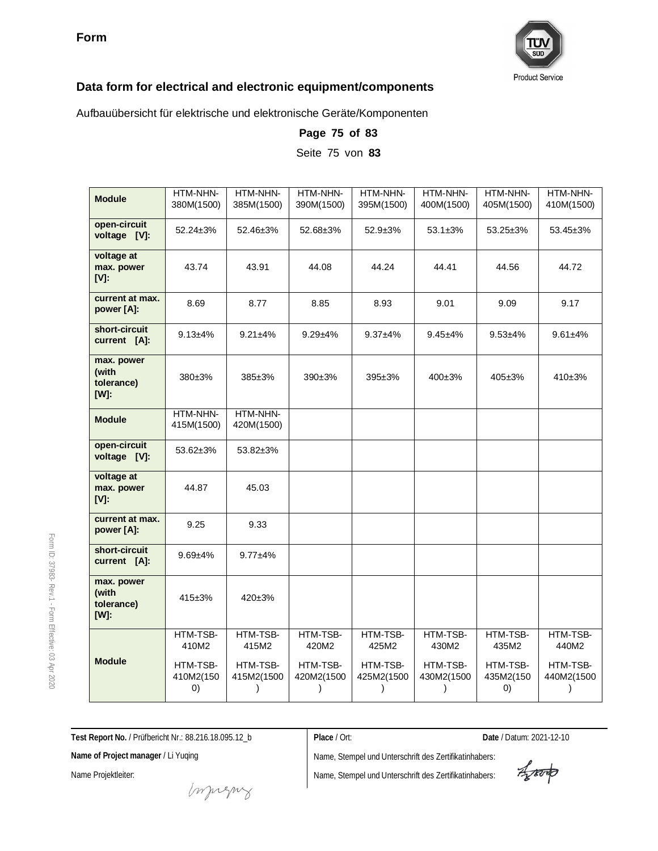

Aufbauübersicht für elektrische und elektronische Geräte/Komponenten

| <b>Module</b>                             | HTM-NHN-<br>380M(1500)                     | HTM-NHN-<br>385M(1500)                  | HTM-NHN-<br>390M(1500) | HTM-NHN-<br>395M(1500) | HTM-NHN-<br>400M(1500)              | HTM-NHN-<br>405M(1500)                     | HTM-NHN-<br>410M(1500)      |
|-------------------------------------------|--------------------------------------------|-----------------------------------------|------------------------|------------------------|-------------------------------------|--------------------------------------------|-----------------------------|
| open-circuit<br>voltage [V]:              | $52.24 \pm 3\%$                            | 52.46±3%                                | 52.68±3%               | $52.9 \pm 3\%$         | $53.1 \pm 3\%$                      | 53.25±3%                                   | 53.45±3%                    |
| voltage at<br>max. power<br>$[V]$ :       | 43.74                                      | 43.91                                   | 44.08                  | 44.24                  | 44.41                               | 44.56                                      | 44.72                       |
| current at max.<br>power [A]:             | 8.69                                       | 8.77                                    | 8.85                   | 8.93                   | 9.01                                | 9.09                                       | 9.17                        |
| short-circuit<br>current [A]:             | $9.13 + 4%$                                | $9.21 + 4%$                             | $9.29 + 4%$            | $9.37 + 4%$            | $9.45 + 4%$                         | $9.53 + 4%$                                | $9.61 + 4%$                 |
| max. power<br>(with<br>tolerance)<br>[W]: | 380±3%                                     | 385±3%                                  | 390±3%                 | $395 \pm 3\%$          | $400+3%$                            | $405 \pm 3%$                               | 410±3%                      |
| <b>Module</b>                             | HTM-NHN-<br>415M(1500)                     | HTM-NHN-<br>420M(1500)                  |                        |                        |                                     |                                            |                             |
| open-circuit<br>voltage [V]:              | 53.62±3%                                   | 53.82±3%                                |                        |                        |                                     |                                            |                             |
| voltage at<br>max. power<br>$[V]$ :       | 44.87                                      | 45.03                                   |                        |                        |                                     |                                            |                             |
| current at max.<br>power [A]:             | 9.25                                       | 9.33                                    |                        |                        |                                     |                                            |                             |
| short-circuit<br>current [A]:             | $9.69 + 4%$                                | $9.77 + 4%$                             |                        |                        |                                     |                                            |                             |
| max. power<br>(with<br>tolerance)<br>[W]: | 415±3%                                     | 420±3%                                  |                        |                        |                                     |                                            |                             |
|                                           | HTM-TSB-<br>410M2                          | HTM-TSB-<br>415M2                       | HTM-TSB-<br>420M2      | HTM-TSB-<br>425M2      | HTM-TSB-<br>430M2                   | HTM-TSB-<br>435M2                          | HTM-TSB-<br>440M2           |
| <b>Module</b>                             | HTM-TSB-<br>410M2(150<br>$\left( 0\right)$ | HTM-TSB-<br>415M2(1500<br>$\mathcal{C}$ | HTM-TSB-<br>420M2(1500 | HTM-TSB-<br>425M2(1500 | HTM-TSB-<br>430M2(1500<br>$\lambda$ | HTM-TSB-<br>435M2(150<br>$\left( 0\right)$ | HTM-TSB-<br>440M2(1500<br>) |

**Page 75 of 83**

Seite 75 von **83**

**Test Report No.** / Prüfbericht Nr.: 88.216.18.095.12\_b

**Name of Project manager** / Li Yuqing

Name Projektleiter:

Name, Stempel und Unterschrift des Zertifikatinhabers: Name, Stempel und Unterschrift des Zertifikatinhabers:

**Place** / Ort: **Date** / Datum: 2021-12-10

Aporto

mongue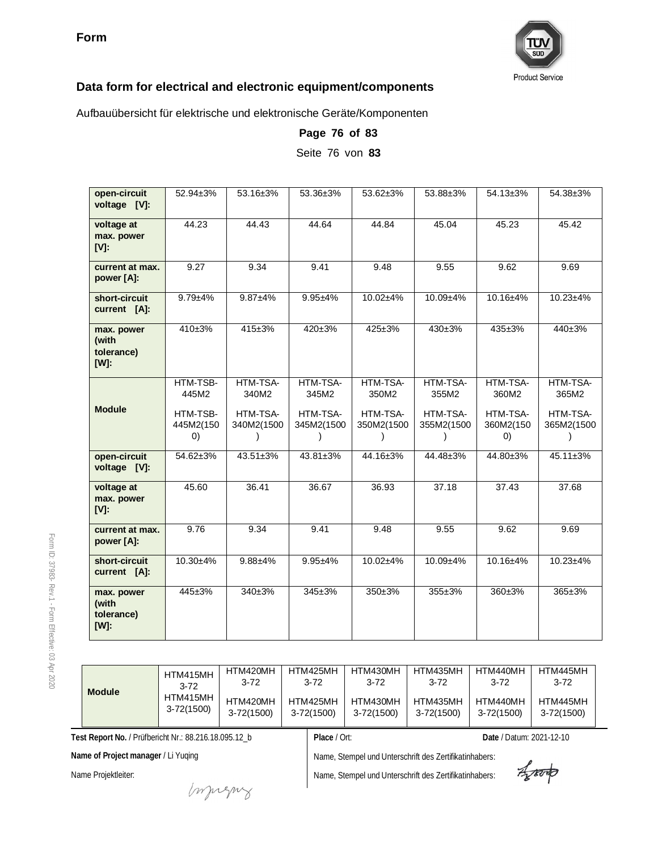

Aufbauübersicht für elektrische und elektronische Geräte/Komponenten

| open-circuit<br>voltage [V]:                 | 52.94±3%                                          | 53.16±3%                                    | 53.36±3%                                    | 53.62±3%                                    | 53.88±3%                                    | $54.13 \pm 3\%$                                                 | 54.38±3%                                    |
|----------------------------------------------|---------------------------------------------------|---------------------------------------------|---------------------------------------------|---------------------------------------------|---------------------------------------------|-----------------------------------------------------------------|---------------------------------------------|
| voltage at<br>max. power<br>$[V]$ :          | 44.23                                             | 44.43                                       | 44.64                                       | 44.84                                       | 45.04                                       | 45.23                                                           | 45.42                                       |
| current at max.<br>power [A]:                | 9.27                                              | 9.34                                        | 9.41                                        | 9.48                                        | 9.55                                        | 9.62                                                            | 9.69                                        |
| short-circuit<br>current [A]:                | $9.79 + 4%$                                       | $9.87 + 4%$                                 | $9.95 + 4%$                                 | 10.02±4%                                    | 10.09±4%                                    | 10.16±4%                                                        | 10.23±4%                                    |
| max. power<br>(with<br>tolerance)<br>$[W]$ : | 410±3%                                            | $415 \pm 3%$                                | $420 \pm 3%$                                | $425 \pm 3%$                                | $430 \pm 3%$                                | $435 + 3%$                                                      | $440 \pm 3\%$                               |
| <b>Module</b>                                | HTM-TSB-<br>445M2<br>HTM-TSB-<br>445M2(150<br>(0) | HTM-TSA-<br>340M2<br>HTM-TSA-<br>340M2(1500 | HTM-TSA-<br>345M2<br>HTM-TSA-<br>345M2(1500 | HTM-TSA-<br>350M2<br>HTM-TSA-<br>350M2(1500 | HTM-TSA-<br>355M2<br>HTM-TSA-<br>355M2(1500 | HTM-TSA-<br>360M2<br>HTM-TSA-<br>360M2(150<br>$\left( 0\right)$ | HTM-TSA-<br>365M2<br>HTM-TSA-<br>365M2(1500 |
| open-circuit<br>voltage [V]:                 | 54.62±3%                                          | 43.51±3%                                    | 43.81±3%                                    | 44.16±3%                                    | 44.48±3%                                    | 44.80±3%                                                        | 45.11±3%                                    |
| voltage at<br>max. power<br>$[V]$ :          | 45.60                                             | 36.41                                       | 36.67                                       | 36.93                                       | 37.18                                       | 37.43                                                           | 37.68                                       |
| current at max.<br>power [A]:                | 9.76                                              | 9.34                                        | 9.41                                        | 9.48                                        | 9.55                                        | 9.62                                                            | 9.69                                        |
| short-circuit<br>current [A]:                | $10.30 + 4\%$                                     | $9.88 + 4%$                                 | $9.95 + 4%$                                 | 10.02±4%                                    | $10.09 + 4\%$                               | $10.16 + 4%$                                                    | $10.23 + 4%$                                |
| max. power<br>(with<br>tolerance)<br>[W]:    | 445±3%                                            | 340±3%                                      | 345±3%                                      | 350±3%                                      | 355±3%                                      | 360±3%                                                          | 365±3%                                      |

**Page 76 of 83** Seite 76 von **83**

37983- Rev.1 - Form Effective:  $\mathbb S$ Apr 2020

Form ID:

| <b>Module</b> | HTM415MH<br>$3 - 72$       | HTM420MH<br>$3 - 72$       | HTM425MH<br>$3 - 72$       | HTM430MH<br>$3 - 72$   | HTM435MH<br>$3 - 72$   | HTM440MH<br>$3 - 72$   | HTM445MH<br>$3 - 72$       |
|---------------|----------------------------|----------------------------|----------------------------|------------------------|------------------------|------------------------|----------------------------|
|               | HTM415MH<br>$3 - 72(1500)$ | HTM420MH<br>$3 - 72(1500)$ | HTM425MH<br>$3 - 72(1500)$ | HTM430MH<br>3-72(1500) | HTM435MH<br>3-72(1500) | HTM440MH<br>3-72(1500) | HTM445MH<br>$3 - 72(1500)$ |

**Test Report No.** / Prüfbericht Nr.: 88.216.18.095.12\_b

**Name of Project manager** / Li Yuqing

Name Projektleiter:

Name, Stempel und Unterschrift des Zertifikatinhabers:

Name, Stempel und Unterschrift des Zertifikatinhabers:

**Place** / Ort: **Date** / Datum: 2021-12-10

Aporto

mongue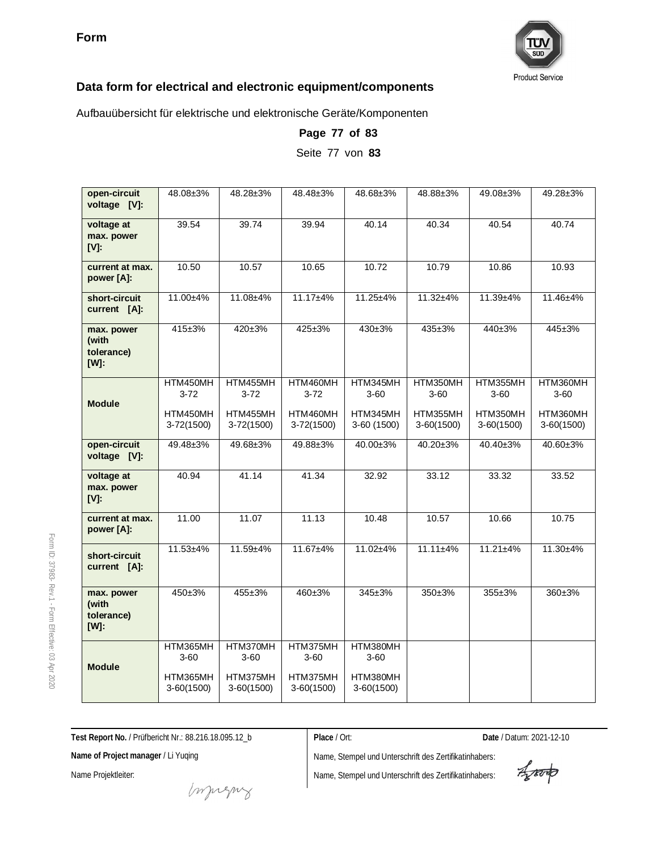

Aufbauübersicht für elektrische und elektronische Geräte/Komponenten

| open-circuit<br>voltage [V]:                 | 48.08±3%                   | 48.28±3%                 | 48.48±3%                   | 48.68±3%                 | 48.88±3%                 | 49.08±3%                 | 49.28±3%                 |
|----------------------------------------------|----------------------------|--------------------------|----------------------------|--------------------------|--------------------------|--------------------------|--------------------------|
| voltage at<br>max. power<br>$[V]$ :          | 39.54                      | 39.74                    | 39.94                      | 40.14                    | 40.34                    | 40.54                    | 40.74                    |
| current at max.<br>power [A]:                | 10.50                      | 10.57                    | 10.65                      | 10.72                    | 10.79                    | 10.86                    | 10.93                    |
| short-circuit<br>current [A]:                | 11.00±4%                   | 11.08±4%                 | $11.17 + 4%$               | 11.25±4%                 | $11.32 + 4%$             | 11.39±4%                 | 11.46±4%                 |
| max. power<br>(with<br>tolerance)<br>$[W]$ : | 415±3%                     | $420 \pm 3%$             | $425 \pm 3%$               | $430+3%$                 | $435 + 3%$               | $440 \pm 3%$             | 445±3%                   |
| <b>Module</b>                                | HTM450MH<br>$3 - 72$       | HTM455MH<br>$3 - 72$     | HTM460MH<br>$3 - 72$       | HTM345MH<br>$3 - 60$     | HTM350MH<br>$3 - 60$     | HTM355MH<br>$3 - 60$     | HTM360MH<br>$3 - 60$     |
|                                              | HTM450MH<br>$3 - 72(1500)$ | HTM455MH<br>$3-72(1500)$ | HTM460MH<br>$3 - 72(1500)$ | HTM345MH<br>3-60 (1500)  | HTM355MH<br>$3-60(1500)$ | HTM350MH<br>$3-60(1500)$ | HTM360MH<br>$3-60(1500)$ |
| open-circuit<br>voltage [V]:                 | 49.48±3%                   | 49.68±3%                 | 49.88±3%                   | 40.00±3%                 | 40.20±3%                 | 40.40±3%                 | 40.60±3%                 |
| voltage at<br>max. power<br>$[V]$ :          | 40.94                      | 41.14                    | 41.34                      | 32.92                    | 33.12                    | 33.32                    | 33.52                    |
| current at max.<br>power [A]:                | 11.00                      | 11.07                    | 11.13                      | 10.48                    | 10.57                    | 10.66                    | 10.75                    |
| short-circuit<br>current [A]:                | $11.53 + 4%$               | 11.59±4%                 | 11.67±4%                   | 11.02±4%                 | $11.11 \pm 4\%$          | $11.21 \pm 4\%$          | $11.30 + 4%$             |
| max. power<br>(with<br>tolerance)<br>[W]:    | 450±3%                     | 455±3%                   | 460±3%                     | $345 \pm 3%$             | 350±3%                   | 355±3%                   | 360±3%                   |
| <b>Module</b>                                | HTM365MH<br>$3 - 60$       | HTM370MH<br>$3 - 60$     | HTM375MH<br>$3 - 60$       | HTM380MH<br>$3 - 60$     |                          |                          |                          |
|                                              | HTM365MH<br>$3-60(1500)$   | HTM375MH<br>$3-60(1500)$ | HTM375MH<br>$3-60(1500)$   | HTM380MH<br>$3-60(1500)$ |                          |                          |                          |

**Page 77 of 83** Seite 77 von **83**

**Test Report No.** / Prüfbericht Nr.: 88.216.18.095.12\_b

**Place** / Ort: **Date** / Datum: 2021-12-10

**Name of Project manager** / Li Yuqing

Name Projektleiter:

Form ID: 37983-

Rev.1 - Form

Effective:  $\mathbb S$ Apr 2020

Name, Stempel und Unterschrift des Zertifikatinhabers:

Aporto

money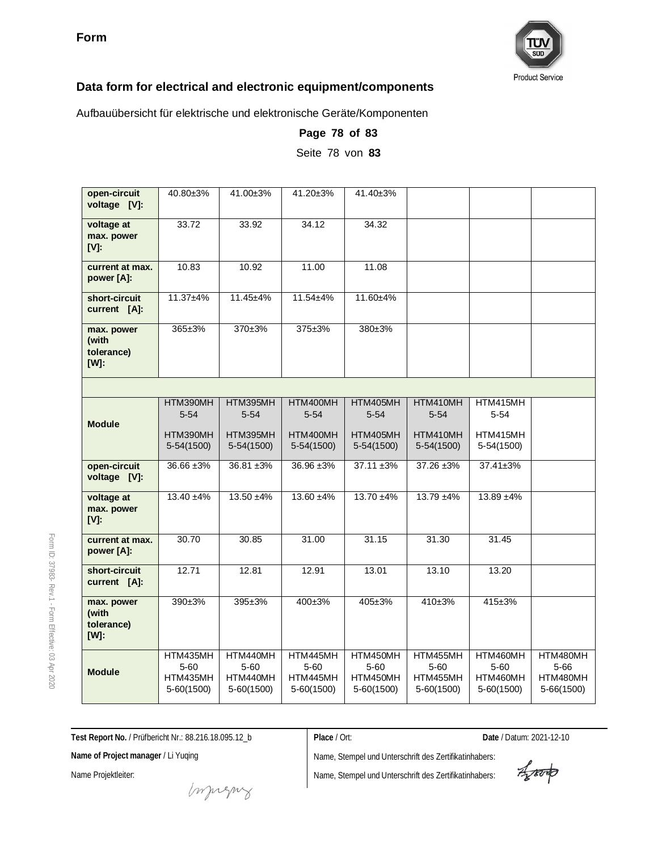

Aufbauübersicht für elektrische und elektronische Geräte/Komponenten

| open-circuit<br>voltage [V]:                     | 40.80±3%                                       | 41.00±3%                                       | 41.20±3%                                       | 41.40±3%                                       |                                                |                                                |                                                |
|--------------------------------------------------|------------------------------------------------|------------------------------------------------|------------------------------------------------|------------------------------------------------|------------------------------------------------|------------------------------------------------|------------------------------------------------|
| voltage at<br>max. power<br><b>IVI:</b>          | 33.72                                          | 33.92                                          | 34.12                                          | 34.32                                          |                                                |                                                |                                                |
| current at max.<br>power [A]:                    | 10.83                                          | 10.92                                          | 11.00                                          | 11.08                                          |                                                |                                                |                                                |
| short-circuit<br>current [A]:                    | 11.37±4%                                       | 11.45±4%                                       | 11.54±4%                                       | 11.60±4%                                       |                                                |                                                |                                                |
| max. power<br>(with<br>tolerance)<br>$[W]$ :     | 365±3%                                         | 370±3%                                         | 375±3%                                         | 380±3%                                         |                                                |                                                |                                                |
|                                                  |                                                |                                                |                                                |                                                |                                                |                                                |                                                |
| <b>Module</b>                                    | HTM390MH<br>$5 - 54$                           | HTM395MH<br>$5 - 54$                           | HTM400MH<br>$5 - 54$                           | HTM405MH<br>$5 - 54$                           | HTM410MH<br>$5 - 54$                           | HTM415MH<br>$5 - 54$                           |                                                |
|                                                  | HTM390MH<br>5-54(1500)                         | HTM395MH<br>5-54(1500)                         | HTM400MH<br>5-54(1500)                         | HTM405MH<br>5-54(1500)                         | HTM410MH<br>$5-54(1500)$                       | HTM415MH<br>5-54(1500)                         |                                                |
| open-circuit<br>voltage [V]:                     | $36.66 \pm 3\%$                                | 36.81 ±3%                                      | 36.96 ± 3%                                     | $37.11 \pm 3\%$                                | 37.26 ±3%                                      | 37.41±3%                                       |                                                |
| voltage at<br>max. power<br>$[V]$ :              | $13.40 \pm 4\%$                                | $13.50 + 4%$                                   | 13.60 ±4%                                      | $13.70 + 4\%$                                  | $13.79 + 4\%$                                  | $13.89 + 4\%$                                  |                                                |
| current at max.<br>power [A]:                    | 30.70                                          | 30.85                                          | 31.00                                          | 31.15                                          | 31.30                                          | 31.45                                          |                                                |
| short-circuit<br>current [A]:                    | 12.71                                          | 12.81                                          | 12.91                                          | 13.01                                          | 13.10                                          | 13.20                                          |                                                |
| max. power<br>(with<br>tolerance)<br><b>IMI:</b> | 390±3%                                         | 395±3%                                         | 400±3%                                         | $405 \pm 3%$                                   | $410+3%$                                       | 415±3%                                         |                                                |
| <b>Module</b>                                    | HTM435MH<br>$5 - 60$<br>HTM435MH<br>5-60(1500) | HTM440MH<br>$5 - 60$<br>HTM440MH<br>5-60(1500) | HTM445MH<br>$5 - 60$<br>HTM445MH<br>5-60(1500) | HTM450MH<br>$5 - 60$<br>HTM450MH<br>5-60(1500) | HTM455MH<br>$5 - 60$<br>HTM455MH<br>5-60(1500) | HTM460MH<br>$5 - 60$<br>HTM460MH<br>5-60(1500) | HTM480MH<br>$5 - 66$<br>HTM480MH<br>5-66(1500) |

**Page 78 of 83** Seite 78 von **83**

Form ID: 37983- Rev.1 - Form Effective:  $\mathbb S$ Apr 2020

**Test Report No.** / Prüfbericht Nr.: 88.216.18.095.12\_b

**Place** / Ort: **Date** / Datum: 2021-12-10

**Name of Project manager** / Li Yuqing

Name Projektleiter:

Name, Stempel und Unterschrift des Zertifikatinhabers:

Aporto

money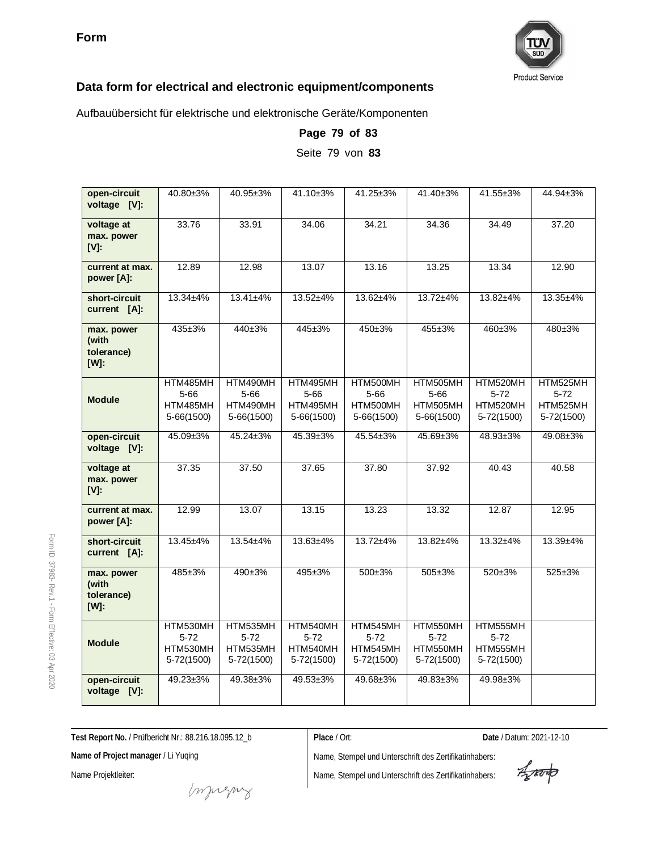

Aufbauübersicht für elektrische und elektronische Geräte/Komponenten

| open-circuit<br>voltage [V]:                 | 40.80±3%                                       | 40.95±3%                                       | 41.10±3%                                       | $41.25 \pm 3\%$                                | 41.40±3%                                       | 41.55±3%                                       | 44.94±3%                                       |
|----------------------------------------------|------------------------------------------------|------------------------------------------------|------------------------------------------------|------------------------------------------------|------------------------------------------------|------------------------------------------------|------------------------------------------------|
| voltage at<br>max. power<br>$[V]$ :          | 33.76                                          | 33.91                                          | 34.06                                          | 34.21                                          | 34.36                                          | 34.49                                          | 37.20                                          |
| current at max.<br>power [A]:                | 12.89                                          | 12.98                                          | 13.07                                          | 13.16                                          | 13.25                                          | 13.34                                          | 12.90                                          |
| short-circuit<br>current [A]:                | $13.34 + 4%$                                   | $13.41 \pm 4\%$                                | $13.52 + 4%$                                   | 13.62±4%                                       | $13.72 + 4%$                                   | 13.82±4%                                       | $13.35 + 4%$                                   |
| max. power<br>(with<br>tolerance)<br>$[W]$ : | $435 + 3%$                                     | $440+3%$                                       | $445 \pm 3%$                                   | $450+3%$                                       | $455 + 3%$                                     | $460+3%$                                       | $480+3%$                                       |
| <b>Module</b>                                | HTM485MH<br>$5 - 66$<br>HTM485MH<br>5-66(1500) | HTM490MH<br>$5 - 66$<br>HTM490MH<br>5-66(1500) | HTM495MH<br>$5 - 66$<br>HTM495MH<br>5-66(1500) | HTM500MH<br>$5 - 66$<br>HTM500MH<br>5-66(1500) | HTM505MH<br>$5 - 66$<br>HTM505MH<br>5-66(1500) | HTM520MH<br>$5-72$<br>HTM520MH<br>5-72(1500)   | HTM525MH<br>$5 - 72$<br>HTM525MH<br>5-72(1500) |
| open-circuit<br>voltage [V]:                 | 45.09±3%                                       | $45.24 \pm 3\%$                                | 45.39±3%                                       | 45.54±3%                                       | 45.69±3%                                       | 48.93±3%                                       | 49.08±3%                                       |
| voltage at<br>max. power<br>$[V]$ :          | 37.35                                          | 37.50                                          | 37.65                                          | 37.80                                          | 37.92                                          | 40.43                                          | 40.58                                          |
| current at max.<br>power [A]:                | 12.99                                          | 13.07                                          | 13.15                                          | 13.23                                          | 13.32                                          | 12.87                                          | 12.95                                          |
| short-circuit<br>current [A]:                | $13.45 + 4%$                                   | $13.54 + 4%$                                   | $13.63 + 4%$                                   | $13.72 + 4%$                                   | $13.82 + 4%$                                   | $13.32 + 4%$                                   | 13.39±4%                                       |
| max. power<br>(with<br>tolerance)<br>[W]:    | 485±3%                                         | 490±3%                                         | 495±3%                                         | $500+3%$                                       | $505 \pm 3\%$                                  | 520±3%                                         | $525 \pm 3%$                                   |
| <b>Module</b>                                | HTM530MH<br>$5 - 72$<br>HTM530MH<br>5-72(1500) | HTM535MH<br>$5 - 72$<br>HTM535MH<br>5-72(1500) | HTM540MH<br>$5 - 72$<br>HTM540MH<br>5-72(1500) | HTM545MH<br>$5 - 72$<br>HTM545MH<br>5-72(1500) | HTM550MH<br>$5 - 72$<br>HTM550MH<br>5-72(1500) | HTM555MH<br>$5 - 72$<br>HTM555MH<br>5-72(1500) |                                                |
| open-circuit<br>voltage [V]:                 | $49.23 \pm 3\%$                                | 49.38±3%                                       | 49.53±3%                                       | 49.68±3%                                       | $49.83 \pm 3\%$                                | 49.98±3%                                       |                                                |

**Page 79 of 83** Seite 79 von **83**

**Test Report No.** / Prüfbericht Nr.: 88.216.18.095.12\_b

**Place** / Ort: **Date** / Datum: 2021-12-10

**Name of Project manager** / Li Yuqing

Name Projektleiter:

Form ID: 37983-

Rev.1 - Form

Effective:  $\mathbb S$ Apr 2020

Name, Stempel und Unterschrift des Zertifikatinhabers:

Aporto

money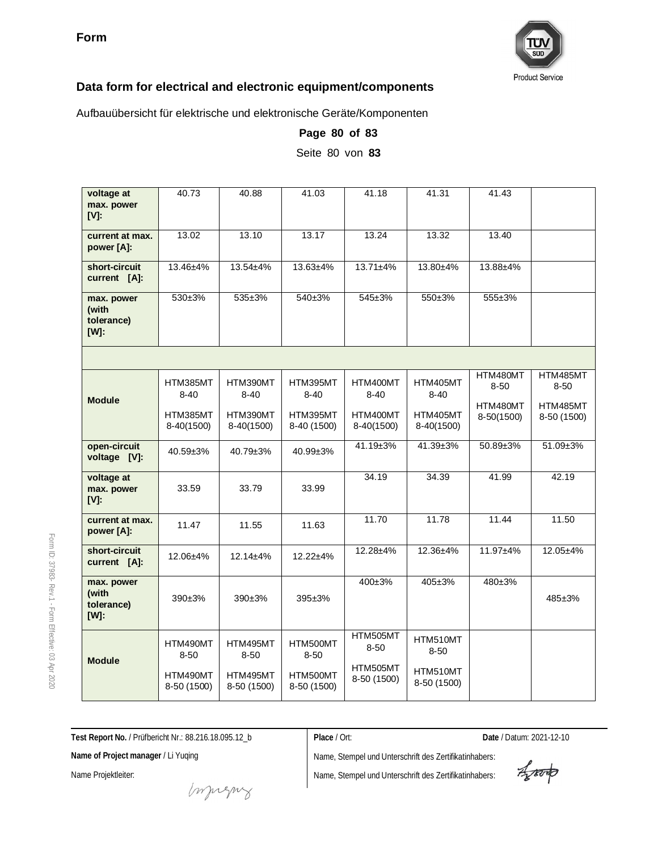

Aufbauübersicht für elektrische und elektronische Geräte/Komponenten

| voltage at<br>max. power<br>$[V]$ :              | 40.73                   | 40.88                   | 41.03                   | 41.18                   | 41.31                   | 41.43                  |                         |
|--------------------------------------------------|-------------------------|-------------------------|-------------------------|-------------------------|-------------------------|------------------------|-------------------------|
| current at max.<br>power [A]:                    | 13.02                   | 13.10                   | 13.17                   | 13.24                   | 13.32                   | 13.40                  |                         |
| short-circuit<br>current [A]:                    | 13.46±4%                | 13.54±4%                | 13.63±4%                | $13.71 \pm 4\%$         | 13.80±4%                | 13.88±4%               |                         |
| max. power<br>(with<br>tolerance)<br><b>IWI:</b> | 530±3%                  | 535±3%                  | 540±3%                  | 545±3%                  | 550±3%                  | 555±3%                 |                         |
|                                                  |                         |                         |                         |                         |                         |                        |                         |
| <b>Module</b>                                    | HTM385MT<br>$8 - 40$    | HTM390MT<br>$8 - 40$    | HTM395MT<br>$8 - 40$    | HTM400MT<br>$8 - 40$    | HTM405MT<br>$8 - 40$    | HTM480MT<br>$8 - 50$   | HTM485MT<br>$8 - 50$    |
|                                                  | HTM385MT<br>8-40(1500)  | HTM390MT<br>8-40(1500)  | HTM395MT<br>8-40 (1500) | HTM400MT<br>8-40(1500)  | HTM405MT<br>8-40(1500)  | HTM480MT<br>8-50(1500) | HTM485MT<br>8-50 (1500) |
| open-circuit<br>voltage [V]:                     | 40.59±3%                | 40.79±3%                | 40.99±3%                | 41.19±3%                | 41.39±3%                | 50.89±3%               | 51.09±3%                |
| voltage at<br>max. power<br>$[V]$ :              | 33.59                   | 33.79                   | 33.99                   | 34.19                   | 34.39                   | 41.99                  | 42.19                   |
| current at max.<br>power [A]:                    | 11.47                   | 11.55                   | 11.63                   | 11.70                   | 11.78                   | 11.44                  | 11.50                   |
| short-circuit<br>current [A]:                    | 12.06±4%                | 12.14±4%                | 12.22±4%                | 12.28±4%                | 12.36±4%                | 11.97±4%               | 12.05±4%                |
| max. power<br>(with<br>tolerance)<br>$[W]$ :     | $390+3%$                | $390+3%$                | 395±3%                  | $400 \pm 3\%$           | $405 \pm 3\%$           | 480±3%                 | $485 \pm 3%$            |
| <b>Module</b>                                    | HTM490MT<br>$8 - 50$    | HTM495MT<br>$8 - 50$    | HTM500MT<br>$8 - 50$    | HTM505MT<br>$8 - 50$    | HTM510MT<br>$8 - 50$    |                        |                         |
|                                                  | HTM490MT<br>8-50 (1500) | HTM495MT<br>8-50 (1500) | HTM500MT<br>8-50 (1500) | HTM505MT<br>8-50 (1500) | HTM510MT<br>8-50 (1500) |                        |                         |

**Page 80 of 83**

Seite 80 von **83**

**Test Report No.** / Prüfbericht Nr.: 88.216.18.095.12\_b

**Name of Project manager** / Li Yuqing

Name Projektleiter:

Name, Stempel und Unterschrift des Zertifikatinhabers:

Name, Stempel und Unterschrift des Zertifikatinhabers:

**Place** / Ort: **Date** / Datum: 2021-12-10

Aproto

money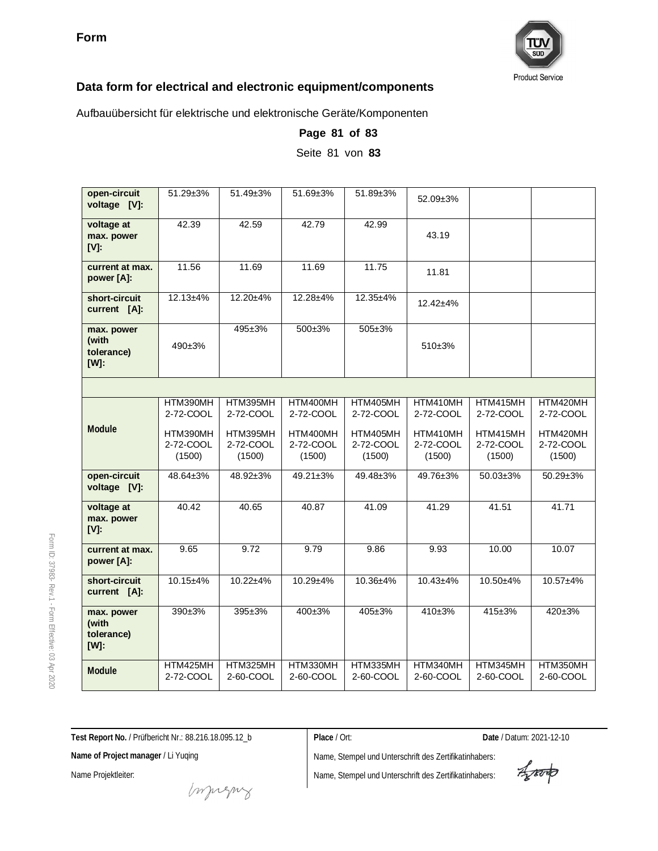

Aufbauübersicht für elektrische und elektronische Geräte/Komponenten

| open-circuit<br>voltage [V]:                 | $51.29 \pm 3\%$                 | 51.49±3%                        | 51.69±3%                        | 51.89±3%                        | 52.09±3%                        |                                 |                                 |
|----------------------------------------------|---------------------------------|---------------------------------|---------------------------------|---------------------------------|---------------------------------|---------------------------------|---------------------------------|
| voltage at<br>max. power<br>$[V]$ :          | 42.39                           | 42.59                           | 42.79                           | 42.99                           | 43.19                           |                                 |                                 |
| current at max.<br>power [A]:                | 11.56                           | 11.69                           | 11.69                           | 11.75                           | 11.81                           |                                 |                                 |
| short-circuit<br>current [A]:                | $12.13 + 4%$                    | 12.20±4%                        | 12.28±4%                        | 12.35±4%                        | $12.42 + 4%$                    |                                 |                                 |
| max. power<br>(with<br>tolerance)<br>$[W]$ : | 490±3%                          | 495±3%                          | 500±3%                          | $505 \pm 3%$                    | $510+3%$                        |                                 |                                 |
|                                              |                                 |                                 |                                 |                                 |                                 |                                 |                                 |
|                                              | HTM390MH<br>2-72-COOL           | HTM395MH<br>2-72-COOL           | HTM400MH<br>2-72-COOL           | HTM405MH<br>2-72-COOL           | HTM410MH<br>2-72-COOL           | HTM415MH<br>2-72-COOL           | HTM420MH<br>2-72-COOL           |
| Module                                       | HTM390MH<br>2-72-COOL<br>(1500) | HTM395MH<br>2-72-COOL<br>(1500) | HTM400MH<br>2-72-COOL<br>(1500) | HTM405MH<br>2-72-COOL<br>(1500) | HTM410MH<br>2-72-COOL<br>(1500) | HTM415MH<br>2-72-COOL<br>(1500) | HTM420MH<br>2-72-COOL<br>(1500) |
| open-circuit<br>voltage [V]:                 | 48.64±3%                        | 48.92±3%                        | 49.21±3%                        | 49.48±3%                        | 49.76±3%                        | 50.03±3%                        | 50.29±3%                        |
| voltage at<br>max. power<br><b>IVI:</b>      | 40.42                           | 40.65                           | 40.87                           | 41.09                           | 41.29                           | 41.51                           | 41.71                           |
| current at max.<br>power [A]:                | 9.65                            | 9.72                            | 9.79                            | 9.86                            | 9.93                            | 10.00                           | 10.07                           |
| short-circuit<br>current [A]:                | 10.15±4%                        | $10.22 + 4%$                    | $10.29 + 4%$                    | $10.36 + 4%$                    | $10.43 + 4%$                    | 10.50±4%                        | $10.57 + 4%$                    |
| max. power<br>(with<br>tolerance)<br>[W]:    | $390+3%$                        | $395 \pm 3\%$                   | $400 \pm 3\%$                   | $405 \pm 3%$                    | $410+3%$                        | $415 \pm 3%$                    | $420 \pm 3%$                    |
| Module                                       | HTM425MH<br>2-72-COOL           | HTM325MH<br>2-60-COOL           | HTM330MH<br>2-60-COOL           | HTM335MH<br>2-60-COOL           | HTM340MH<br>2-60-COOL           | HTM345MH<br>2-60-COOL           | HTM350MH<br>2-60-COOL           |

**Page 81 of 83**

Seite 81 von **83**

**Test Report No.** / Prüfbericht Nr.: 88.216.18.095.12\_b

**Place** / Ort: **Date** / Datum: 2021-12-10

**Name of Project manager** / Li Yuqing

Name Projektleiter:

Name, Stempel und Unterschrift des Zertifikatinhabers: Name, Stempel und Unterschrift des Zertifikatinhabers:

Aporto

money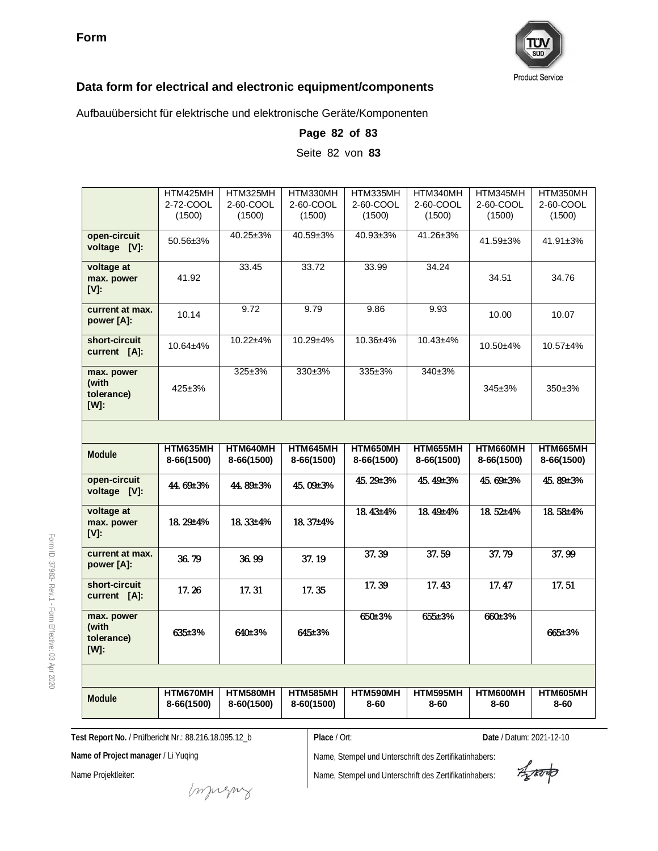

Aufbauübersicht für elektrische und elektronische Geräte/Komponenten

|                                                  | HTM425MH<br>2-72-COOL<br>(1500) | HTM325MH<br>2-60-COOL<br>(1500) | HTM330MH<br>2-60-COOL<br>(1500) | HTM335MH<br>2-60-COOL<br>(1500) | HTM340MH<br>2-60-COOL<br>(1500) | HTM345MH<br>2-60-COOL<br>(1500) | HTM350MH<br>2-60-COOL<br>(1500) |
|--------------------------------------------------|---------------------------------|---------------------------------|---------------------------------|---------------------------------|---------------------------------|---------------------------------|---------------------------------|
| open-circuit<br>voltage [V]:                     | 50.56±3%                        | 40.25±3%                        | 40.59±3%                        | 40.93±3%                        | 41.26±3%                        | 41.59±3%                        | 41.91±3%                        |
| voltage at<br>max. power<br>[V]                  | 41.92                           | 33.45                           | 33.72                           | 33.99                           | 34.24                           | 34.51                           | 34.76                           |
| current at max.<br>power [A]:                    | 10.14                           | 9.72                            | 9.79                            | 9.86                            | 9.93                            | 10.00                           | 10.07                           |
| short-circuit<br>current [A]:                    | 10.64±4%                        | 10.22±4%                        | 10.29±4%                        | 10.36±4%                        | $10.43 + 4%$                    | 10.50±4%                        | 10.57±4%                        |
| max. power<br>(with<br>tolerance)<br><b>IWI:</b> | $425 \pm 3%$                    | $325 \pm 3\%$                   | 330±3%                          | $335 \pm 3\%$                   | 340±3%                          | $345 \pm 3%$                    | $350+3%$                        |
|                                                  |                                 |                                 |                                 |                                 |                                 |                                 |                                 |
|                                                  |                                 |                                 |                                 |                                 |                                 |                                 |                                 |
| Module                                           | HTM635MH<br>8-66(1500)          | HTM640MH<br>8-66(1500)          | HTM645MH<br>8-66(1500)          | HTM650MH<br>8-66(1500)          | HTM655MH<br>8-66(1500)          | HTM660MH<br>8-66(1500)          | HTM665MH<br>8-66(1500)          |
| open-circuit<br>voltage [V]:                     | $44.69 \pm 3\%$                 | 44.89±3%                        | 45.09±3%                        | $45.29 \pm 3\%$                 | 45.49±3%                        | 45.69±3%                        | 45.89±3%                        |
| voltage at<br>max. power<br>$[V]$ :              | 18.29±4%                        | 18.33±4%                        | $18.37 + 4%$                    | $18.43 + 4%$                    | 18.49±4%                        | $18.52 + 4%$                    | $18.58 + 4%$                    |
| current at max.<br>power [A]:                    | 36.79                           | 36.99                           | 37.19                           | 37.39                           | 37.59                           | 37.79                           | 37.99                           |
| short-circuit<br>current [A]:                    | 17.26                           | 17.31                           | 17.35                           | 17.39                           | 17.43                           | 17.47                           | 17.51                           |
| max. power<br>(with<br>tolerance)<br>[W]:        | $635 + 3%$                      | 640±3%                          | $645 \pm 3%$                    | 650±3%                          | 655±3%                          | $660+3%$                        | $665 \pm 3\%$                   |
|                                                  |                                 |                                 |                                 |                                 |                                 |                                 |                                 |

**Page 82 of 83** Seite 82 von **83**

**Test Report No.** / Prüfbericht Nr.: 88.216.18.095.12\_b

**Place** / Ort: **Date** / Datum: 2021-12-10

**Name of Project manager** / Li Yuqing

Name Projektleiter:

Name, Stempel und Unterschrift des Zertifikatinhabers: Name, Stempel und Unterschrift des Zertifikatinhabers:

Aporto

money

Form ID: